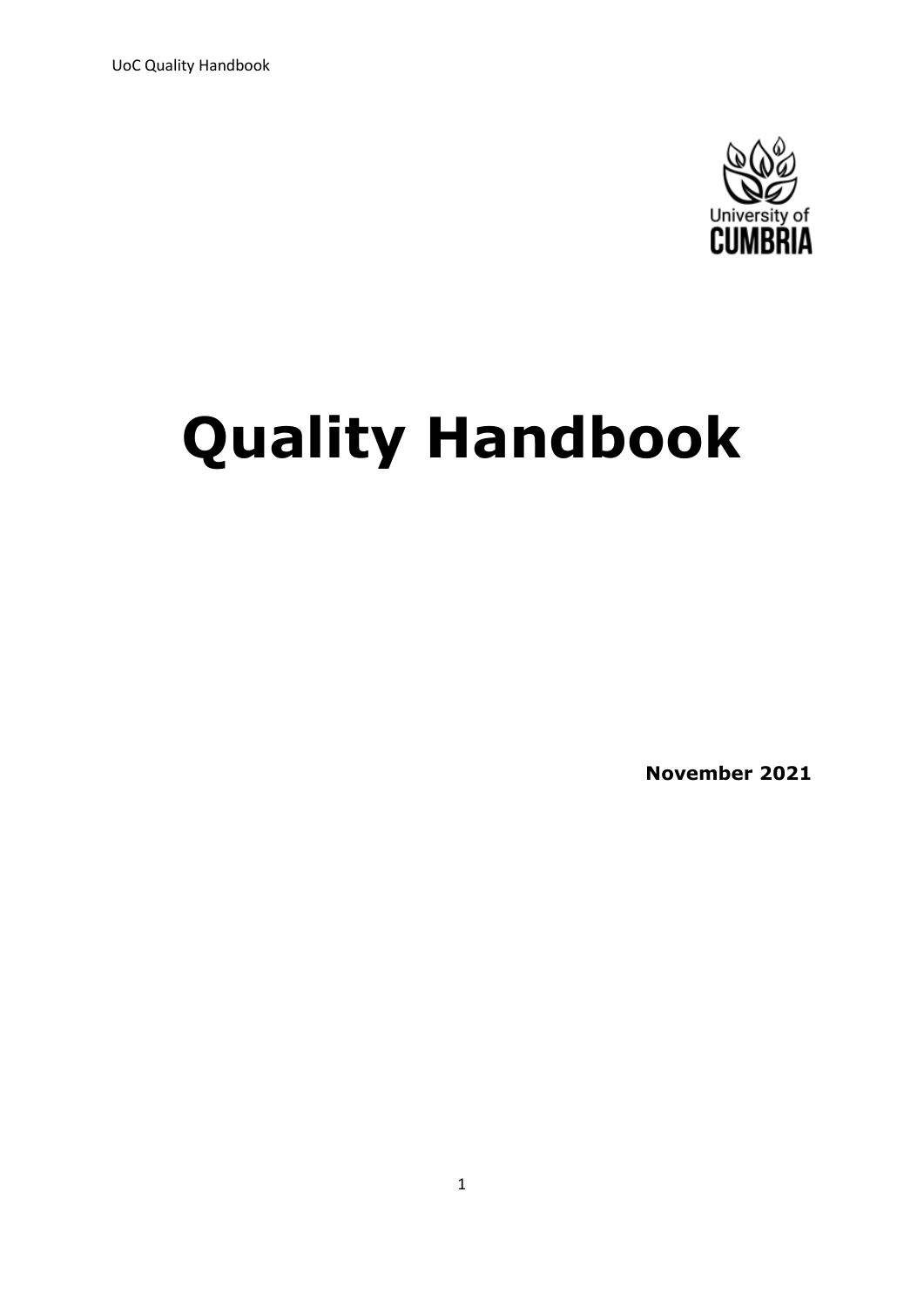UoC Quality Handbook



# **Quality Handbook**

**November 2021**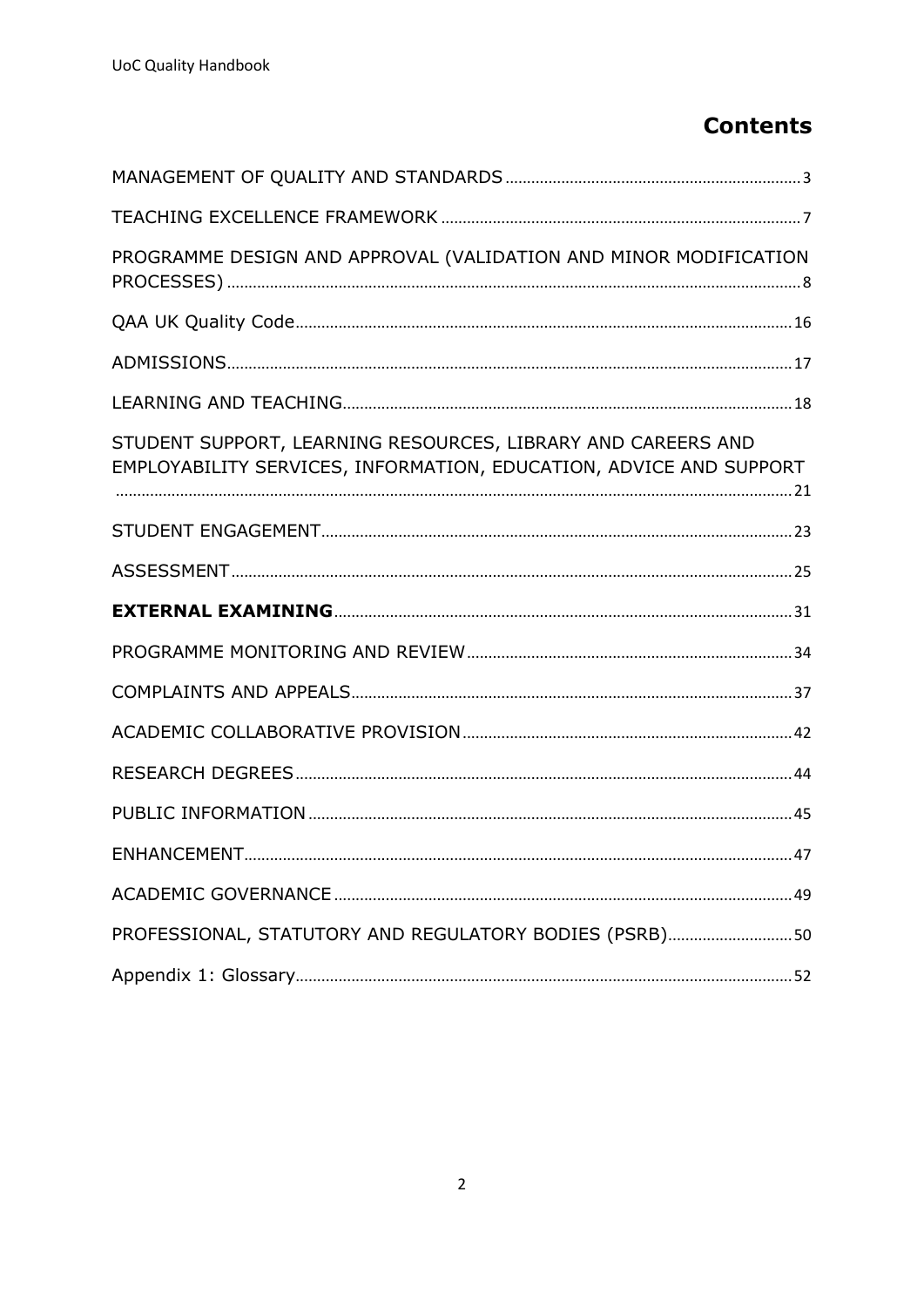## **Contents**

| PROGRAMME DESIGN AND APPROVAL (VALIDATION AND MINOR MODIFICATION                                                                   |
|------------------------------------------------------------------------------------------------------------------------------------|
|                                                                                                                                    |
|                                                                                                                                    |
|                                                                                                                                    |
| STUDENT SUPPORT, LEARNING RESOURCES, LIBRARY AND CAREERS AND<br>EMPLOYABILITY SERVICES, INFORMATION, EDUCATION, ADVICE AND SUPPORT |
|                                                                                                                                    |
|                                                                                                                                    |
|                                                                                                                                    |
|                                                                                                                                    |
|                                                                                                                                    |
|                                                                                                                                    |
|                                                                                                                                    |
|                                                                                                                                    |
| <b>ENHANCEMENT.</b><br>. 47                                                                                                        |
|                                                                                                                                    |
| PROFESSIONAL, STATUTORY AND REGULATORY BODIES (PSRB)50                                                                             |
|                                                                                                                                    |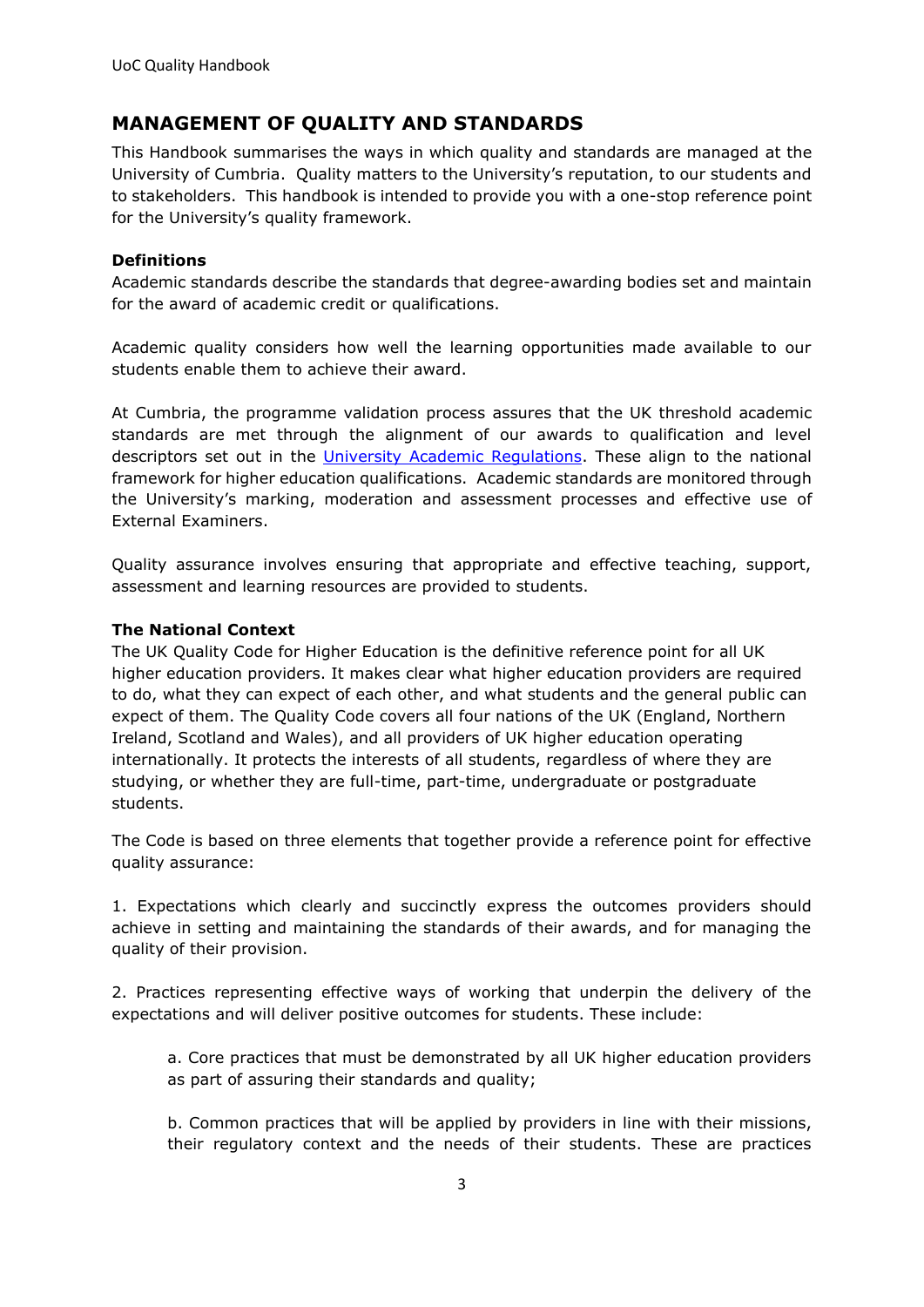### <span id="page-2-0"></span>**MANAGEMENT OF QUALITY AND STANDARDS**

This Handbook summarises the ways in which quality and standards are managed at the University of Cumbria. Quality matters to the University's reputation, to our students and to stakeholders. This handbook is intended to provide you with a one-stop reference point for the University's quality framework.

#### **Definitions**

Academic standards describe the standards that degree-awarding bodies set and maintain for the award of academic credit or qualifications.

Academic quality considers how well the learning opportunities made available to our students enable them to achieve their award.

At Cumbria, the programme validation process assures that the UK threshold academic standards are met through the alignment of our awards to qualification and level descriptors set out in the University [Academic Regulations.](https://unicumbriaac.sharepoint.com/sites/AQA/SitePages/Academic-Regulations.aspx) These align to the national framework for higher education qualifications. Academic standards are monitored through the University's marking, moderation and assessment processes and effective use of External Examiners.

Quality assurance involves ensuring that appropriate and effective teaching, support, assessment and learning resources are provided to students.

#### **The National Context**

The UK Quality Code for Higher Education is the definitive reference point for all UK higher education providers. It makes clear what higher education providers are required to do, what they can expect of each other, and what students and the general public can expect of them. The Quality Code covers all four nations of the UK (England, Northern Ireland, Scotland and Wales), and all providers of UK higher education operating internationally. It protects the interests of all students, regardless of where they are studying, or whether they are full-time, part-time, undergraduate or postgraduate students.

The Code is based on three elements that together provide a reference point for effective quality assurance:

1. Expectations which clearly and succinctly express the outcomes providers should achieve in setting and maintaining the standards of their awards, and for managing the quality of their provision.

2. Practices representing effective ways of working that underpin the delivery of the expectations and will deliver positive outcomes for students. These include:

a. Core practices that must be demonstrated by all UK higher education providers as part of assuring their standards and quality;

b. Common practices that will be applied by providers in line with their missions, their regulatory context and the needs of their students. These are practices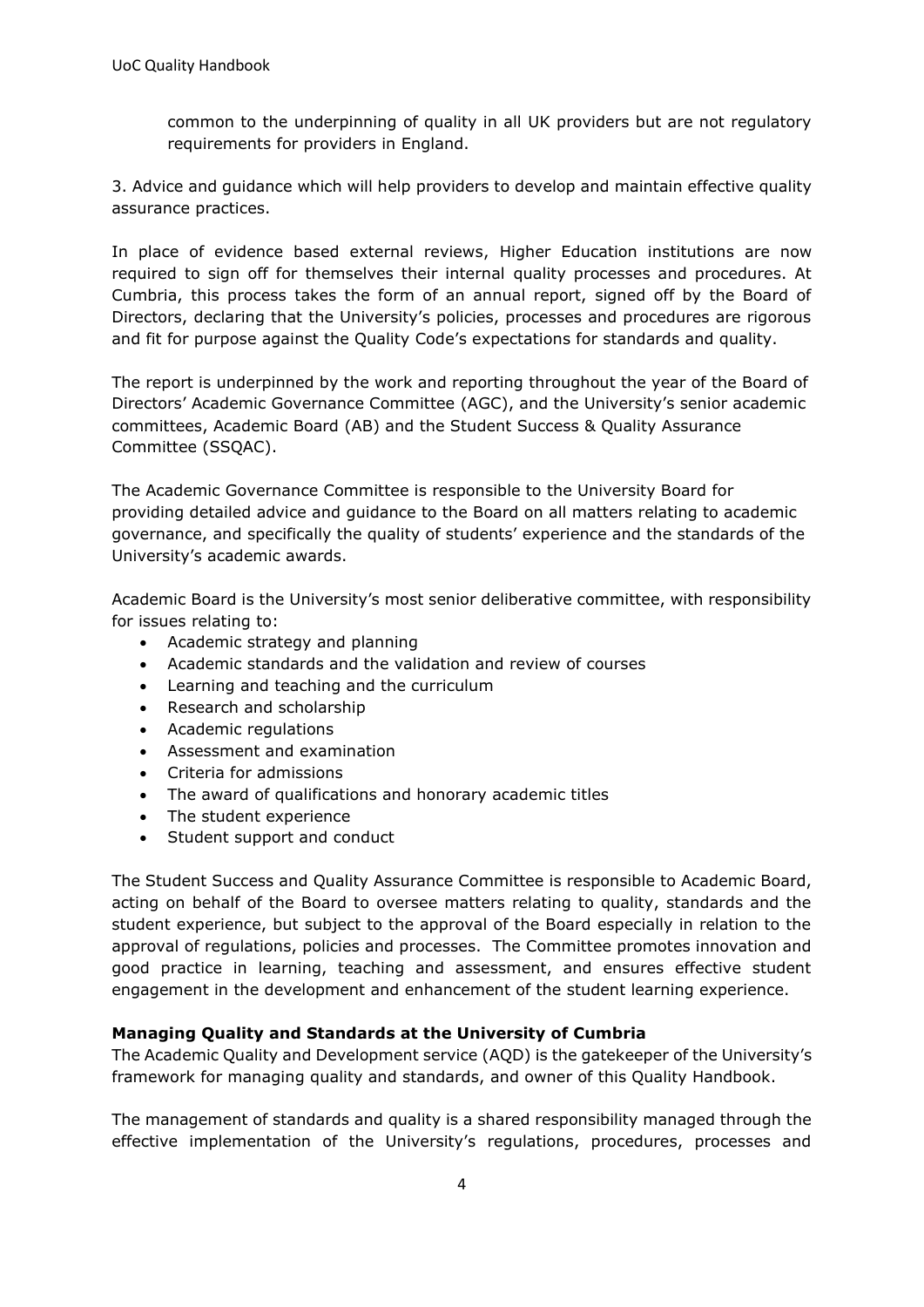common to the underpinning of quality in all UK providers but are not regulatory requirements for providers in England.

3. Advice and guidance which will help providers to develop and maintain effective quality assurance practices.

In place of evidence based external reviews, Higher Education institutions are now required to sign off for themselves their internal quality processes and procedures. At Cumbria, this process takes the form of an annual report, signed off by the Board of Directors, declaring that the University's policies, processes and procedures are rigorous and fit for purpose against the Quality Code's expectations for standards and quality.

The report is underpinned by the work and reporting throughout the year of the Board of Directors' Academic Governance Committee (AGC), and the University's senior academic committees, Academic Board (AB) and the Student Success & Quality Assurance Committee (SSQAC).

The Academic Governance Committee is responsible to the University Board for providing detailed advice and guidance to the Board on all matters relating to academic governance, and specifically the quality of students' experience and the standards of the University's academic awards.

Academic Board is the University's most senior deliberative committee, with responsibility for issues relating to:

- Academic strategy and planning
- Academic standards and the validation and review of courses
- Learning and teaching and the curriculum
- Research and scholarship
- Academic regulations
- Assessment and examination
- Criteria for admissions
- The award of qualifications and honorary academic titles
- The student experience
- Student support and conduct

The Student Success and Quality Assurance Committee is responsible to Academic Board, acting on behalf of the Board to oversee matters relating to quality, standards and the student experience, but subject to the approval of the Board especially in relation to the approval of regulations, policies and processes. The Committee promotes innovation and good practice in learning, teaching and assessment, and ensures effective student engagement in the development and enhancement of the student learning experience.

#### **Managing Quality and Standards at the University of Cumbria**

The Academic Quality and Development service (AQD) is the gatekeeper of the University's framework for managing quality and standards, and owner of this Quality Handbook.

The management of standards and quality is a shared responsibility managed through the effective implementation of the University's regulations, procedures, processes and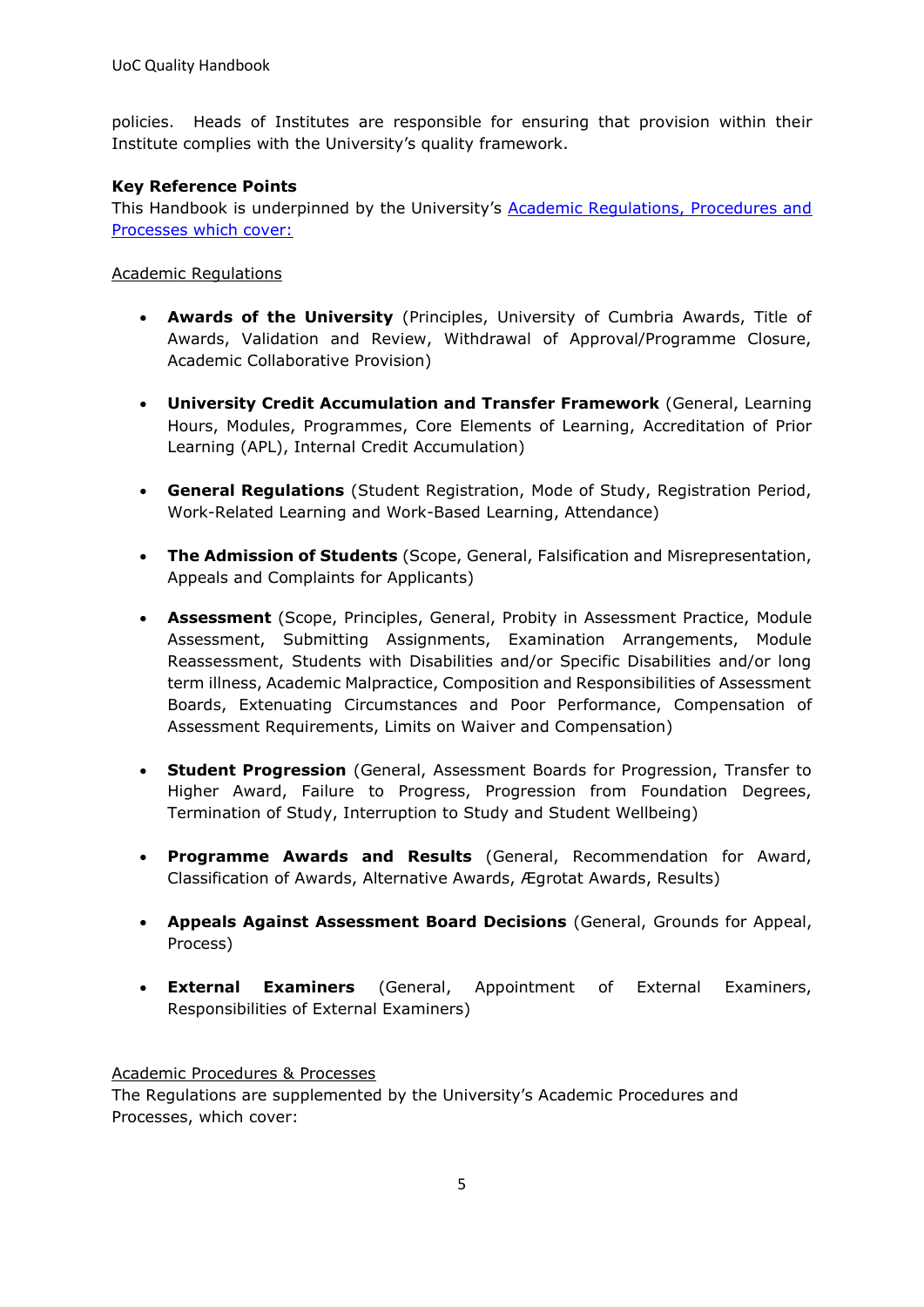policies. Heads of Institutes are responsible for ensuring that provision within their Institute complies with the University's quality framework.

#### **Key Reference Points**

This Handbook is underpinned by the University's [Academic Regulations, Procedures and](https://unicumbriaac.sharepoint.com/sites/AQA/SitePages/Academic-Regulations.aspx)  [Processes which cover:](https://unicumbriaac.sharepoint.com/sites/AQA/SitePages/Academic-Regulations.aspx)

Academic Regulations

- **Awards of the University** (Principles, University of Cumbria Awards, Title of Awards, Validation and Review, Withdrawal of Approval/Programme Closure, Academic Collaborative Provision)
- **University Credit Accumulation and Transfer Framework** (General, Learning Hours, Modules, Programmes, Core Elements of Learning, Accreditation of Prior Learning (APL), Internal Credit Accumulation)
- **General Regulations** (Student Registration, Mode of Study, Registration Period, Work-Related Learning and Work-Based Learning, Attendance)
- **The Admission of Students** (Scope, General, Falsification and Misrepresentation, Appeals and Complaints for Applicants)
- **Assessment** (Scope, Principles, General, Probity in Assessment Practice, Module Assessment, Submitting Assignments, Examination Arrangements, Module Reassessment, Students with Disabilities and/or Specific Disabilities and/or long term illness, Academic Malpractice, Composition and Responsibilities of Assessment Boards, Extenuating Circumstances and Poor Performance, Compensation of Assessment Requirements, Limits on Waiver and Compensation)
- **Student Progression** (General, Assessment Boards for Progression, Transfer to Higher Award, Failure to Progress, Progression from Foundation Degrees, Termination of Study, Interruption to Study and Student Wellbeing)
- **Programme Awards and Results** (General, Recommendation for Award, Classification of Awards, Alternative Awards, Ægrotat Awards, Results)
- **Appeals Against Assessment Board Decisions** (General, Grounds for Appeal, Process)
- **External Examiners** (General, Appointment of External Examiners, Responsibilities of External Examiners)

#### Academic Procedures & Processes

The Regulations are supplemented by the University's Academic Procedures and Processes, which cover: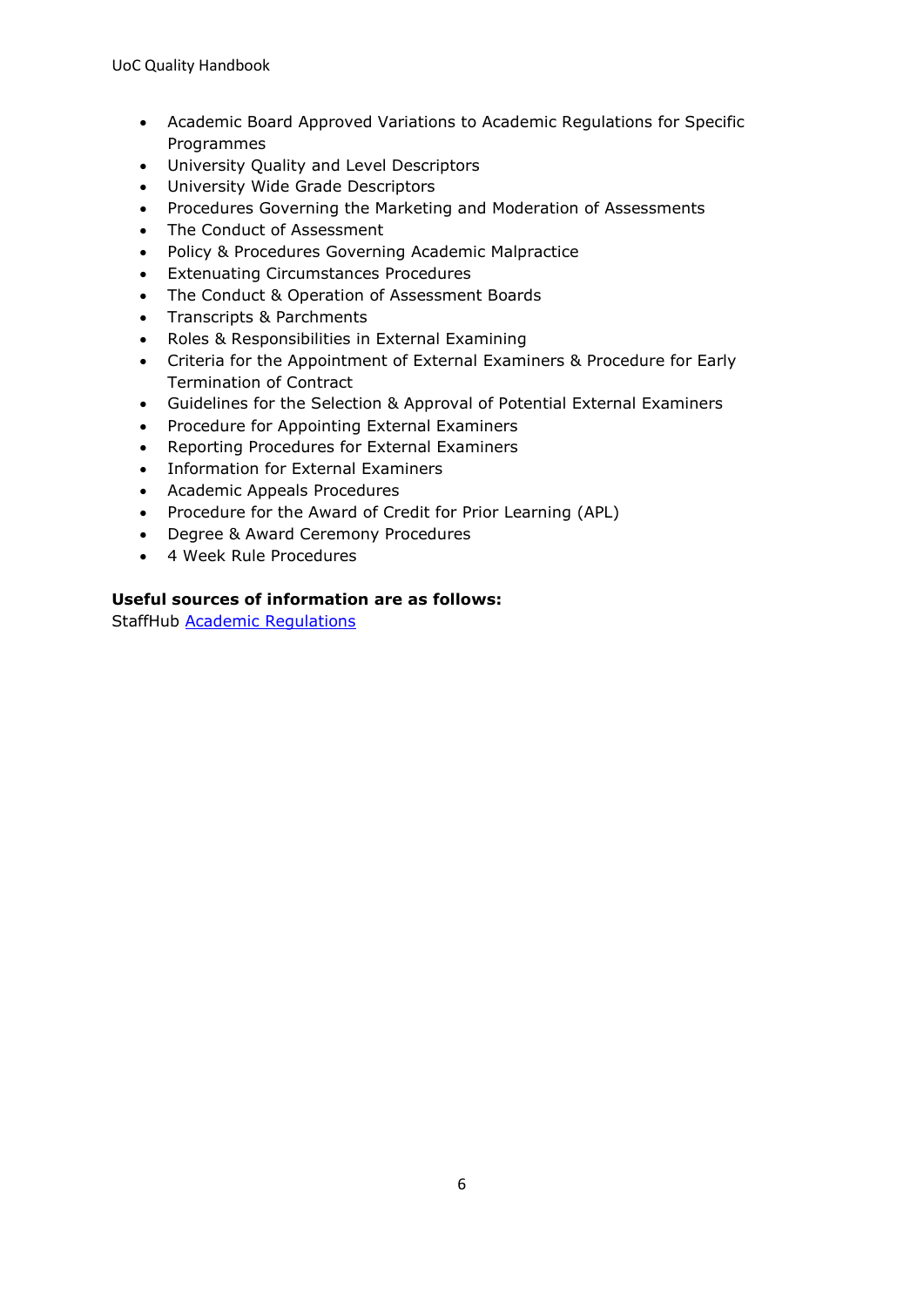- Academic Board Approved Variations to Academic Regulations for Specific Programmes
- University Quality and Level Descriptors
- University Wide Grade Descriptors
- Procedures Governing the Marketing and Moderation of Assessments
- The Conduct of Assessment
- Policy & Procedures Governing Academic Malpractice
- Extenuating Circumstances Procedures
- The Conduct & Operation of Assessment Boards
- Transcripts & Parchments
- Roles & Responsibilities in External Examining
- Criteria for the Appointment of External Examiners & Procedure for Early Termination of Contract
- Guidelines for the Selection & Approval of Potential External Examiners
- Procedure for Appointing External Examiners
- Reporting Procedures for External Examiners
- Information for External Examiners
- Academic Appeals Procedures
- Procedure for the Award of Credit for Prior Learning (APL)
- Degree & Award Ceremony Procedures
- 4 Week Rule Procedures

#### **Useful sources of information are as follows:**

StaffHub [Academic Regulations](https://unicumbriaac.sharepoint.com/sites/AQA/SitePages/Academic-Regulations.aspx)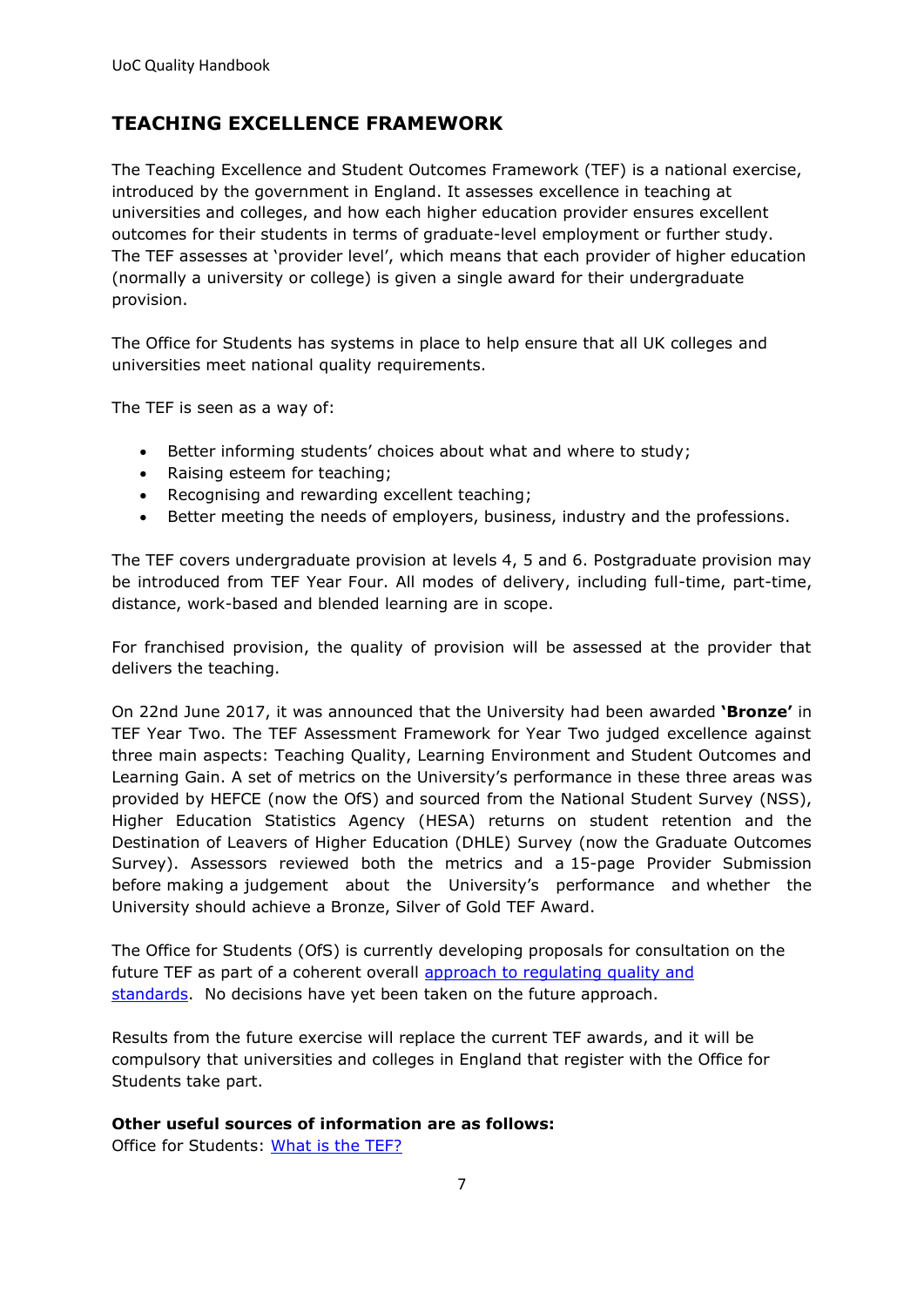## <span id="page-6-0"></span>**TEACHING EXCELLENCE FRAMEWORK**

The Teaching Excellence and Student Outcomes Framework (TEF) is a national exercise, introduced by the government in England. It assesses excellence in teaching at universities and colleges, and how each higher education provider ensures excellent outcomes for their students in terms of graduate-level employment or further study. The TEF assesses at 'provider level', which means that each provider of higher education (normally a university or college) is given a single award for their undergraduate provision.

The Office for Students has systems in place to help ensure that all UK colleges and universities meet national quality requirements.

The TEF is seen as a way of:

- Better informing students' choices about what and where to study;
- Raising esteem for teaching;
- Recognising and rewarding excellent teaching;
- Better meeting the needs of employers, business, industry and the professions.

The TEF covers undergraduate provision at levels 4, 5 and 6. Postgraduate provision may be introduced from TEF Year Four. All modes of delivery, including full-time, part-time, distance, work-based and blended learning are in scope.

For franchised provision, the quality of provision will be assessed at the provider that delivers the teaching.

On 22nd June 2017, it was announced that the University had been awarded **'Bronze'** in TEF Year Two. The TEF Assessment Framework for Year Two judged excellence against three main aspects: Teaching Quality, Learning Environment and Student Outcomes and Learning Gain. A set of metrics on the University's performance in these three areas was provided by HEFCE (now the OfS) and sourced from the National Student Survey (NSS), Higher Education Statistics Agency (HESA) returns on student retention and the Destination of Leavers of Higher Education (DHLE) Survey (now the Graduate Outcomes Survey). Assessors reviewed both the metrics and a 15-page Provider Submission before making a judgement about the University's performance and whether the University should achieve a Bronze, Silver of Gold TEF Award.

The Office for Students (OfS) is currently developing proposals for consultation on the future TEF as part of a coherent overall approach to requlating quality and [standards.](https://www.officeforstudents.org.uk/advice-and-guidance/quality-and-standards/changes-to-our-approach/) No decisions have yet been taken on the future approach.

Results from the future exercise will replace the current TEF awards, and it will be compulsory that universities and colleges in England that register with the Office for Students take part.

#### **Other useful sources of information are as follows:**

Office for Students: [What is the TEF?](https://www.officeforstudents.org.uk/advice-and-guidance/teaching/what-is-the-tef/)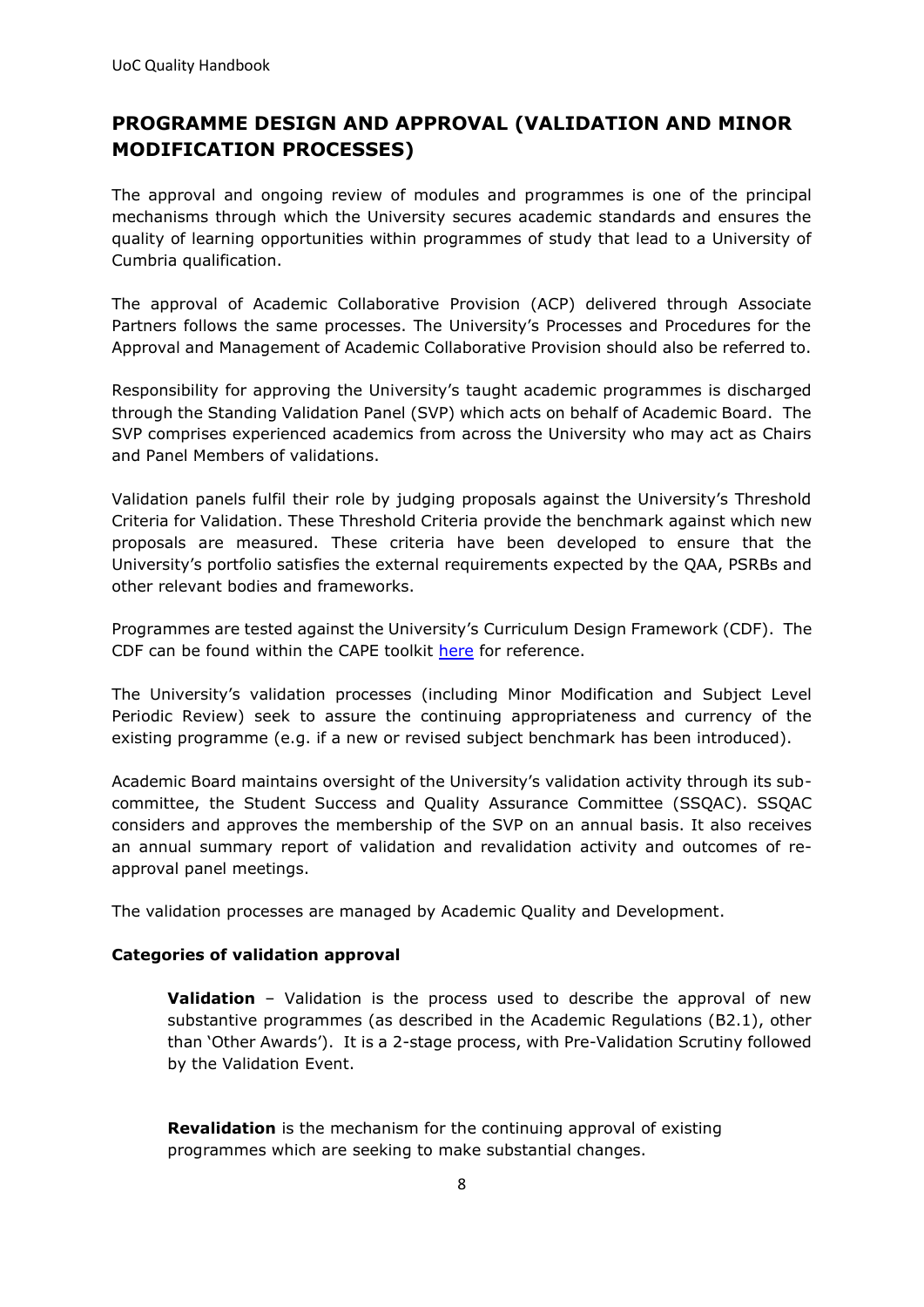## <span id="page-7-0"></span>**PROGRAMME DESIGN AND APPROVAL (VALIDATION AND MINOR MODIFICATION PROCESSES)**

The approval and ongoing review of modules and programmes is one of the principal mechanisms through which the University secures academic standards and ensures the quality of learning opportunities within programmes of study that lead to a University of Cumbria qualification.

The approval of Academic Collaborative Provision (ACP) delivered through Associate Partners follows the same processes. The University's Processes and Procedures for the Approval and Management of Academic Collaborative Provision should also be referred to.

Responsibility for approving the University's taught academic programmes is discharged through the Standing Validation Panel (SVP) which acts on behalf of Academic Board. The SVP comprises experienced academics from across the University who may act as Chairs and Panel Members of validations.

Validation panels fulfil their role by judging proposals against the University's Threshold Criteria for Validation. These Threshold Criteria provide the benchmark against which new proposals are measured. These criteria have been developed to ensure that the University's portfolio satisfies the external requirements expected by the QAA, PSRBs and other relevant bodies and frameworks.

Programmes are tested against the University's Curriculum Design Framework (CDF). The CDF can be found within the CAPE toolkit [here](https://unicumbriaac.sharepoint.com/sites/CAPEAcademicToolkit) for reference.

The University's validation processes (including Minor Modification and Subject Level Periodic Review) seek to assure the continuing appropriateness and currency of the existing programme (e.g. if a new or revised subject benchmark has been introduced).

Academic Board maintains oversight of the University's validation activity through its subcommittee, the Student Success and Quality Assurance Committee (SSQAC). SSQAC considers and approves the membership of the SVP on an annual basis. It also receives an annual summary report of validation and revalidation activity and outcomes of reapproval panel meetings.

The validation processes are managed by Academic Quality and Development.

#### **Categories of validation approval**

**Validation** – Validation is the process used to describe the approval of new substantive programmes (as described in the Academic Regulations (B2.1), other than 'Other Awards'). It is a 2-stage process, with Pre-Validation Scrutiny followed by the Validation Event.

**Revalidation** is the mechanism for the continuing approval of existing programmes which are seeking to make substantial changes.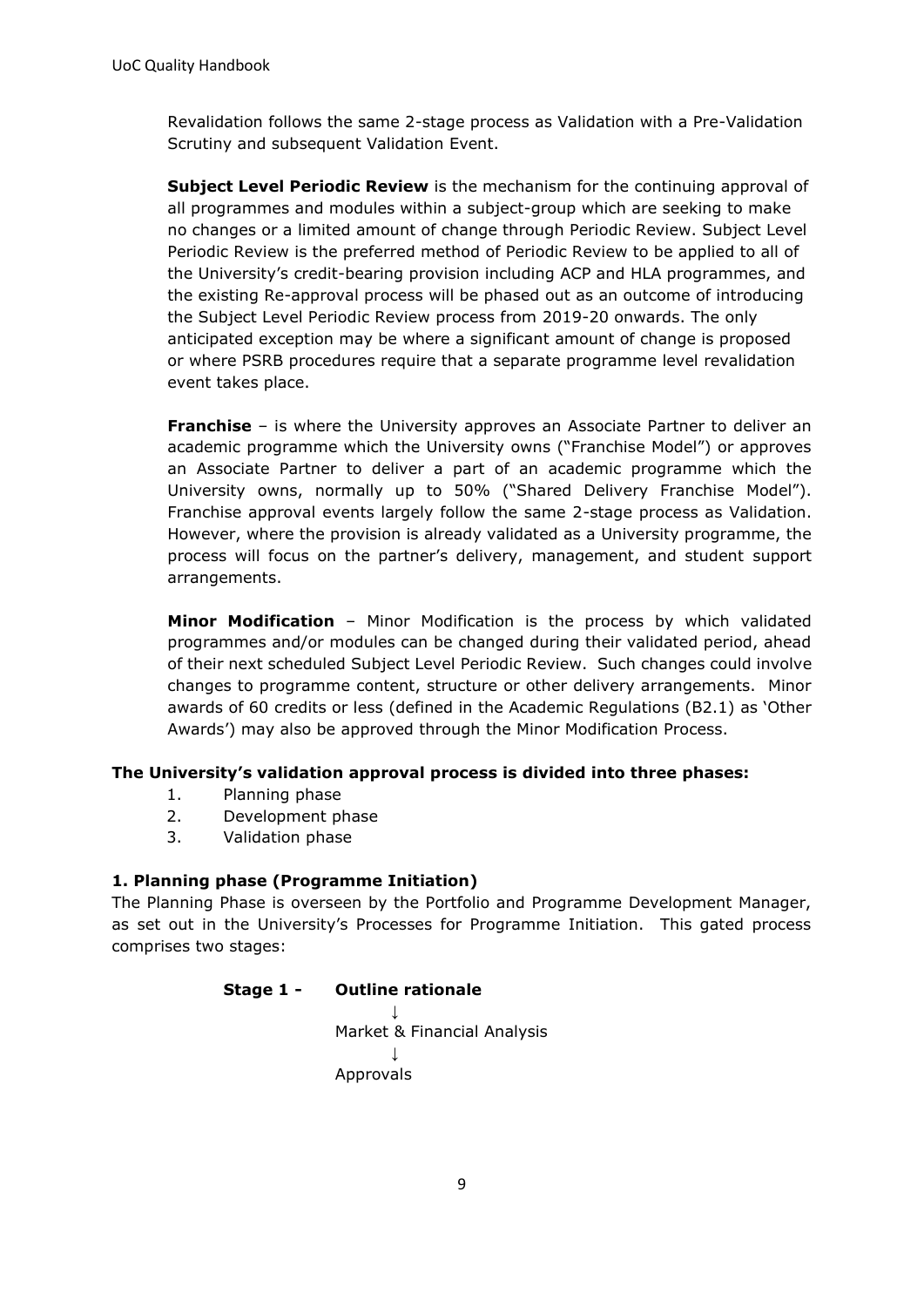Revalidation follows the same 2-stage process as Validation with a Pre-Validation Scrutiny and subsequent Validation Event.

**Subject Level Periodic Review** is the mechanism for the continuing approval of all programmes and modules within a subject-group which are seeking to make no changes or a limited amount of change through Periodic Review. Subject Level Periodic Review is the preferred method of Periodic Review to be applied to all of the University's credit-bearing provision including ACP and HLA programmes, and the existing Re-approval process will be phased out as an outcome of introducing the Subject Level Periodic Review process from 2019-20 onwards. The only anticipated exception may be where a significant amount of change is proposed or where PSRB procedures require that a separate programme level revalidation event takes place.

**Franchise** – is where the University approves an Associate Partner to deliver an academic programme which the University owns ("Franchise Model") or approves an Associate Partner to deliver a part of an academic programme which the University owns, normally up to 50% ("Shared Delivery Franchise Model"). Franchise approval events largely follow the same 2-stage process as Validation. However, where the provision is already validated as a University programme, the process will focus on the partner's delivery, management, and student support arrangements.

**Minor Modification** – Minor Modification is the process by which validated programmes and/or modules can be changed during their validated period, ahead of their next scheduled Subject Level Periodic Review. Such changes could involve changes to programme content, structure or other delivery arrangements. Minor awards of 60 credits or less (defined in the Academic Regulations (B2.1) as 'Other Awards') may also be approved through the Minor Modification Process.

#### **The University's validation approval process is divided into three phases:**

- 1. Planning phase
- 2. Development phase
- 3. Validation phase

#### **1. Planning phase (Programme Initiation)**

The Planning Phase is overseen by the Portfolio and Programme Development Manager, as set out in the University's Processes for Programme Initiation. This gated process comprises two stages:

#### **Stage 1 - Outline rationale**

↓ Market & Financial Analysis ↓ Approvals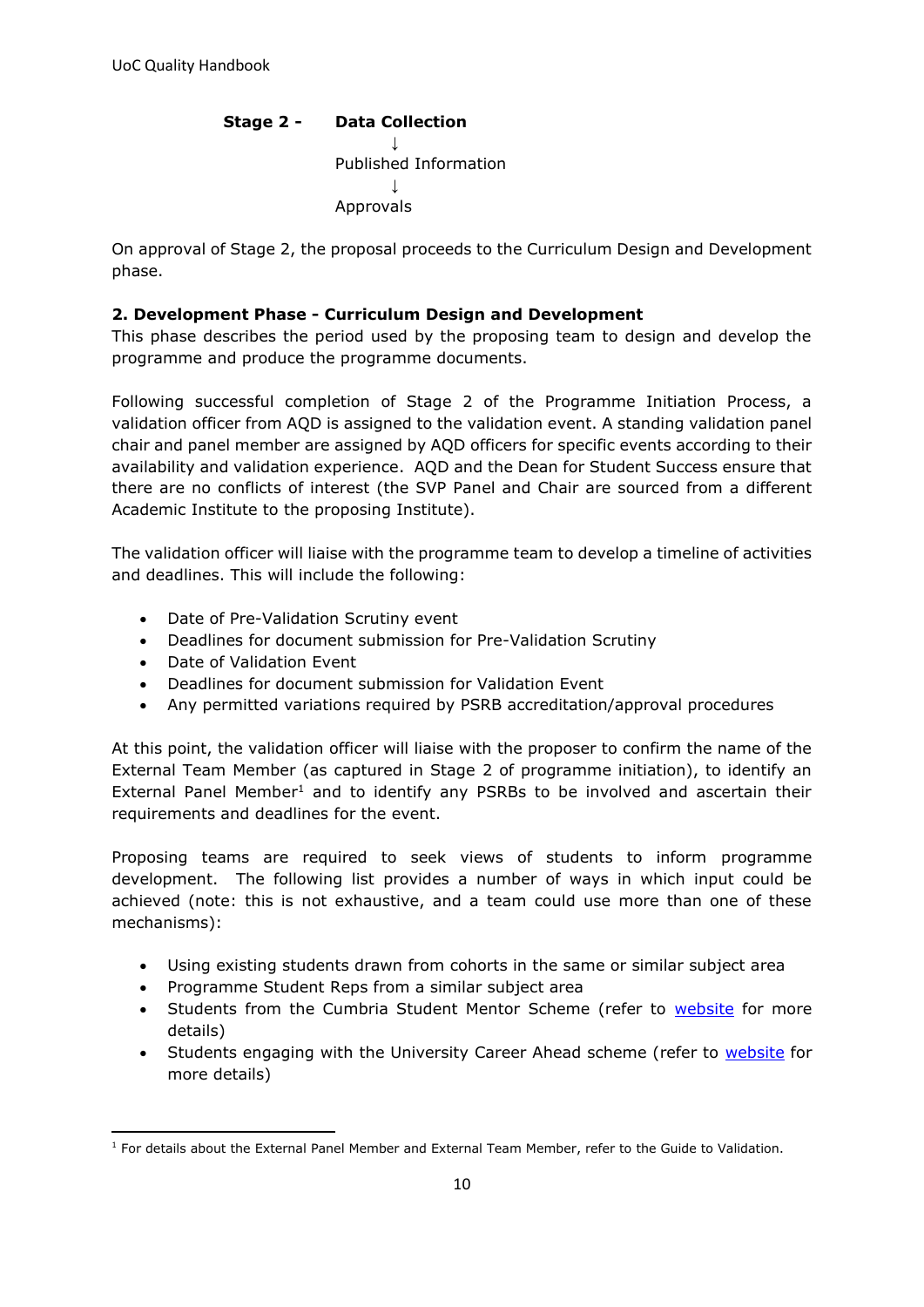#### **Stage 2 - Data Collection** ↓ Published Information ↓ Approvals

On approval of Stage 2, the proposal proceeds to the Curriculum Design and Development phase.

#### **2. Development Phase - Curriculum Design and Development**

This phase describes the period used by the proposing team to design and develop the programme and produce the programme documents.

Following successful completion of Stage 2 of the Programme Initiation Process, a validation officer from AQD is assigned to the validation event. A standing validation panel chair and panel member are assigned by AQD officers for specific events according to their availability and validation experience. AQD and the Dean for Student Success ensure that there are no conflicts of interest (the SVP Panel and Chair are sourced from a different Academic Institute to the proposing Institute).

The validation officer will liaise with the programme team to develop a timeline of activities and deadlines. This will include the following:

- Date of Pre-Validation Scrutiny event
- Deadlines for document submission for Pre-Validation Scrutiny
- Date of Validation Event
- Deadlines for document submission for Validation Event
- Any permitted variations required by PSRB accreditation/approval procedures

At this point, the validation officer will liaise with the proposer to confirm the name of the External Team Member (as captured in Stage 2 of programme initiation), to identify an External Panel Member<sup>1</sup> and to identify any PSRBs to be involved and ascertain their requirements and deadlines for the event.

Proposing teams are required to seek views of students to inform programme development. The following list provides a number of ways in which input could be achieved (note: this is not exhaustive, and a team could use more than one of these mechanisms):

- Using existing students drawn from cohorts in the same or similar subject area
- Programme Student Reps from a similar subject area
- Students from the Cumbria Student Mentor Scheme (refer to [website](https://my.cumbria.ac.uk/Student-Life/Support/Mentoring/Life-Mentors/) for more details)
- Students engaging with the University Career Ahead scheme (refer to [website](https://my.cumbria.ac.uk/Student-Life/careers/Career-Ahead/) for more details)

 $<sup>1</sup>$  For details about the External Panel Member and External Team Member, refer to the Guide to Validation.</sup>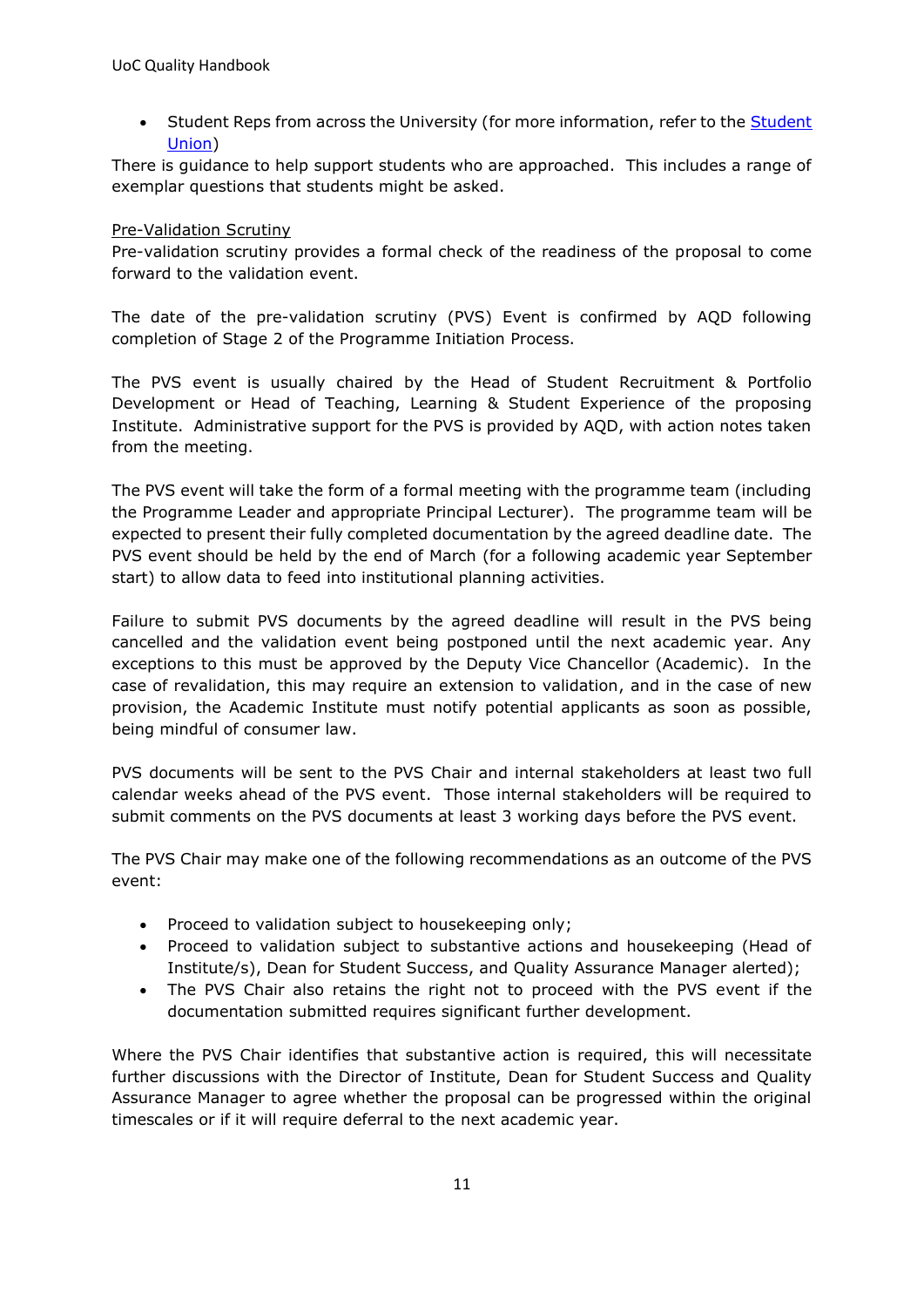• Student Reps from across the University (for more information, refer to the [Student](http://www.ucsu.me/)  [Union\)](http://www.ucsu.me/)

There is guidance to help support students who are approached. This includes a range of exemplar questions that students might be asked.

#### Pre-Validation Scrutiny

Pre-validation scrutiny provides a formal check of the readiness of the proposal to come forward to the validation event.

The date of the pre-validation scrutiny (PVS) Event is confirmed by AQD following completion of Stage 2 of the Programme Initiation Process.

The PVS event is usually chaired by the Head of Student Recruitment & Portfolio Development or Head of Teaching, Learning & Student Experience of the proposing Institute. Administrative support for the PVS is provided by AQD, with action notes taken from the meeting.

The PVS event will take the form of a formal meeting with the programme team (including the Programme Leader and appropriate Principal Lecturer). The programme team will be expected to present their fully completed documentation by the agreed deadline date. The PVS event should be held by the end of March (for a following academic year September start) to allow data to feed into institutional planning activities.

Failure to submit PVS documents by the agreed deadline will result in the PVS being cancelled and the validation event being postponed until the next academic year. Any exceptions to this must be approved by the Deputy Vice Chancellor (Academic). In the case of revalidation, this may require an extension to validation, and in the case of new provision, the Academic Institute must notify potential applicants as soon as possible, being mindful of consumer law.

PVS documents will be sent to the PVS Chair and internal stakeholders at least two full calendar weeks ahead of the PVS event. Those internal stakeholders will be required to submit comments on the PVS documents at least 3 working days before the PVS event.

The PVS Chair may make one of the following recommendations as an outcome of the PVS event:

- Proceed to validation subject to housekeeping only;
- Proceed to validation subject to substantive actions and housekeeping (Head of Institute/s), Dean for Student Success, and Quality Assurance Manager alerted);
- The PVS Chair also retains the right not to proceed with the PVS event if the documentation submitted requires significant further development.

Where the PVS Chair identifies that substantive action is required, this will necessitate further discussions with the Director of Institute, Dean for Student Success and Quality Assurance Manager to agree whether the proposal can be progressed within the original timescales or if it will require deferral to the next academic year.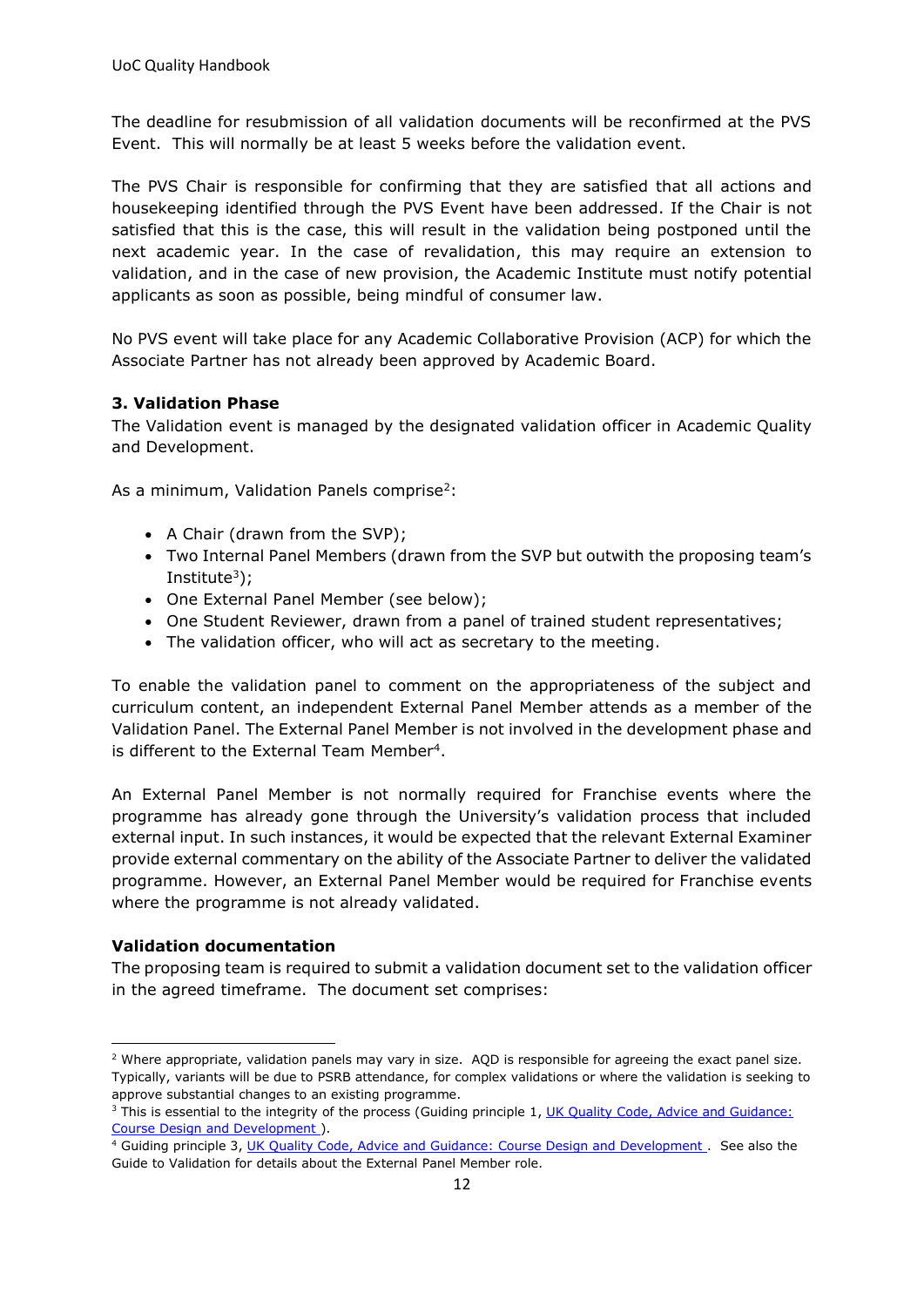The deadline for resubmission of all validation documents will be reconfirmed at the PVS Event. This will normally be at least 5 weeks before the validation event.

The PVS Chair is responsible for confirming that they are satisfied that all actions and housekeeping identified through the PVS Event have been addressed. If the Chair is not satisfied that this is the case, this will result in the validation being postponed until the next academic year. In the case of revalidation, this may require an extension to validation, and in the case of new provision, the Academic Institute must notify potential applicants as soon as possible, being mindful of consumer law.

No PVS event will take place for any Academic Collaborative Provision (ACP) for which the Associate Partner has not already been approved by Academic Board.

#### **3. Validation Phase**

The Validation event is managed by the designated validation officer in Academic Quality and Development.

As a minimum, Validation Panels comprise<sup>2</sup>:

- A Chair (drawn from the SVP);
- Two Internal Panel Members (drawn from the SVP but outwith the proposing team's Institute<sup>3</sup>);
- One External Panel Member (see below);
- One Student Reviewer, drawn from a panel of trained student representatives;
- The validation officer, who will act as secretary to the meeting.

To enable the validation panel to comment on the appropriateness of the subject and curriculum content, an independent External Panel Member attends as a member of the Validation Panel. The External Panel Member is not involved in the development phase and is different to the External Team Member<sup>4</sup>.

An External Panel Member is not normally required for Franchise events where the programme has already gone through the University's validation process that included external input. In such instances, it would be expected that the relevant External Examiner provide external commentary on the ability of the Associate Partner to deliver the validated programme. However, an External Panel Member would be required for Franchise events where the programme is not already validated.

#### **Validation documentation**

The proposing team is required to submit a validation document set to the validation officer in the agreed timeframe. The document set comprises:

<sup>&</sup>lt;sup>2</sup> Where appropriate, validation panels may vary in size. AOD is responsible for agreeing the exact panel size. Typically, variants will be due to PSRB attendance, for complex validations or where the validation is seeking to approve substantial changes to an existing programme.

<sup>&</sup>lt;sup>3</sup> This is essential to the integrity of the process (Guiding principle 1, UK Quality Code, Advice and Guidance: [Course Design and Development \)](https://www.qaa.ac.uk/en/quality-code/advice-and-guidance/course-design-and-development).

<sup>&</sup>lt;sup>4</sup> Guiding principle 3, UK Quality Code, Advice and Guidance: Course Design and Development. See also the Guide to Validation for details about the External Panel Member role.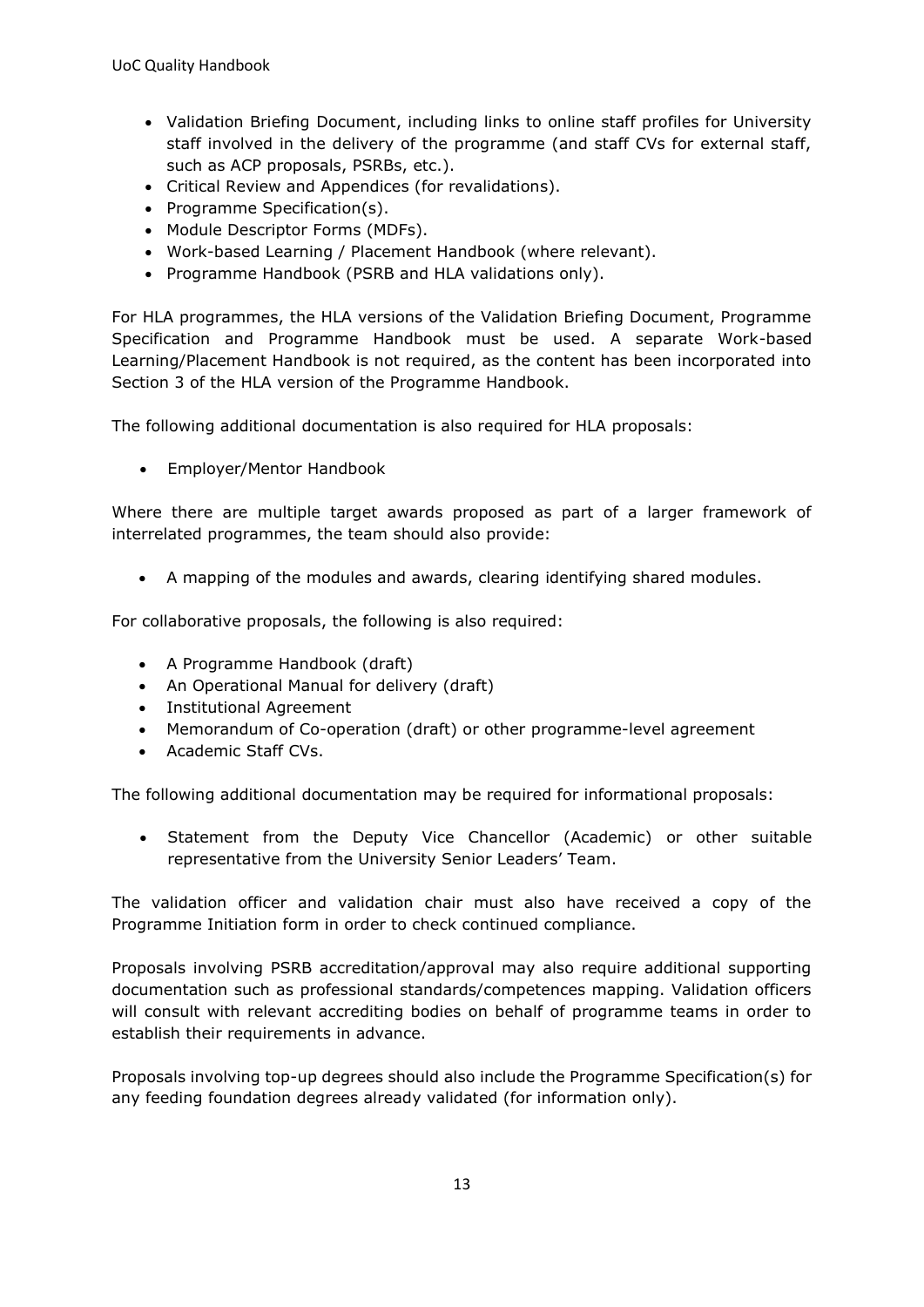- Validation Briefing Document, including links to online staff profiles for University staff involved in the delivery of the programme (and staff CVs for external staff, such as ACP proposals, PSRBs, etc.).
- Critical Review and Appendices (for revalidations).
- Programme Specification(s).
- Module Descriptor Forms (MDFs).
- Work-based Learning / Placement Handbook (where relevant).
- Programme Handbook (PSRB and HLA validations only).

For HLA programmes, the HLA versions of the Validation Briefing Document, Programme Specification and Programme Handbook must be used. A separate Work-based Learning/Placement Handbook is not required, as the content has been incorporated into Section 3 of the HLA version of the Programme Handbook.

The following additional documentation is also required for HLA proposals:

• Employer/Mentor Handbook

Where there are multiple target awards proposed as part of a larger framework of interrelated programmes, the team should also provide:

• A mapping of the modules and awards, clearing identifying shared modules.

For collaborative proposals, the following is also required:

- A Programme Handbook (draft)
- An Operational Manual for delivery (draft)
- Institutional Agreement
- Memorandum of Co-operation (draft) or other programme-level agreement
- Academic Staff CVs.

The following additional documentation may be required for informational proposals:

• Statement from the Deputy Vice Chancellor (Academic) or other suitable representative from the University Senior Leaders' Team.

The validation officer and validation chair must also have received a copy of the Programme Initiation form in order to check continued compliance.

Proposals involving PSRB accreditation/approval may also require additional supporting documentation such as professional standards/competences mapping. Validation officers will consult with relevant accrediting bodies on behalf of programme teams in order to establish their requirements in advance.

Proposals involving top-up degrees should also include the Programme Specification(s) for any feeding foundation degrees already validated (for information only).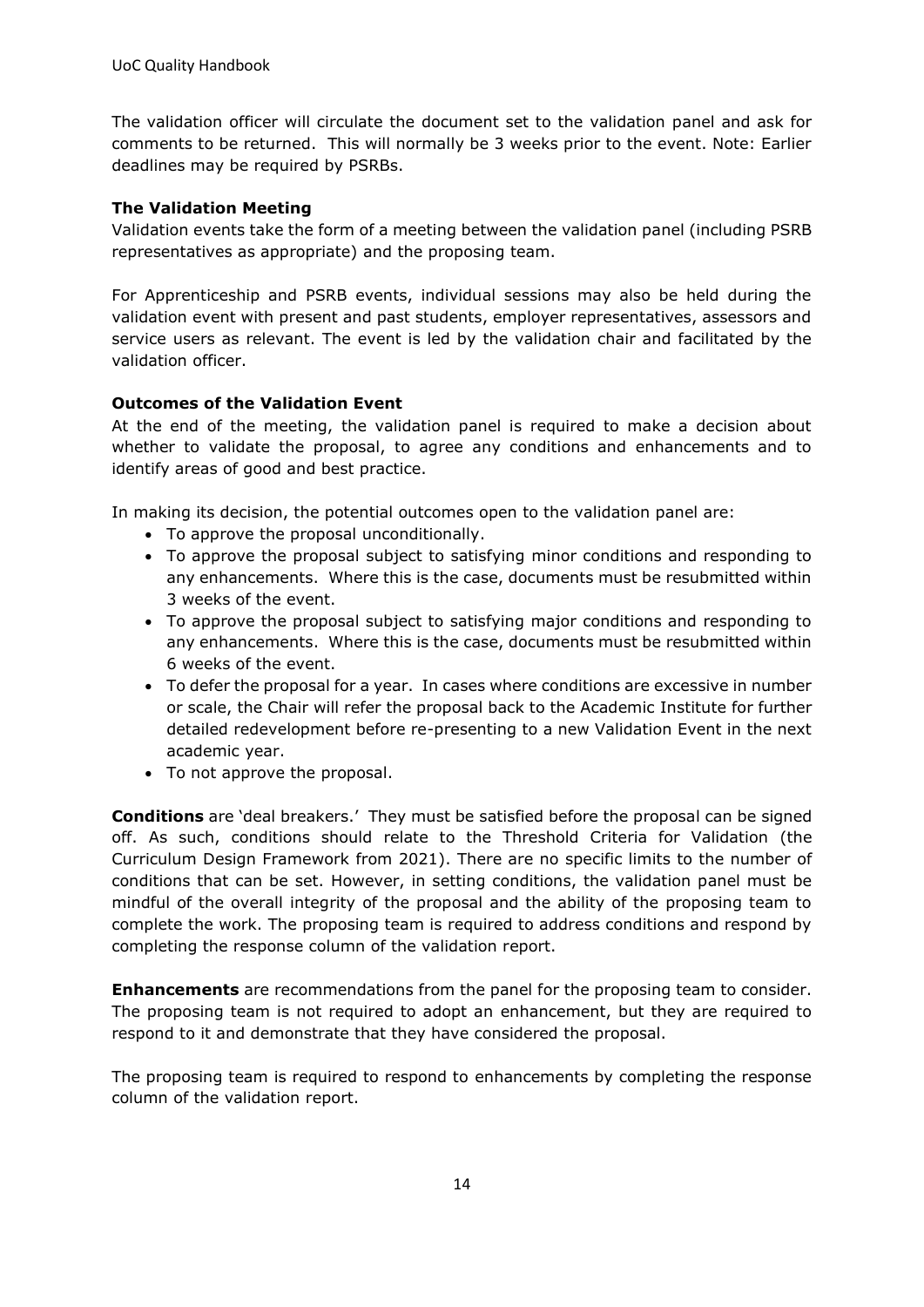The validation officer will circulate the document set to the validation panel and ask for comments to be returned. This will normally be 3 weeks prior to the event. Note: Earlier deadlines may be required by PSRBs.

#### **The Validation Meeting**

Validation events take the form of a meeting between the validation panel (including PSRB representatives as appropriate) and the proposing team.

For Apprenticeship and PSRB events, individual sessions may also be held during the validation event with present and past students, employer representatives, assessors and service users as relevant. The event is led by the validation chair and facilitated by the validation officer.

#### **Outcomes of the Validation Event**

At the end of the meeting, the validation panel is required to make a decision about whether to validate the proposal, to agree any conditions and enhancements and to identify areas of good and best practice.

In making its decision, the potential outcomes open to the validation panel are:

- To approve the proposal unconditionally.
- To approve the proposal subject to satisfying minor conditions and responding to any enhancements. Where this is the case, documents must be resubmitted within 3 weeks of the event.
- To approve the proposal subject to satisfying major conditions and responding to any enhancements. Where this is the case, documents must be resubmitted within 6 weeks of the event.
- To defer the proposal for a year. In cases where conditions are excessive in number or scale, the Chair will refer the proposal back to the Academic Institute for further detailed redevelopment before re-presenting to a new Validation Event in the next academic year.
- To not approve the proposal.

**Conditions** are 'deal breakers.' They must be satisfied before the proposal can be signed off. As such, conditions should relate to the Threshold Criteria for Validation (the Curriculum Design Framework from 2021). There are no specific limits to the number of conditions that can be set. However, in setting conditions, the validation panel must be mindful of the overall integrity of the proposal and the ability of the proposing team to complete the work. The proposing team is required to address conditions and respond by completing the response column of the validation report.

**Enhancements** are recommendations from the panel for the proposing team to consider. The proposing team is not required to adopt an enhancement, but they are required to respond to it and demonstrate that they have considered the proposal.

The proposing team is required to respond to enhancements by completing the response column of the validation report.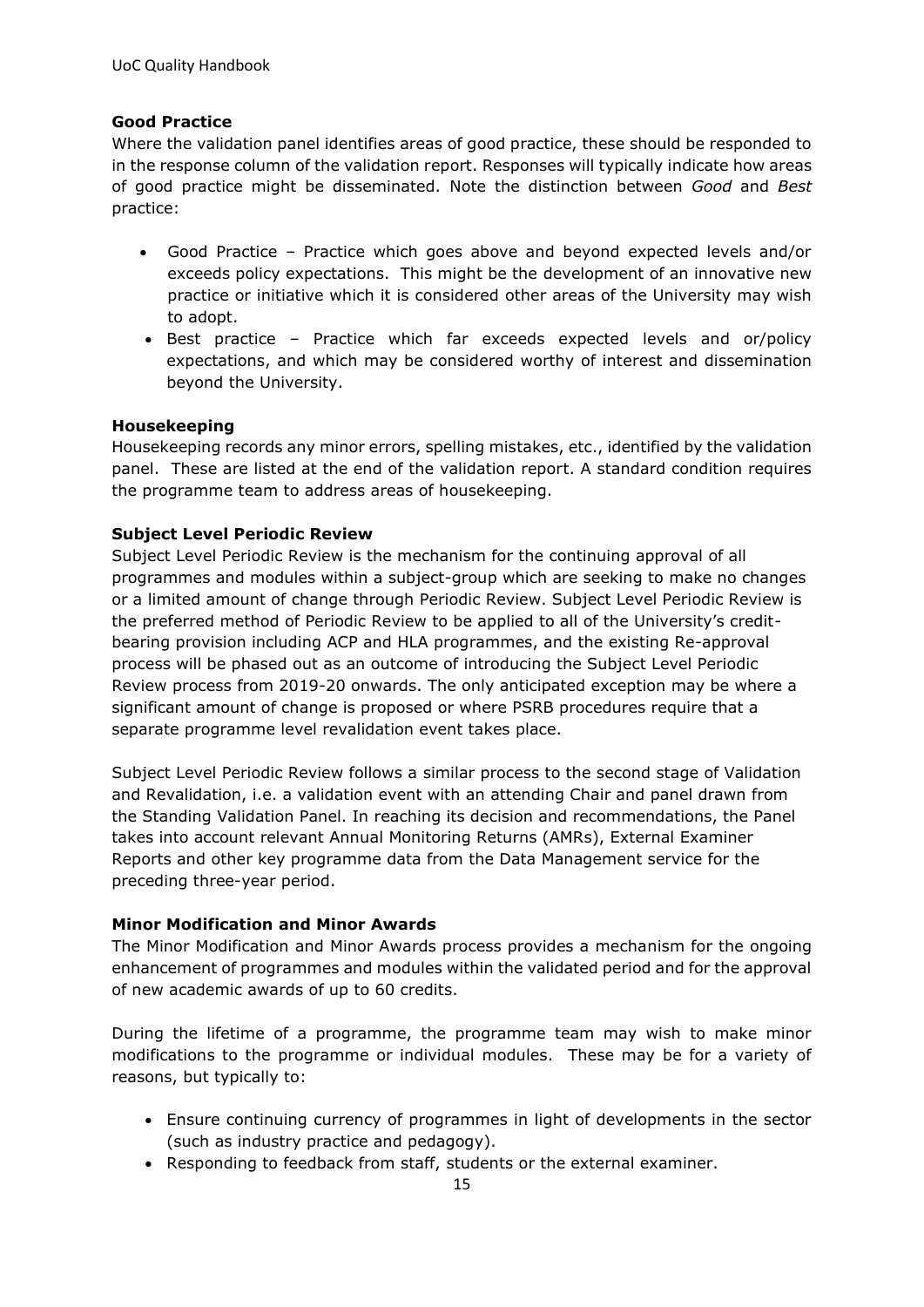#### **Good Practice**

Where the validation panel identifies areas of good practice, these should be responded to in the response column of the validation report. Responses will typically indicate how areas of good practice might be disseminated. Note the distinction between *Good* and *Best* practice:

- Good Practice Practice which goes above and beyond expected levels and/or exceeds policy expectations. This might be the development of an innovative new practice or initiative which it is considered other areas of the University may wish to adopt.
- Best practice Practice which far exceeds expected levels and or/policy expectations, and which may be considered worthy of interest and dissemination beyond the University.

#### **Housekeeping**

Housekeeping records any minor errors, spelling mistakes, etc., identified by the validation panel. These are listed at the end of the validation report. A standard condition requires the programme team to address areas of housekeeping.

#### **Subject Level Periodic Review**

Subject Level Periodic Review is the mechanism for the continuing approval of all programmes and modules within a subject-group which are seeking to make no changes or a limited amount of change through Periodic Review. Subject Level Periodic Review is the preferred method of Periodic Review to be applied to all of the University's creditbearing provision including ACP and HLA programmes, and the existing Re-approval process will be phased out as an outcome of introducing the Subject Level Periodic Review process from 2019-20 onwards. The only anticipated exception may be where a significant amount of change is proposed or where PSRB procedures require that a separate programme level revalidation event takes place.

Subject Level Periodic Review follows a similar process to the second stage of Validation and Revalidation, i.e. a validation event with an attending Chair and panel drawn from the Standing Validation Panel. In reaching its decision and recommendations, the Panel takes into account relevant Annual Monitoring Returns (AMRs), External Examiner Reports and other key programme data from the Data Management service for the preceding three-year period.

#### **Minor Modification and Minor Awards**

The Minor Modification and Minor Awards process provides a mechanism for the ongoing enhancement of programmes and modules within the validated period and for the approval of new academic awards of up to 60 credits.

During the lifetime of a programme, the programme team may wish to make minor modifications to the programme or individual modules. These may be for a variety of reasons, but typically to:

- Ensure continuing currency of programmes in light of developments in the sector (such as industry practice and pedagogy).
- Responding to feedback from staff, students or the external examiner.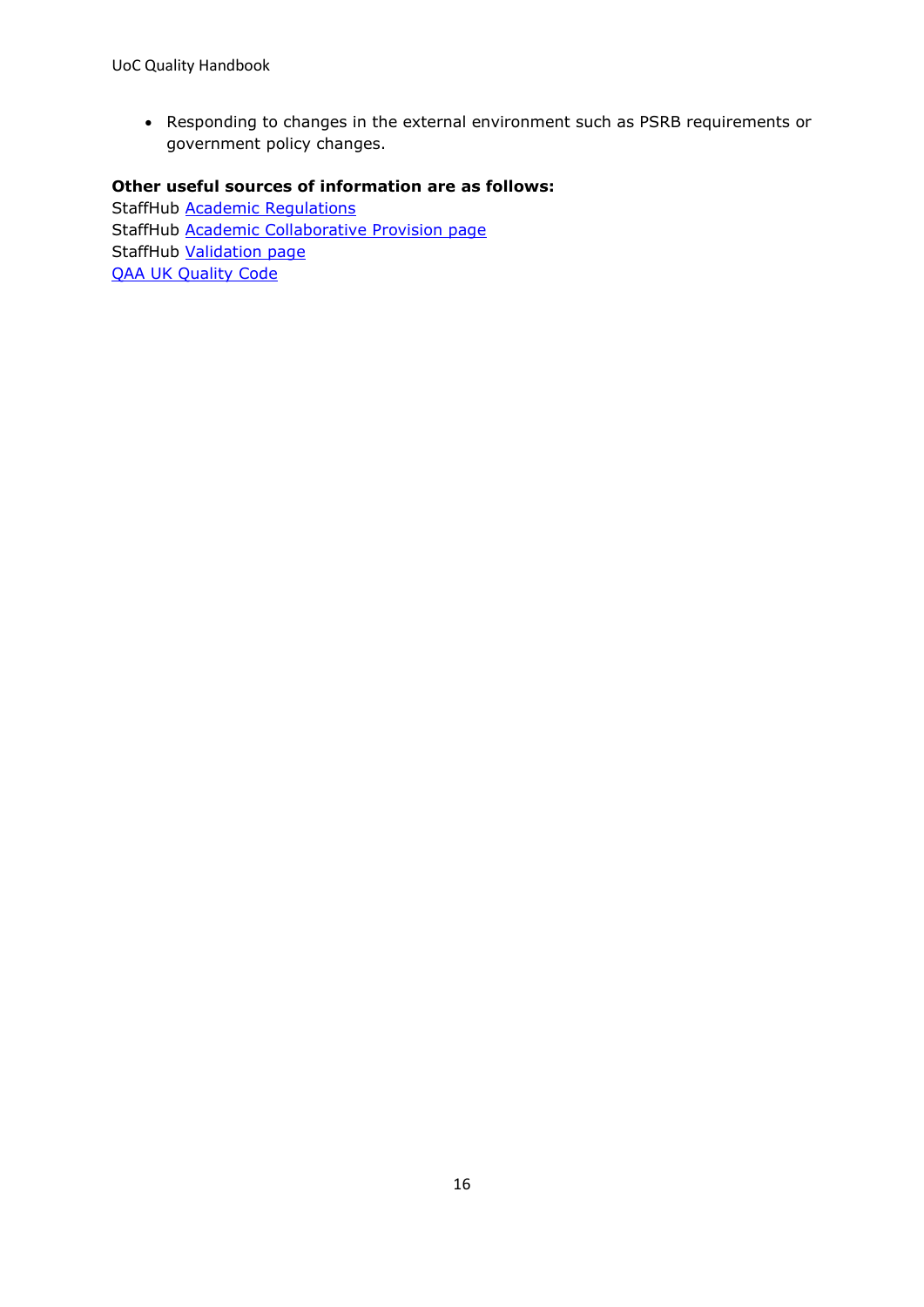• Responding to changes in the external environment such as PSRB requirements or government policy changes.

#### **Other useful sources of information are as follows:**

<span id="page-15-0"></span>StaffHub [Academic Regulations](https://unicumbriaac.sharepoint.com/sites/AQA/SitePages/Academic-Regulations.aspx) StaffHub [Academic Collaborative Provision](https://unicumbriaac.sharepoint.com/sites/AQA/SitePages/Academic-Collaborative-Provision.aspx) page StaffHub [Validation page](https://unicumbriaac.sharepoint.com/sites/AQA/SitePages/Validation-%26-Minor-Modification.aspx) [QAA UK Quality Code](https://www.qaa.ac.uk/quality-code)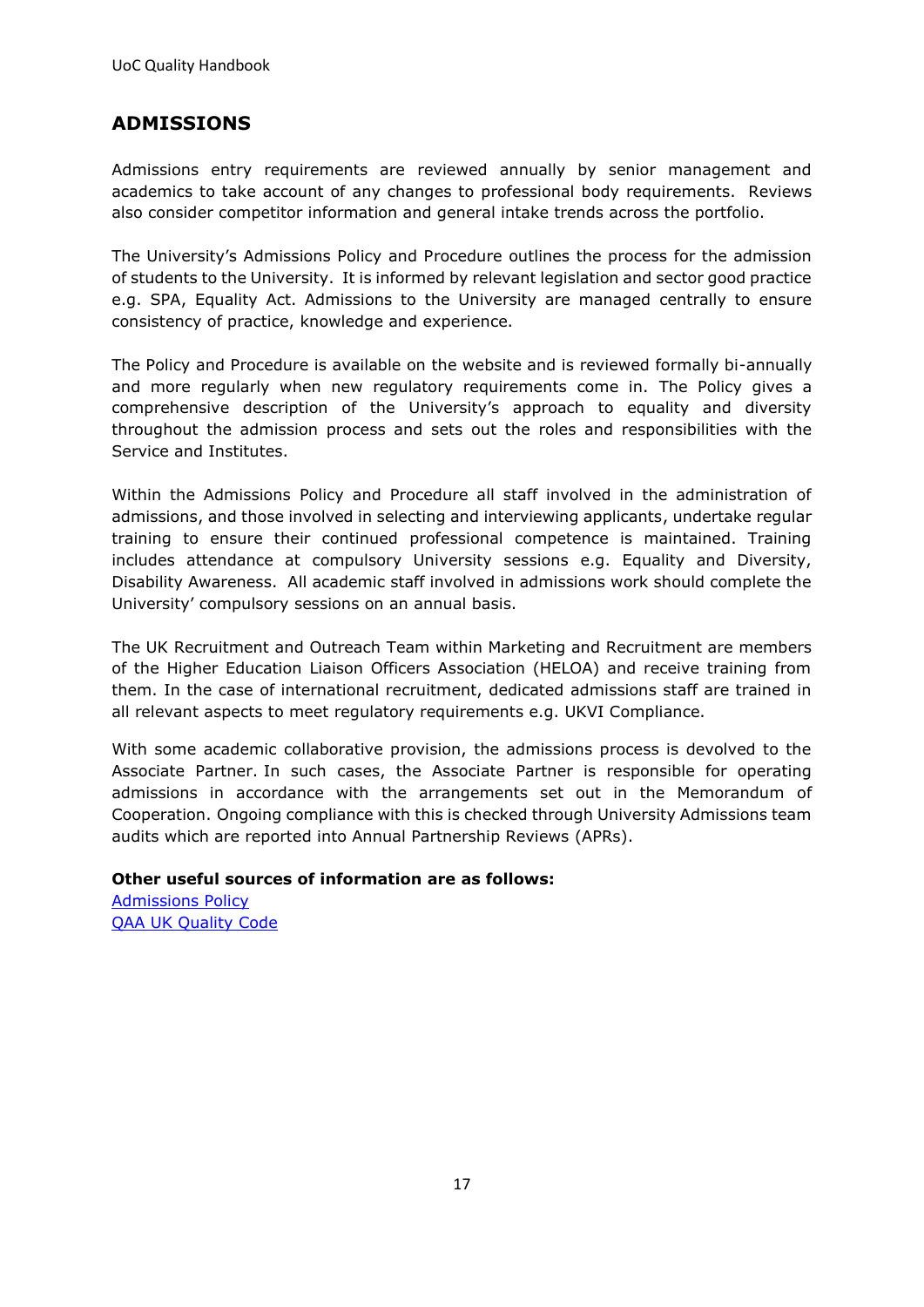## <span id="page-16-0"></span>**ADMISSIONS**

Admissions entry requirements are reviewed annually by senior management and academics to take account of any changes to professional body requirements. Reviews also consider competitor information and general intake trends across the portfolio.

The University's Admissions Policy and Procedure outlines the process for the admission of students to the University. It is informed by relevant legislation and sector good practice e.g. SPA, Equality Act. Admissions to the University are managed centrally to ensure consistency of practice, knowledge and experience.

The Policy and Procedure is available on the website and is reviewed formally bi-annually and more regularly when new regulatory requirements come in. The Policy gives a comprehensive description of the University's approach to equality and diversity throughout the admission process and sets out the roles and responsibilities with the Service and Institutes.

Within the Admissions Policy and Procedure all staff involved in the administration of admissions, and those involved in selecting and interviewing applicants, undertake regular training to ensure their continued professional competence is maintained. Training includes attendance at compulsory University sessions e.g. Equality and Diversity, Disability Awareness. All academic staff involved in admissions work should complete the University' compulsory sessions on an annual basis.

The UK Recruitment and Outreach Team within Marketing and Recruitment are members of the Higher Education Liaison Officers Association (HELOA) and receive training from them. In the case of international recruitment, dedicated admissions staff are trained in all relevant aspects to meet regulatory requirements e.g. UKVI Compliance.

With some academic collaborative provision, the admissions process is devolved to the Associate Partner. In such cases, the Associate Partner is responsible for operating admissions in accordance with the arrangements set out in the Memorandum of Cooperation. Ongoing compliance with this is checked through University Admissions team audits which are reported into Annual Partnership Reviews (APRs).

**Other useful sources of information are as follows:** [Admissions Policy](https://www.cumbria.ac.uk/media/university-of-cumbria-website/content-assets/public/er/documents/admissions/policiesandprocedures/Admissions-Policy-and-Procedure-and-Review-of-Admissions-Decision.pdf) [QAA UK Quality Code](https://www.qaa.ac.uk/quality-code)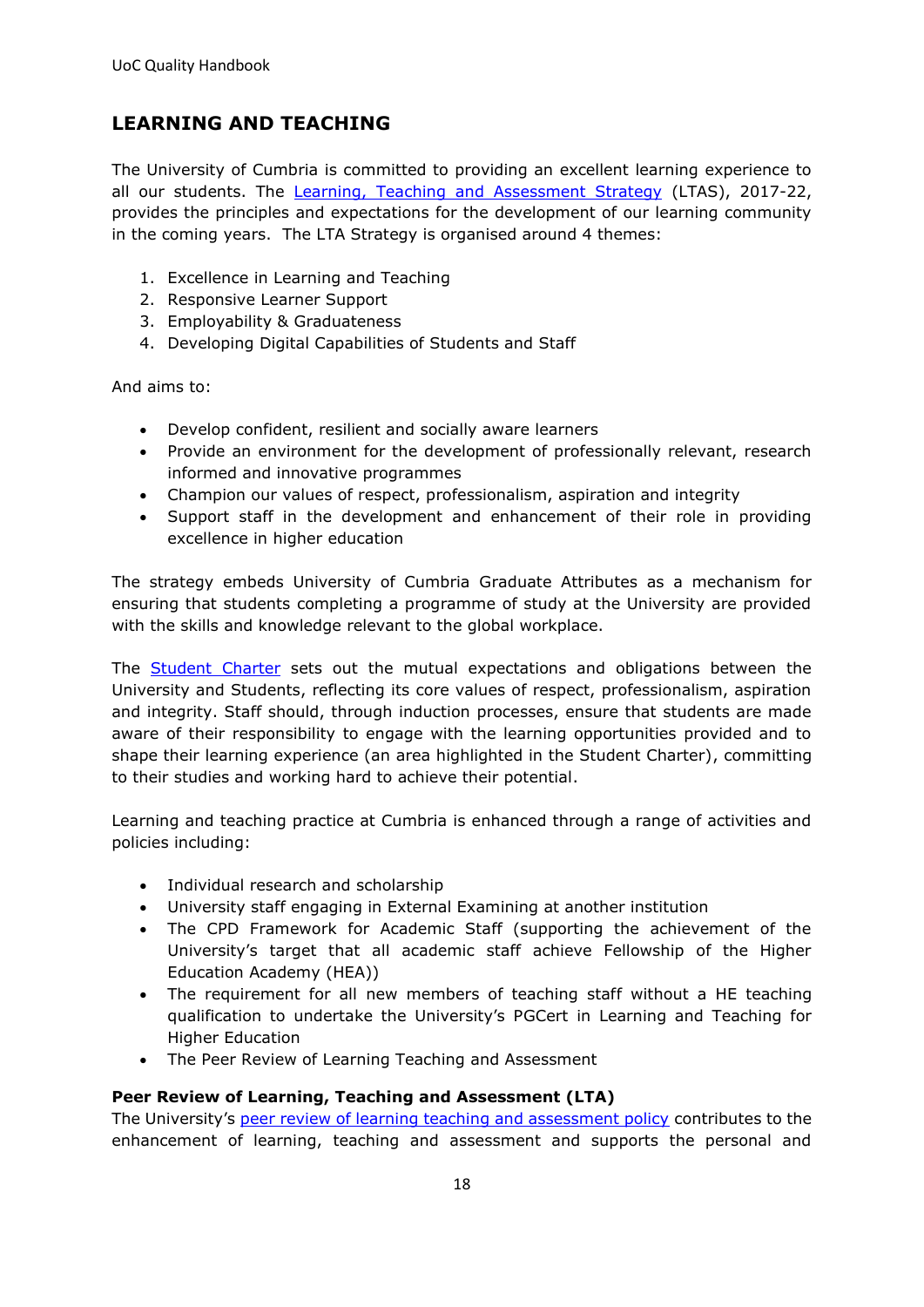## <span id="page-17-0"></span>**LEARNING AND TEACHING**

The University of Cumbria is committed to providing an excellent learning experience to all our students. The [Learning, Teaching and Assessment Strategy](https://unicumbriaac.sharepoint.com/sites/AQA/CorporateLibrary/Forms/AllItems.aspx?id=%2Fsites%2FAQA%2FCorporateLibrary%2FLearning%2C%20Teaching%20and%20Assessment%20Strategy%2Epdf&parent=%2Fsites%2FAQA%2FCorporateLibrary) (LTAS), 2017-22, provides the principles and expectations for the development of our learning community in the coming years. The LTA Strategy is organised around 4 themes:

- 1. Excellence in Learning and Teaching
- 2. Responsive Learner Support
- 3. Employability & Graduateness
- 4. Developing Digital Capabilities of Students and Staff

And aims to:

- Develop confident, resilient and socially aware learners
- Provide an environment for the development of professionally relevant, research informed and innovative programmes
- Champion our values of respect, professionalism, aspiration and integrity
- Support staff in the development and enhancement of their role in providing excellence in higher education

The strategy embeds University of Cumbria Graduate Attributes as a mechanism for ensuring that students completing a programme of study at the University are provided with the skills and knowledge relevant to the global workplace.

The [Student Charter](https://my.cumbria.ac.uk/Student-Life/Your-Studies/Student-Charter/) sets out the mutual expectations and obligations between the University and Students, reflecting its core values of respect, professionalism, aspiration and integrity. Staff should, through induction processes, ensure that students are made aware of their responsibility to engage with the learning opportunities provided and to shape their learning experience (an area highlighted in the Student Charter), committing to their studies and working hard to achieve their potential.

Learning and teaching practice at Cumbria is enhanced through a range of activities and policies including:

- Individual research and scholarship
- University staff engaging in External Examining at another institution
- The CPD Framework for Academic Staff (supporting the achievement of the University's target that all academic staff achieve Fellowship of the Higher Education Academy (HEA))
- The requirement for all new members of teaching staff without a HE teaching qualification to undertake the University's PGCert in Learning and Teaching for Higher Education
- The Peer Review of Learning Teaching and Assessment

#### **Peer Review of Learning, Teaching and Assessment (LTA)**

The University's [peer review of learning teaching and assessment policy](https://unicumbriaac.sharepoint.com/sites/AQA/CorporateLibrary/Forms/AllItems.aspx?id=%2Fsites%2FAQA%2FCorporateLibrary%2FPeer%20Review%20of%20Learning%2C%20Teaching%20and%20Assessment%20Policy%2Epdf&parent=%2Fsites%2FAQA%2FCorporateLibrary) contributes to the enhancement of learning, teaching and assessment and supports the personal and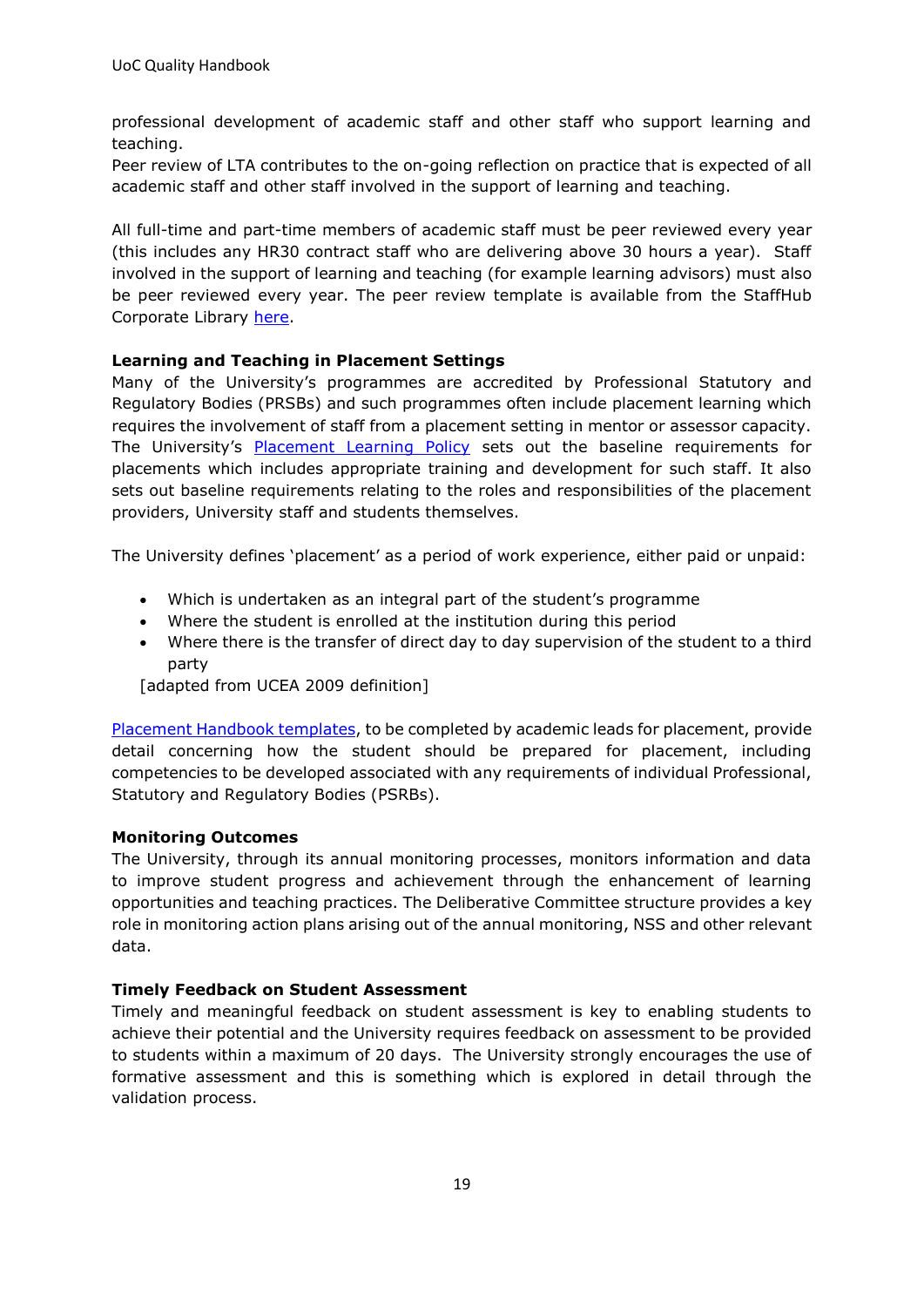professional development of academic staff and other staff who support learning and teaching.

Peer review of LTA contributes to the on-going reflection on practice that is expected of all academic staff and other staff involved in the support of learning and teaching.

All full-time and part-time members of academic staff must be peer reviewed every year (this includes any HR30 contract staff who are delivering above 30 hours a year). Staff involved in the support of learning and teaching (for example learning advisors) must also be peer reviewed every year. The peer review template is available from the StaffHub Corporate Library [here.](https://unicumbriaac.sharepoint.com/:w:/r/sites/AQA/_layouts/15/Doc.aspx?sourcedoc=%7BF276B9D3-9BD2-4758-B7BC-27243ADF9839%7D&file=Peer%20Review%20of%20Learning%2C%20Teaching%20and%20Assessment%20-%20Outcome%20Template.doc&action=default&mobileredirect=true&DefaultItemOpen=1)

#### **Learning and Teaching in Placement Settings**

Many of the University's programmes are accredited by Professional Statutory and Regulatory Bodies (PRSBs) and such programmes often include placement learning which requires the involvement of staff from a placement setting in mentor or assessor capacity. The University's [Placement Learning Policy](https://unicumbriaac.sharepoint.com/sites/AQA/CorporateLibrary/Forms/AllItems.aspx?id=%2Fsites%2FAQA%2FCorporateLibrary%2FPlacement%20Learning%20Policy%2Epdf&parent=%2Fsites%2FAQA%2FCorporateLibrary) sets out the baseline requirements for placements which includes appropriate training and development for such staff. It also sets out baseline requirements relating to the roles and responsibilities of the placement providers, University staff and students themselves.

The University defines 'placement' as a period of work experience, either paid or unpaid:

- Which is undertaken as an integral part of the student's programme
- Where the student is enrolled at the institution during this period
- Where there is the transfer of direct day to day supervision of the student to a third party

[adapted from UCEA 2009 definition]

[Placement Handbook templates,](https://unicumbriaac.sharepoint.com/:w:/r/sites/AQA/_layouts/15/Doc.aspx?sourcedoc=%7BB027554E-AE41-498F-894D-4DC7554F7FBD%7D&file=Placement%20and%20WBL%20Handbook%20Template.docx&action=default&mobileredirect=true&DefaultItemOpen=1) to be completed by academic leads for placement, provide detail concerning how the student should be prepared for placement, including competencies to be developed associated with any requirements of individual Professional, Statutory and Regulatory Bodies (PSRBs).

#### **Monitoring Outcomes**

The University, through its annual monitoring processes, monitors information and data to improve student progress and achievement through the enhancement of learning opportunities and teaching practices. The Deliberative Committee structure provides a key role in monitoring action plans arising out of the annual monitoring, NSS and other relevant data.

#### **Timely Feedback on Student Assessment**

Timely and meaningful feedback on student assessment is key to enabling students to achieve their potential and the University requires feedback on assessment to be provided to students within a maximum of 20 days. The University strongly encourages the use of formative assessment and this is something which is explored in detail through the validation process.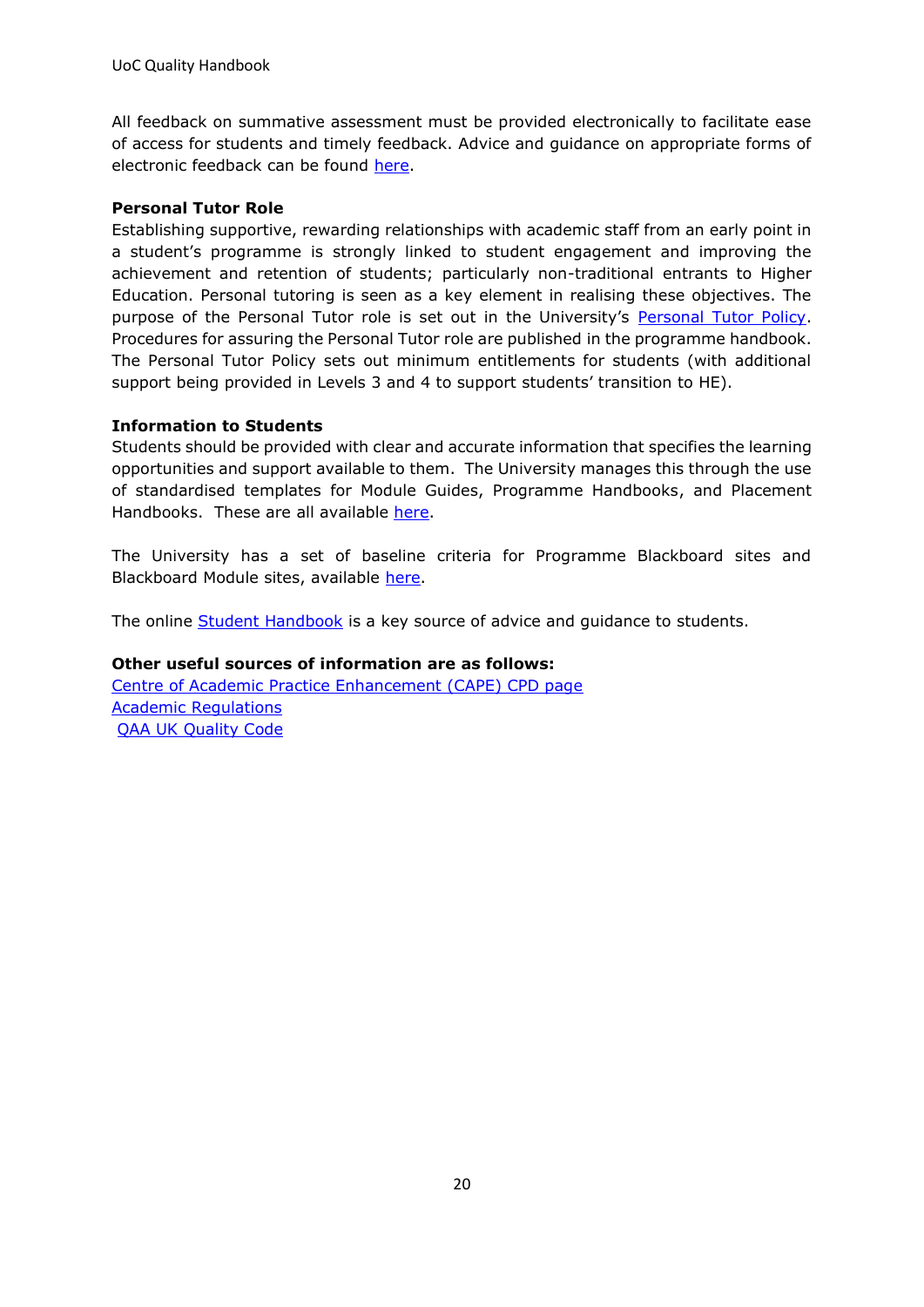All feedback on summative assessment must be provided electronically to facilitate ease of access for students and timely feedback. Advice and guidance on appropriate forms of electronic feedback can be found [here.](https://unicumbriaac.sharepoint.com/sites/AQA/CorporateLibrary/Forms/AllItems.aspx?id=%2Fsites%2FAQA%2FCorporateLibrary%2FOnline%20Submission%20and%20Feedback%20of%20Coursework%20%2D%20Procedures%20and%20Good%20Practice%20Guidelines%2Epdf&parent=%2Fsites%2FAQA%2FCorporateLibrary)

#### **Personal Tutor Role**

Establishing supportive, rewarding relationships with academic staff from an early point in a student's programme is strongly linked to student engagement and improving the achievement and retention of students; particularly non-traditional entrants to Higher Education. Personal tutoring is seen as a key element in realising these objectives. The purpose of the Personal Tutor role is set out in the University's [Personal Tutor Policy.](https://unicumbriaac.sharepoint.com/sites/AQA/CorporateLibrary/Forms/AllItems.aspx?id=%2Fsites%2FAQA%2FCorporateLibrary%2FPersonal%20Tutoring%20Policy%20%28Taught%20Programmes%29%2Epdf&parent=%2Fsites%2FAQA%2FCorporateLibrary) Procedures for assuring the Personal Tutor role are published in the programme handbook. The Personal Tutor Policy sets out minimum entitlements for students (with additional support being provided in Levels 3 and 4 to support students' transition to HE).

#### **Information to Students**

Students should be provided with clear and accurate information that specifies the learning opportunities and support available to them. The University manages this through the use of standardised templates for Module Guides, Programme Handbooks, and Placement Handbooks. These are all available [here.](https://unicumbriaac.sharepoint.com/sites/AQA/SitePages/Useful-Info-for-Programme-%26-Module-Leaders.aspx)

The University has a set of baseline criteria for Programme Blackboard sites and Blackboard Module sites, available [here.](https://v3.pebblepad.co.uk/spa/#/public/94jgbwqbHcH64RqHwtZhR9gW5y?historyId=k22SzdKmkV&pageId=94jgbwqbHcH64gkgfbb4bdgdnW)

The online [Student Handbook](https://my.cumbria.ac.uk/Student-Life/Student-Handbook/) is a key source of advice and quidance to students.

#### **Other useful sources of information are as follows:**

[Centre of Academic Practice Enhancement \(CAPE\) CPD page](https://unicumbriaac.sharepoint.com/sites/CAPEAcademicToolkit) [Academic Regulations](https://unicumbriaac.sharepoint.com/sites/AQA/SitePages/Academic-Regulations.aspx) [QAA UK Quality Code](https://www.qaa.ac.uk/quality-code)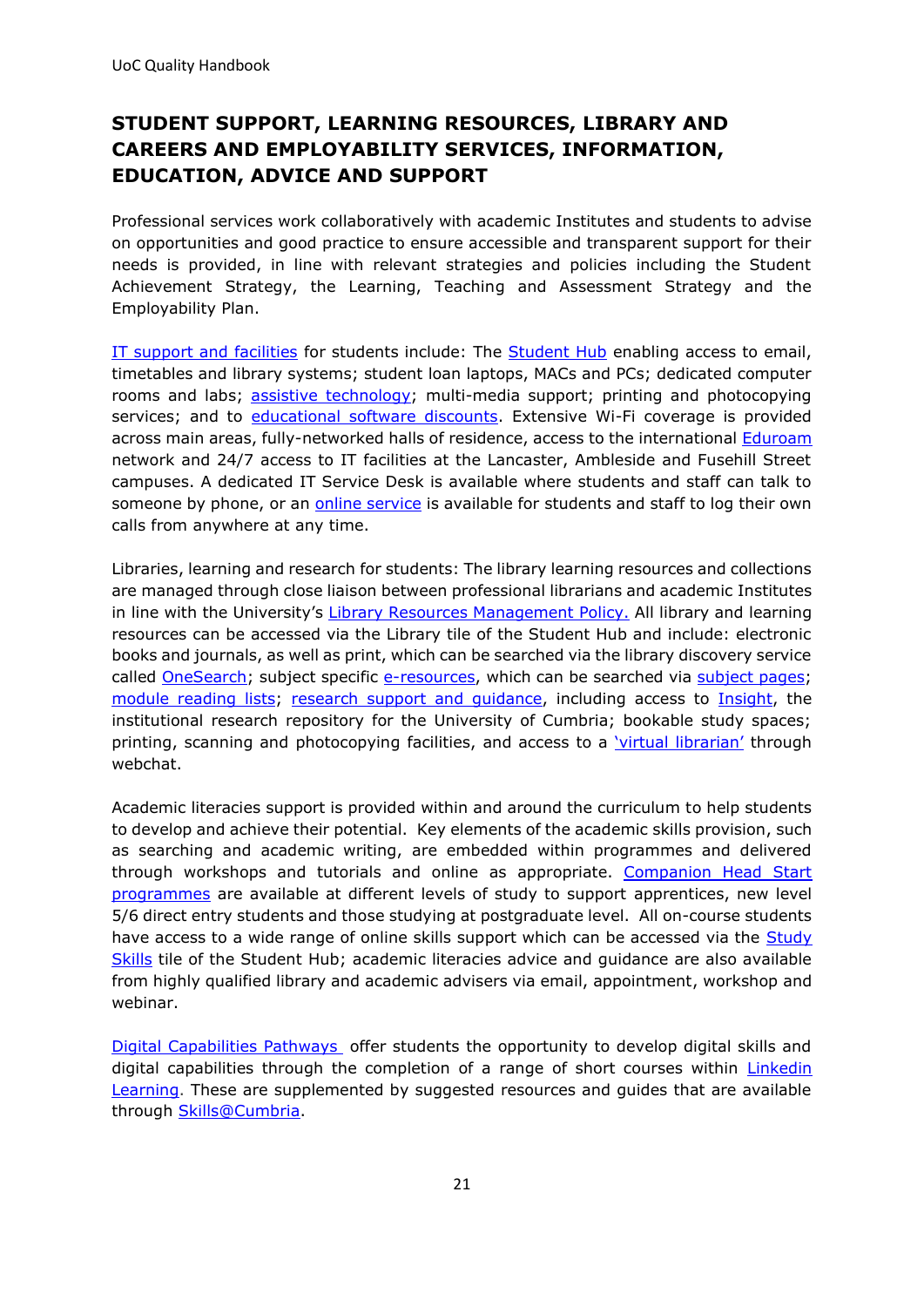## <span id="page-20-0"></span>**STUDENT SUPPORT, LEARNING RESOURCES, LIBRARY AND CAREERS AND EMPLOYABILITY SERVICES, INFORMATION, EDUCATION, ADVICE AND SUPPORT**

Professional services work collaboratively with academic Institutes and students to advise on opportunities and good practice to ensure accessible and transparent support for their needs is provided, in line with relevant strategies and policies including the Student Achievement Strategy, the Learning, Teaching and Assessment Strategy and the Employability Plan.

[IT support and facilities](https://eur03.safelinks.protection.outlook.com/?url=https%3A%2F%2Fmy.cumbria.ac.uk%2FStudent-Life%2Fit-media&data=01%7C01%7Cjanine.whitfield%40cumbria.ac.uk%7C2025c3ae73c74f6b9f7e08d7a89fec51%7Cb627db1d99584fd18ea48ac3b27cf00f%7C0&sdata=o2DHlHJFR6eEW7E7xT6B%2BjsVxgpddbeRKdfOhKtiyo0%3D&reserved=0) for students include: The [Student Hub](https://eur03.safelinks.protection.outlook.com/?url=https%3A%2F%2Fmy.cumbria.ac.uk%2FStudent-Life%2Fit-media%2FStudent-Hub%2F&data=01%7C01%7Cjanine.whitfield%40cumbria.ac.uk%7C2025c3ae73c74f6b9f7e08d7a89fec51%7Cb627db1d99584fd18ea48ac3b27cf00f%7C0&sdata=ebsQuVN%2F8xg9kdT3I2QAH8UaT%2FkzkZrUc4v39tfU1hI%3D&reserved=0) enabling access to email, timetables and library systems; student loan laptops, MACs and PCs; dedicated computer rooms and labs; [assistive technology;](https://eur03.safelinks.protection.outlook.com/?url=https%3A%2F%2Fmy.cumbria.ac.uk%2FStudent-Life%2FSupport%2FDisability%2FAssistive-Technology%2F&data=01%7C01%7Cjanine.whitfield%40cumbria.ac.uk%7C2025c3ae73c74f6b9f7e08d7a89fec51%7Cb627db1d99584fd18ea48ac3b27cf00f%7C0&sdata=VX%2BU%2B2uGXCXA3jKJjRV2CrTeSc726fe6rE8pRT%2BHIxA%3D&reserved=0) multi-media support; printing and photocopying services; and to [educational software discounts.](https://eur03.safelinks.protection.outlook.com/?url=https%3A%2F%2Fmy.cumbria.ac.uk%2FStudent-Life%2Fit-media%2FComputers-and-Software%2FEducational-software-discounts%2F&data=01%7C01%7Cjanine.whitfield%40cumbria.ac.uk%7C2025c3ae73c74f6b9f7e08d7a89fec51%7Cb627db1d99584fd18ea48ac3b27cf00f%7C0&sdata=OkDBJY6X0Js6%2FC2K11BRwyxGrY%2BKGSRnhftOPlKSpmk%3D&reserved=0) Extensive Wi-Fi coverage is provided across main areas, fully-networked halls of residence, access to the international [Eduroam](https://eur03.safelinks.protection.outlook.com/?url=https%3A%2F%2Fmy.cumbria.ac.uk%2FStudent-Life%2Fit-media%2FWifi-and-Internet%2FEduroam%2F&data=01%7C01%7Cjanine.whitfield%40cumbria.ac.uk%7C2025c3ae73c74f6b9f7e08d7a89fec51%7Cb627db1d99584fd18ea48ac3b27cf00f%7C0&sdata=oX2xvQvUr6HQ%2BFKAvxwWNEakTCXve3Wb89vbRBtqkxA%3D&reserved=0) network and 24/7 access to IT facilities at the Lancaster, Ambleside and Fusehill Street campuses. A dedicated IT Service Desk is available where students and staff can talk to someone by phone, or an [online service](https://eur03.safelinks.protection.outlook.com/?url=https%3A%2F%2Fservicedesk.cumbria.ac.uk%2FRSDPortal%2FWorkflow%2FWorkflowHomepage&data=01%7C01%7Cjanine.whitfield%40cumbria.ac.uk%7C2025c3ae73c74f6b9f7e08d7a89fec51%7Cb627db1d99584fd18ea48ac3b27cf00f%7C0&sdata=mJQzxOCb6y9OYEnlDzlaGPSFZIjTmu26vjUOfT%2BZMhQ%3D&reserved=0) is available for students and staff to log their own calls from anywhere at any time.

Libraries, learning and research for students: The library learning resources and collections are managed through close liaison between professional librarians and academic Institutes in line with the University's [Library Resources Management Policy.](https://unicumbriaac.sharepoint.com/:b:/r/sites/LIB/CorporateLibrary/Library_Resources_Management_Policy_%203.0.pdf?csf=1&web=1&e=F8Ci1D) All library and learning resources can be accessed via the Library tile of the Student Hub and include: electronic books and journals, as well as print, which can be searched via the library discovery service called **OneSearch**; subject specific [e-resources,](https://my.cumbria.ac.uk/Student-Life/Learning/Resources/Eresources/) which can be searched via [subject pages;](https://my.cumbria.ac.uk/Student-Life/Learning/Resources/Subjects/) [module reading lists;](https://cumbria.rebuslist.com/) research support and quidance, including access to [Insight,](http://insight.cumbria.ac.uk/) the institutional research repository for the University of Cumbria; bookable study spaces; printing, scanning and photocopying facilities, and access to a ['virtual librarian'](https://my.cumbria.ac.uk/Student-Life/Learning/Resources/Libraries/Ask-a-Librarian-Service/) through webchat.

Academic literacies support is provided within and around the curriculum to help students to develop and achieve their potential. Key elements of the academic skills provision, such as searching and academic writing, are embedded within programmes and delivered through workshops and tutorials and online as appropriate. Companion Head Start [programmes](https://my.cumbria.ac.uk/Student-Life/Learning/Blackboard-Open-Education/) are available at different levels of study to support apprentices, new level 5/6 direct entry students and those studying at postgraduate level. All on-course students have access to a wide range of online skills support which can be accessed via the **Study** [Skills](https://my.cumbria.ac.uk/Student-Life/Learning/Skills-Cumbria/) tile of the Student Hub; academic literacies advice and guidance are also available from highly qualified library and academic advisers via email, appointment, workshop and webinar.

[Digital Capabilities Pathways](https://eur03.safelinks.protection.outlook.com/?url=https%3A%2F%2Fmy.cumbria.ac.uk%2FStudent-Life%2FLearning%2FLinkedin-Learning%2FDigital-Capabilities-Pathways%2F&data=01%7C01%7Cjanine.whitfield%40cumbria.ac.uk%7C2025c3ae73c74f6b9f7e08d7a89fec51%7Cb627db1d99584fd18ea48ac3b27cf00f%7C0&sdata=ev%2F7fO6nR0t90nBeJ10Grp6D%2F013SMRyXhr7pgsck7Q%3D&reserved=0) offer students the opportunity to develop digital skills and digital capabilities through the completion of a range of short courses within [Linkedin](https://eur03.safelinks.protection.outlook.com/?url=https%3A%2F%2Fmy.cumbria.ac.uk%2FStudent-Life%2FLearning%2FLinkedin-Learning%2F&data=01%7C01%7Cjanine.whitfield%40cumbria.ac.uk%7C2025c3ae73c74f6b9f7e08d7a89fec51%7Cb627db1d99584fd18ea48ac3b27cf00f%7C0&sdata=UA4zkNSuRtIpmJ2tDbQhLAnG7e2UVCWKOoL24gH62G8%3D&reserved=0)  [Learning.](https://eur03.safelinks.protection.outlook.com/?url=https%3A%2F%2Fmy.cumbria.ac.uk%2FStudent-Life%2FLearning%2FLinkedin-Learning%2F&data=01%7C01%7Cjanine.whitfield%40cumbria.ac.uk%7C2025c3ae73c74f6b9f7e08d7a89fec51%7Cb627db1d99584fd18ea48ac3b27cf00f%7C0&sdata=UA4zkNSuRtIpmJ2tDbQhLAnG7e2UVCWKOoL24gH62G8%3D&reserved=0) These are supplemented by suggested resources and guides that are available through [Skills@Cumbria.](https://my.cumbria.ac.uk/Student-Life/Learning/Skills-Cumbria/)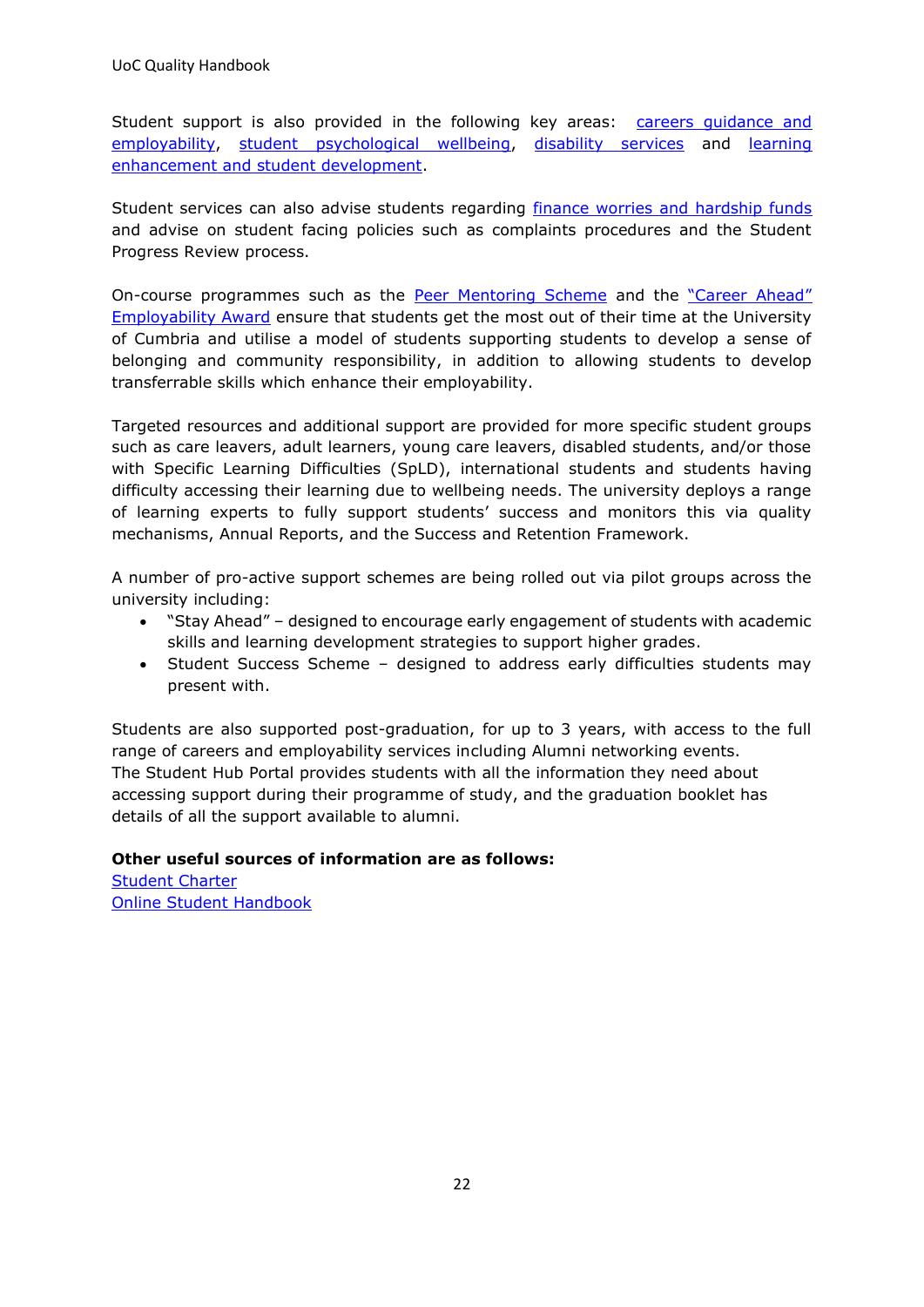UoC Quality Handbook

Student support is also provided in the following key areas: [careers guidance and](https://www.cumbria.ac.uk/study/careers/)  [employability,](https://www.cumbria.ac.uk/study/careers/) [student psychological wellbeing,](https://my.cumbria.ac.uk/Student-Life/Support/Health--Wellbeing/) [disability services](https://my.cumbria.ac.uk/Student-Life/Support/Disability/) and [learning](https://my.cumbria.ac.uk/Student-Life/Support/Help-is-at-Hand/)  [enhancement and student development.](https://my.cumbria.ac.uk/Student-Life/Support/Help-is-at-Hand/)

Student services can also advise students regarding *finance worries and hardship funds* and advise on student facing policies such as complaints procedures and the Student Progress Review process.

On-course programmes such as the [Peer Mentoring Scheme](https://my.cumbria.ac.uk/Student-Life/Support/Mentoring/) and the "Career Ahead" [Employability Award](https://www.cumbria.ac.uk/study/careers/students/boost-your-career-prospects/career-ahead-award/) ensure that students get the most out of their time at the University of Cumbria and utilise a model of students supporting students to develop a sense of belonging and community responsibility, in addition to allowing students to develop transferrable skills which enhance their employability.

Targeted resources and additional support are provided for more specific student groups such as care leavers, adult learners, young care leavers, disabled students, and/or those with Specific Learning Difficulties (SpLD), international students and students having difficulty accessing their learning due to wellbeing needs. The university deploys a range of learning experts to fully support students' success and monitors this via quality mechanisms, Annual Reports, and the Success and Retention Framework.

A number of pro-active support schemes are being rolled out via pilot groups across the university including:

- "Stay Ahead" designed to encourage early engagement of students with academic skills and learning development strategies to support higher grades.
- Student Success Scheme designed to address early difficulties students may present with.

Students are also supported post-graduation, for up to 3 years, with access to the full range of careers and employability services including Alumni networking events. The Student Hub Portal provides students with all the information they need about accessing support during their programme of study, and the graduation booklet has details of all the support available to alumni.

#### **Other useful sources of information are as follows:**

[Student Charter](https://my.cumbria.ac.uk/Student-Life/Your-Studies/Student-Charter/) [Online Student Handbook](https://my.cumbria.ac.uk/Student-Life/Support/Student-Handbook/)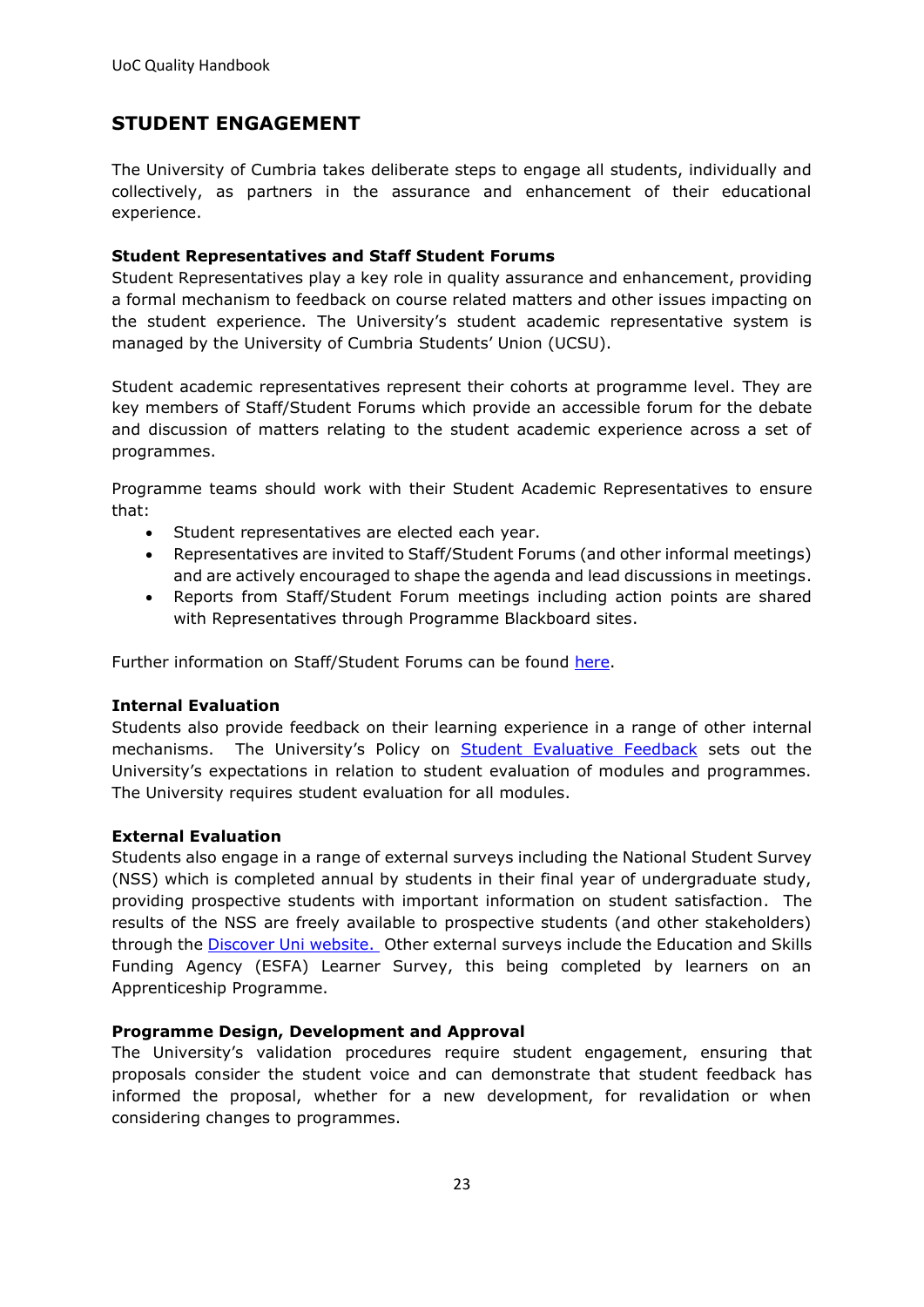## <span id="page-22-0"></span>**STUDENT ENGAGEMENT**

The University of Cumbria takes deliberate steps to engage all students, individually and collectively, as partners in the assurance and enhancement of their educational experience.

#### **Student Representatives and Staff Student Forums**

Student Representatives play a key role in quality assurance and enhancement, providing a formal mechanism to feedback on course related matters and other issues impacting on the student experience. The University's student academic representative system is managed by the University of Cumbria Students' Union (UCSU).

Student academic representatives represent their cohorts at programme level. They are key members of Staff/Student Forums which provide an accessible forum for the debate and discussion of matters relating to the student academic experience across a set of programmes.

Programme teams should work with their Student Academic Representatives to ensure that:

- Student representatives are elected each year.
- Representatives are invited to Staff/Student Forums (and other informal meetings) and are actively encouraged to shape the agenda and lead discussions in meetings.
- Reports from Staff/Student Forum meetings including action points are shared with Representatives through Programme Blackboard sites.

Further information on Staff/Student Forums can be found [here.](https://unicumbriaac.sharepoint.com/sites/SAA/CorporateLibrary/Forms/AllItems.aspx?id=%2Fsites%2FSAA%2FCorporateLibrary%2FSummary%20Guide%20to%20Staff%20and%20Student%20Forums%2Epdf&parent=%2Fsites%2FSAA%2FCorporateLibrary)

#### **Internal Evaluation**

Students also provide feedback on their learning experience in a range of other internal mechanisms. The University's Policy on **[Student Evaluative Feedback](https://unicumbriaac.sharepoint.com/sites/AQA/CorporateLibrary/Forms/AllItems.aspx?id=%2Fsites%2FAQA%2FCorporateLibrary%2FStudent%20Evaluative%20Feedback%20Policy%20%28Taught%20Degree%20Programmes%29%2Epdf&parent=%2Fsites%2FAQA%2FCorporateLibrary)** sets out the University's expectations in relation to student evaluation of modules and programmes. The University requires student evaluation for all modules.

#### **External Evaluation**

Students also engage in a range of external surveys including the National Student Survey (NSS) which is completed annual by students in their final year of undergraduate study, providing prospective students with important information on student satisfaction. The results of the NSS are freely available to prospective students (and other stakeholders) through the [Discover Uni website.](https://unistats.ac.uk/) Other external surveys include the Education and Skills Funding Agency (ESFA) Learner Survey, this being completed by learners on an Apprenticeship Programme.

#### **Programme Design, Development and Approval**

The University's validation procedures require student engagement, ensuring that proposals consider the student voice and can demonstrate that student feedback has informed the proposal, whether for a new development, for revalidation or when considering changes to programmes.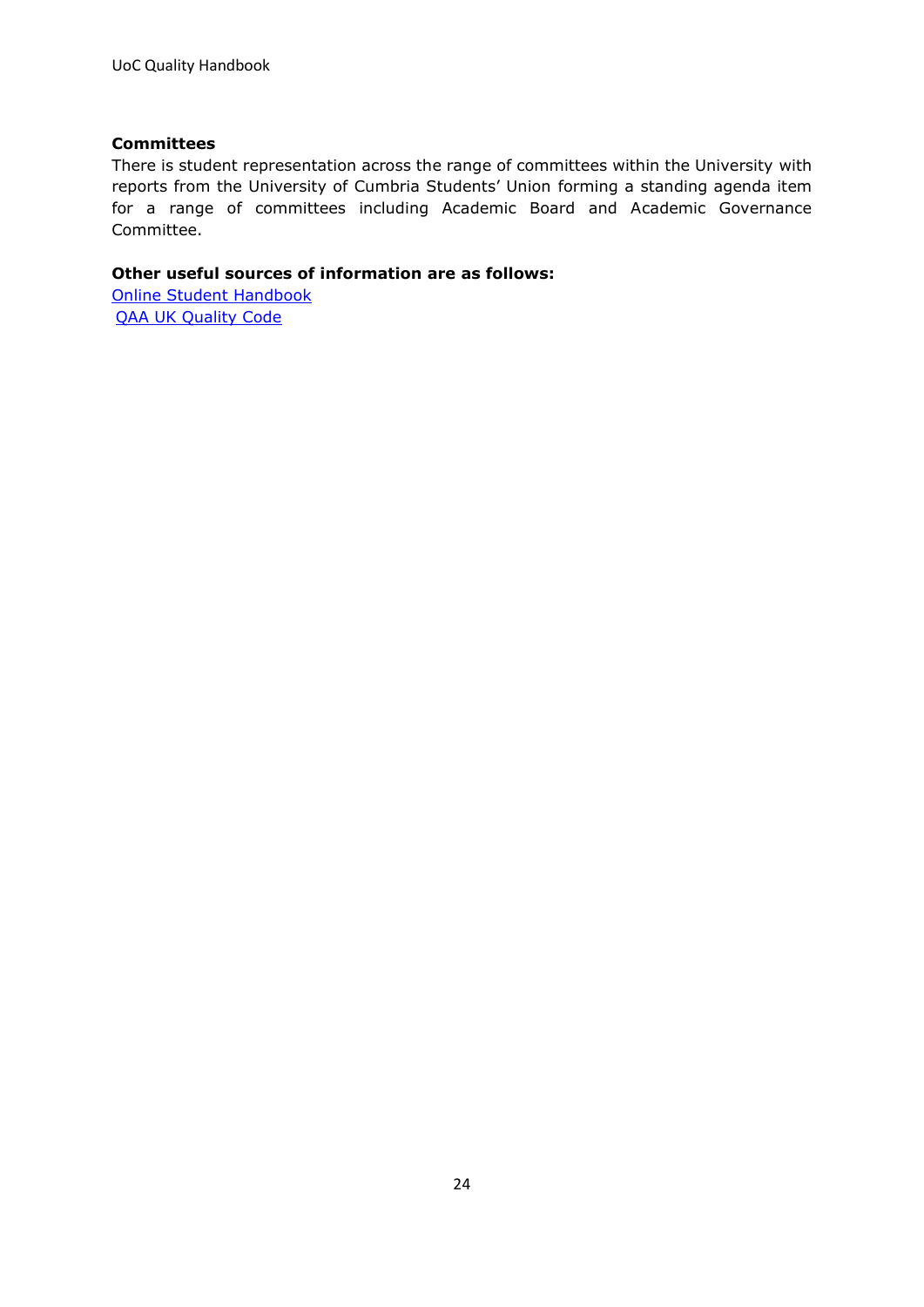#### **Committees**

There is student representation across the range of committees within the University with reports from the University of Cumbria Students' Union forming a standing agenda item for a range of committees including Academic Board and Academic Governance Committee.

#### **Other useful sources of information are as follows:**

[Online Student Handbook](http://www.cumbria.ac.uk/StudentLife/Support/StudentHandbook.aspx) [QAA UK Quality Code](https://www.qaa.ac.uk/quality-code)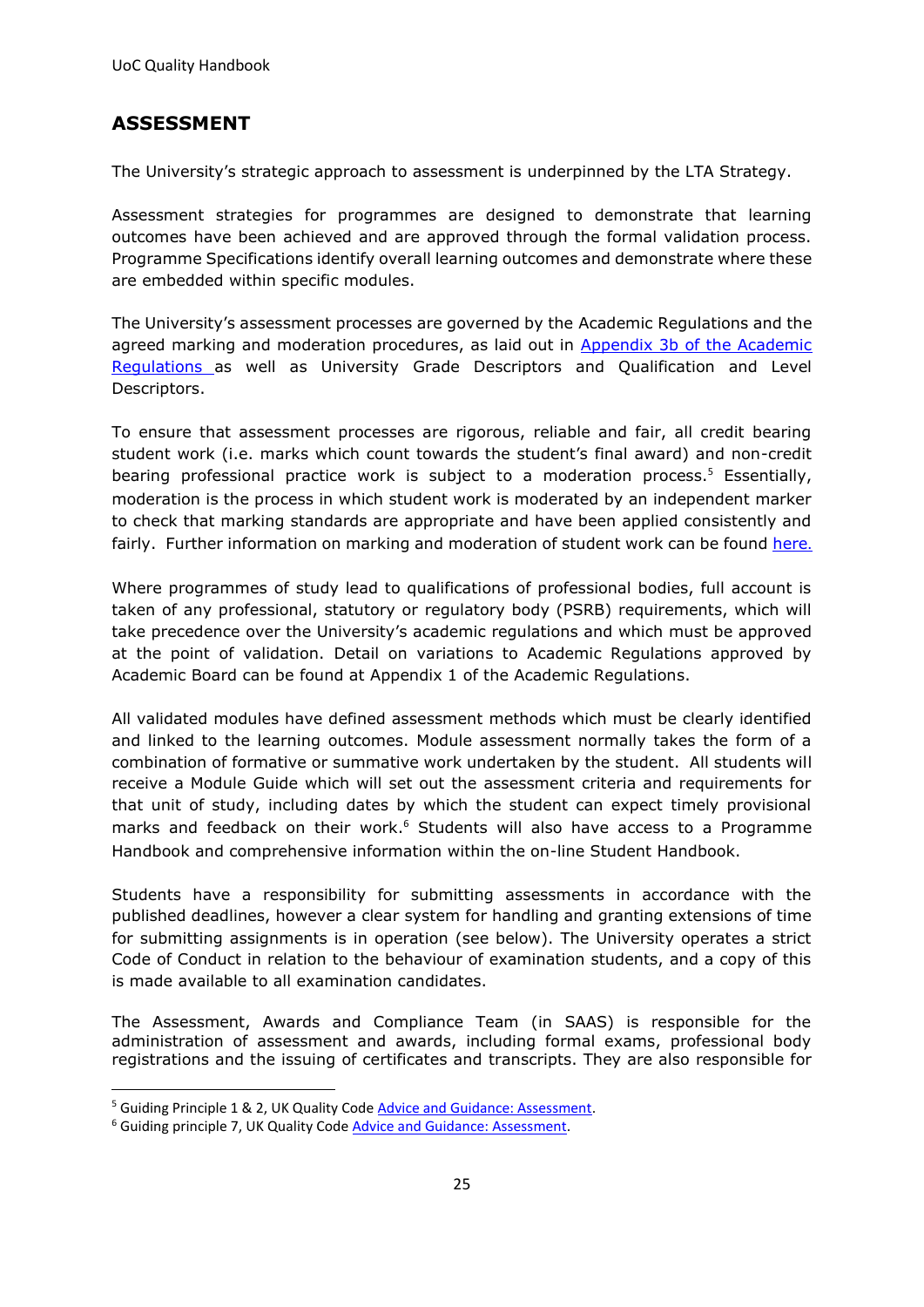## <span id="page-24-0"></span>**ASSESSMENT**

The University's strategic approach to assessment is underpinned by the LTA Strategy.

Assessment strategies for programmes are designed to demonstrate that learning outcomes have been achieved and are approved through the formal validation process. Programme Specifications identify overall learning outcomes and demonstrate where these are embedded within specific modules.

The University's assessment processes are governed by the [Academic Regulations](https://unicumbriaac.sharepoint.com/sites/CL/CorporateLibrary/Academic%20Regulations.aspx) and the agreed marking and moderation procedures, as laid out in Appendix 3b of the Academic [Regulations](https://unicumbriaac.sharepoint.com/sites/AQA/CorporateLibrary/Forms/AllItems.aspx?id=%2Fsites%2FAQA%2FCorporateLibrary%2FAcademic%20Regulations%20%2D%20Appendix%203b%2Epdf&parent=%2Fsites%2FAQA%2FCorporateLibrary) as well as University [Grade Descriptors](https://unicumbriaac.sharepoint.com/sites/CL/CorporateLibrary/Academic%20Regulations%20-%20Appendix%203a.pdf) and [Qualification and Level](https://unicumbriaac.sharepoint.com/sites/CL/CorporateLibrary/Academic%20Regulations%20-%20Appendix%202.pdf)  [Descriptors.](https://unicumbriaac.sharepoint.com/sites/CL/CorporateLibrary/Academic%20Regulations%20-%20Appendix%202.pdf)

To ensure that assessment processes are rigorous, reliable and fair, all credit bearing student work (i.e. marks which count towards the student's final award) and non-credit bearing professional practice work is subject to a moderation process.<sup>5</sup> Essentially, moderation is the process in which student work is moderated by an independent marker to check that marking standards are appropriate and have been applied consistently and fairly. Further information on marking and moderation of student work can be found [here](https://my.cumbria.ac.uk/Student-Life/Your-Studies/Assessment-and-Exams/Marking-and-Moderation/)[.](https://my.cumbria.ac.uk/Student-Life/Your-Studies/Assessment-and-Exams/Marking-and-Moderation/)

Where programmes of study lead to qualifications of professional bodies, full account is taken of any professional, statutory or regulatory body (PSRB) requirements, which will take precedence over the University's academic regulations and which must be approved at the point of validation. Detail on variations to Academic Regulations approved by Academic Board can be found at [Appendix 1](https://unicumbriaac.sharepoint.com/sites/CL/CorporateLibrary/Academic%20Regulations%20-%20Appendix%201.pdf) of the Academic Regulations.

All validated modules have defined assessment methods which must be clearly identified and linked to the learning outcomes. Module assessment normally takes the form of a combination of formative or summative work undertaken by the student. All students will receive a Module Guide which will set out the assessment criteria and requirements for that unit of study, including dates by which the student can expect timely provisional marks and feedback on their work.<sup>6</sup> Students will also have access to a Programme Handbook and comprehensive information within the on-line [Student Handbook.](https://my.cumbria.ac.uk/Student-Life/Support/Student-Handbook/)

Students have a responsibility for submitting assessments in accordance with the published deadlines, however a clear system for handling and granting extensions of time for submitting assignments is in operation (see below). The University operates a strict Code of Conduct in relation to the behaviour of examination students, and a copy of this is made available to all examination candidates.

The Assessment, Awards and Compliance Team (in SAAS) is responsible for the administration of assessment and awards, including formal exams, professional body registrations and the issuing of certificates and transcripts. They are also responsible for

<sup>5</sup> Guiding Principle 1 & 2, UK Quality Cod[e Advice and Guidance: Assessment.](https://www.qaa.ac.uk/en/quality-code/advice-and-guidance/assessment)

<sup>6</sup> Guiding principle 7, UK Quality Code [Advice and Guidance: Assessment.](https://www.qaa.ac.uk/en/quality-code/advice-and-guidance/assessment)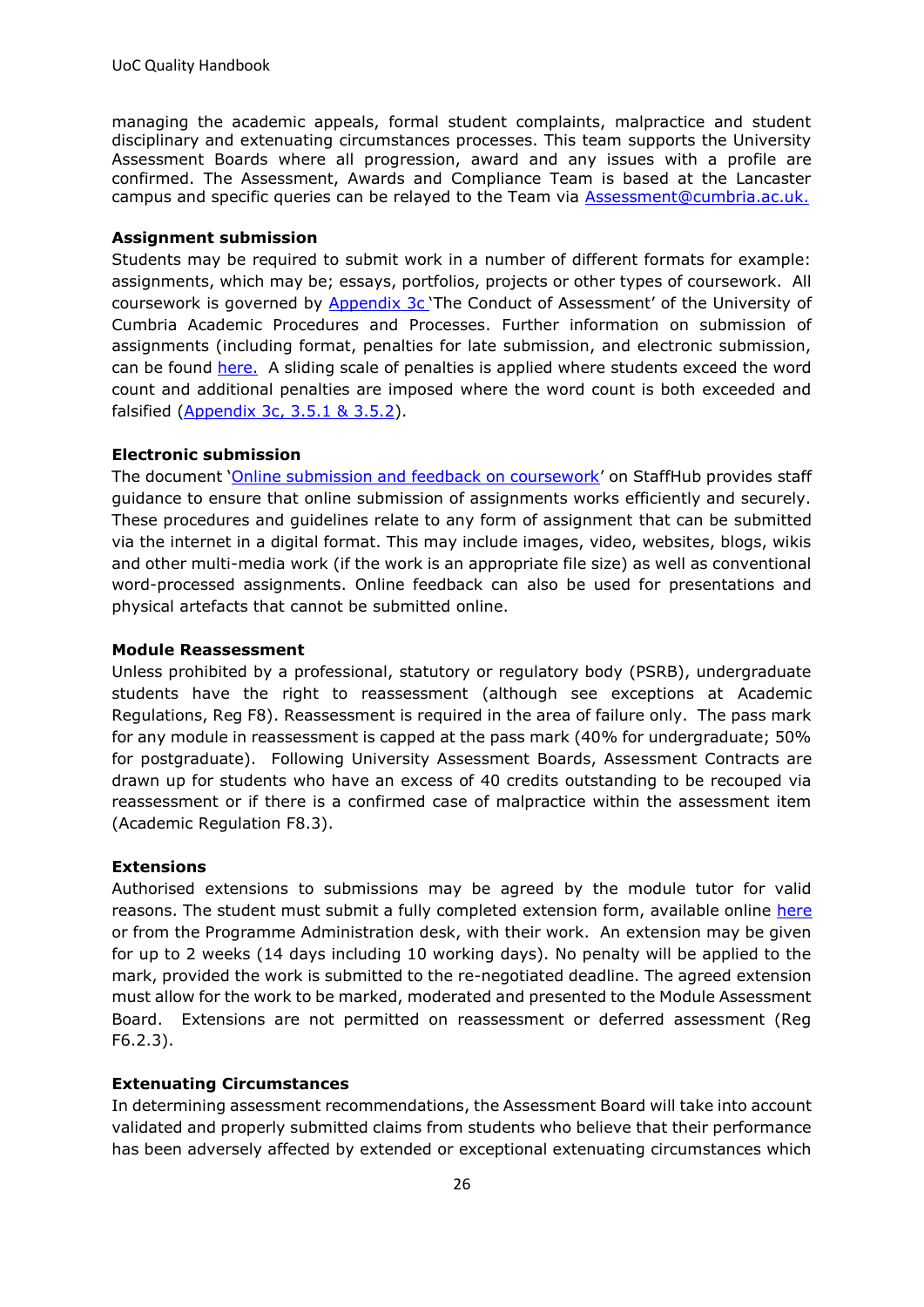managing the academic appeals, formal student complaints, malpractice and student disciplinary and extenuating circumstances processes. This team supports the University Assessment Boards where all progression, award and any issues with a profile are confirmed. The Assessment, Awards and Compliance Team is based at the Lancaster campus and specific queries can be relayed to the Team via [Assessment@cumbria.ac.uk.](mailto:assessment@cumbria.ac.uk)

#### **Assignment submission**

Students may be required to submit work in a number of different formats for example: assignments, which may be; essays, portfolios, projects or other types of coursework. All coursework is governed by **Appendix 3c** 'The Conduct of Assessment' of the University of Cumbria Academic Procedures and Processes. Further information on submission of assignments (including format, penalties for late submission, and electronic submission, can be found [here.](https://my.cumbria.ac.uk/Student-Life/Support/Your-Studies/Your-Course/Assignments/#extensions) A sliding scale of penalties is applied where students exceed the word count and additional penalties are imposed where the word count is both exceeded and falsified [\(Appendix 3c, 3.5.1 & 3.5.2\)](https://unicumbriaac.sharepoint.com/sites/AQA/CorporateLibrary/Forms/AllItems.aspx?id=%2Fsites%2FAQA%2FCorporateLibrary%2FAcademic%20Regulations%20%2D%20Appendix%203c%2Epdf&parent=%2Fsites%2FAQA%2FCorporateLibrary).

#### **Electronic submission**

The document '[Online submission and feedback on coursework](https://unicumbriaac.sharepoint.com/sites/AQA/CorporateLibrary/Forms/AllItems.aspx?id=%2Fsites%2FAQA%2FCorporateLibrary%2FOnline%20Submission%20and%20Feedback%20of%20Coursework%20%2D%20Procedures%20and%20Good%20Practice%20Guidelines%2Epdf&parent=%2Fsites%2FAQA%2FCorporateLibrary)' on StaffHub provides staff guidance to ensure that online submission of assignments works efficiently and securely. These procedures and guidelines relate to any form of assignment that can be submitted via the internet in a digital format. This may include images, video, websites, blogs, wikis and other multi-media work (if the work is an appropriate file size) as well as conventional word-processed assignments. Online feedback can also be used for presentations and physical artefacts that cannot be submitted online.

#### **Module Reassessment**

Unless prohibited by a professional, statutory or regulatory body (PSRB), undergraduate students have the right to reassessment (although see exceptions at [Academic](https://unicumbriaac.sharepoint.com/sites/CL/CorporateLibrary/Academic%20Regulations.aspx)  [Regulations,](https://unicumbriaac.sharepoint.com/sites/CL/CorporateLibrary/Academic%20Regulations.aspx) Reg F8). Reassessment is required in the area of failure only. The pass mark for any module in reassessment is capped at the pass mark (40% for undergraduate; 50% for postgraduate). Following University Assessment Boards, Assessment Contracts are drawn up for students who have an excess of 40 credits outstanding to be recouped via reassessment or if there is a confirmed case of malpractice within the assessment item (Academic Regulation F8.3).

#### **Extensions**

Authorised extensions to submissions may be agreed by the module tutor for valid reasons. The student must submit a fully completed extension form, available online [here](https://eur03.safelinks.protection.outlook.com/?url=https%3A%2F%2Fmy.cumbria.ac.uk%2FStudent-Life%2FYour-Studies%2FYour-Course%2FAssignments%2F&data=01%7C01%7Cjanine.whitfield%40cumbria.ac.uk%7Ca650187ac78341b4351a08d7e2cd606a%7Cb627db1d99584fd18ea48ac3b27cf00f%7C0&sdata=DhbIMOgnma2zH0xXBJ%2ByfnlqTq0PMxEin4%2FHUiR3Exw%3D&reserved=0) or from the Programme Administration desk, with their work. An extension may be given for up to 2 weeks (14 days including 10 working days). No penalty will be applied to the mark, provided the work is submitted to the re-negotiated deadline. The agreed extension must allow for the work to be marked, moderated and presented to the Module Assessment Board. Extensions are not permitted on reassessment or deferred assessment (Reg F6.2.3).

#### **Extenuating Circumstances**

In determining assessment recommendations, the Assessment Board will take into account validated and properly submitted claims from students who believe that their performance has been adversely affected by extended or exceptional extenuating circumstances which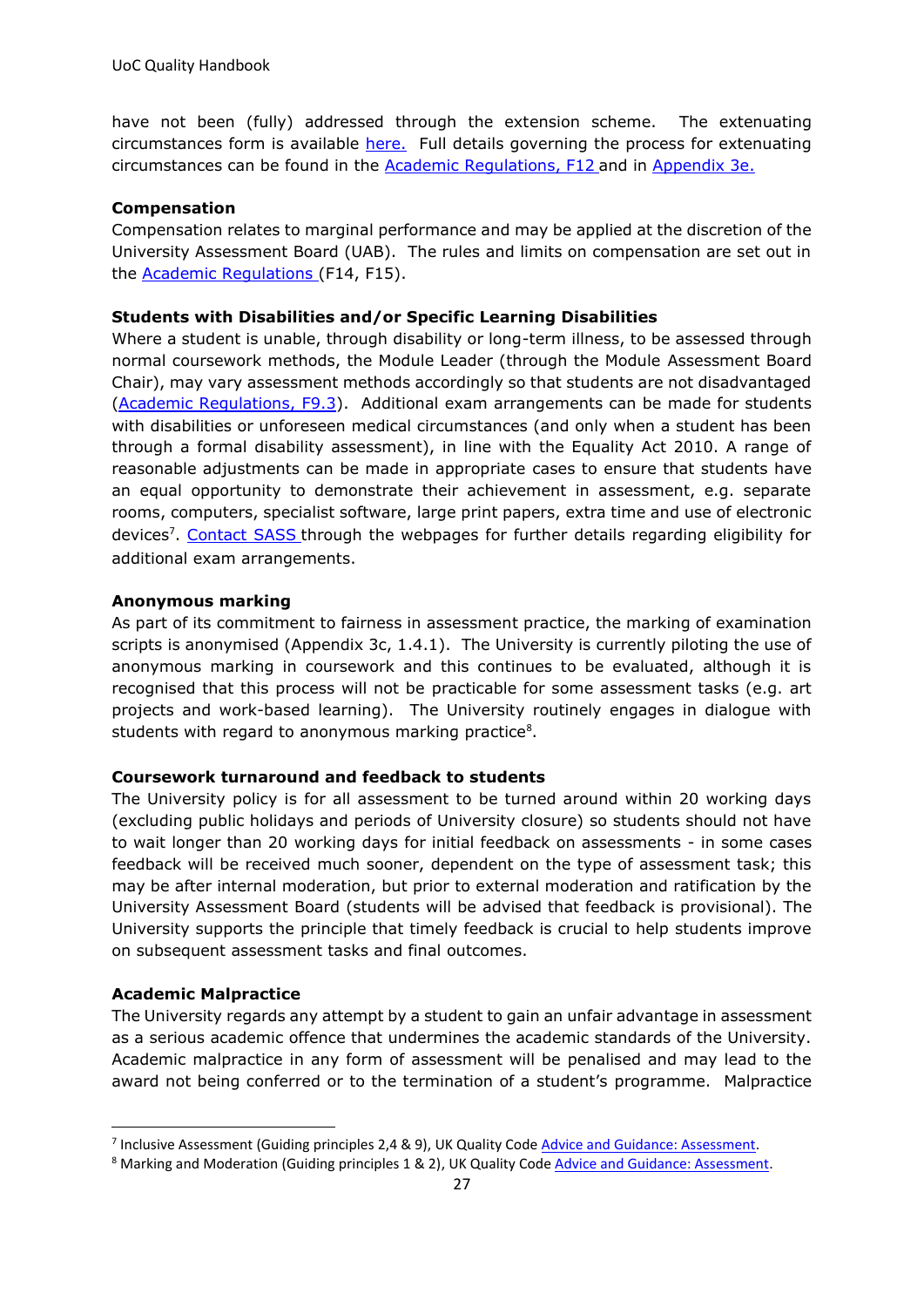have not been (fully) addressed through the extension scheme. The extenuating circumstances form is available [here.](https://my.cumbria.ac.uk/Student-Life/Your-Studies/Assessment-and-Exams/Extenuating-Circumstances/) Full details governing the process for extenuating circumstances can be found in the [Academic Regulations, F12](https://unicumbriaac.sharepoint.com/sites/AQA/SitePages/Academic-Regulations.aspx) and in [Appendix 3e.](https://unicumbriaac.sharepoint.com/sites/AQA/CorporateLibrary/Forms/AllItems.aspx?id=%2Fsites%2FAQA%2FCorporateLibrary%2FAcademic%20Regulations%20%2D%20Appendix%203e%2Epdf&parent=%2Fsites%2FAQA%2FCorporateLibrary)

#### **Compensation**

Compensation relates to marginal performance and may be applied at the discretion of the University Assessment Board (UAB). The rules and limits on compensation are set out in the Academic [Regulations](https://unicumbriaac.sharepoint.com/sites/AQA/SitePages/Academic-Regulations.aspx) (F14, F15).

#### **Students with Disabilities and/or Specific Learning Disabilities**

Where a student is unable, through disability or long-term illness, to be assessed through normal coursework methods, the Module Leader (through the Module Assessment Board Chair), may vary assessment methods accordingly so that students are not disadvantaged [\(Academic Regulations, F9.3\)](https://unicumbriaac.sharepoint.com/sites/AQA/SitePages/Academic-Regulations.aspx). Additional exam arrangements can be made for students with disabilities or unforeseen medical circumstances (and only when a student has been through a formal disability assessment), in line with the Equality Act 2010. A range of reasonable adjustments can be made in appropriate cases to ensure that students have an equal opportunity to demonstrate their achievement in assessment, e.g. separate rooms, computers, specialist software, large print papers, extra time and use of electronic devices<sup>7</sup>. [Contact SASS](https://my.cumbria.ac.uk/Student-Life/Support/Disability/) through the webpages for further details regarding eligibility for additional exam arrangements.

#### **Anonymous marking**

As part of its commitment to fairness in assessment practice, the marking of examination scripts is anonymised (Appendix 3c, 1.4.1). The University is currently piloting the use of anonymous marking in coursework and this continues to be evaluated, although it is recognised that this process will not be practicable for some assessment tasks (e.g. art projects and work-based learning). The University routinely engages in dialogue with students with regard to anonymous marking practice<sup>8</sup>.

#### **Coursework turnaround and feedback to students**

The University policy is for all assessment to be turned around within 20 working days (excluding public holidays and periods of University closure) so students should not have to wait longer than 20 working days for initial feedback on assessments - in some cases feedback will be received much sooner, dependent on the type of assessment task; this may be after internal moderation, but prior to external moderation and ratification by the University Assessment Board (students will be advised that feedback is provisional). The University supports the principle that timely feedback is crucial to help students improve on subsequent assessment tasks and final outcomes.

#### **Academic Malpractice**

The University regards any attempt by a student to gain an unfair advantage in assessment as a serious academic offence that undermines the academic standards of the University. Academic malpractice in any form of assessment will be penalised and may lead to the award not being conferred or to the termination of a student's programme. Malpractice

<sup>&</sup>lt;sup>7</sup> Inclusive Assessment (Guiding principles 2,4 & 9), UK Quality Code [Advice and Guidance: Assessment.](https://www.qaa.ac.uk/en/quality-code/advice-and-guidance/assessment)

<sup>8</sup> Marking and Moderation (Guiding principles 1 & 2), UK Quality Cod[e Advice and Guidance: Assessment.](https://www.qaa.ac.uk/en/quality-code/advice-and-guidance/assessment)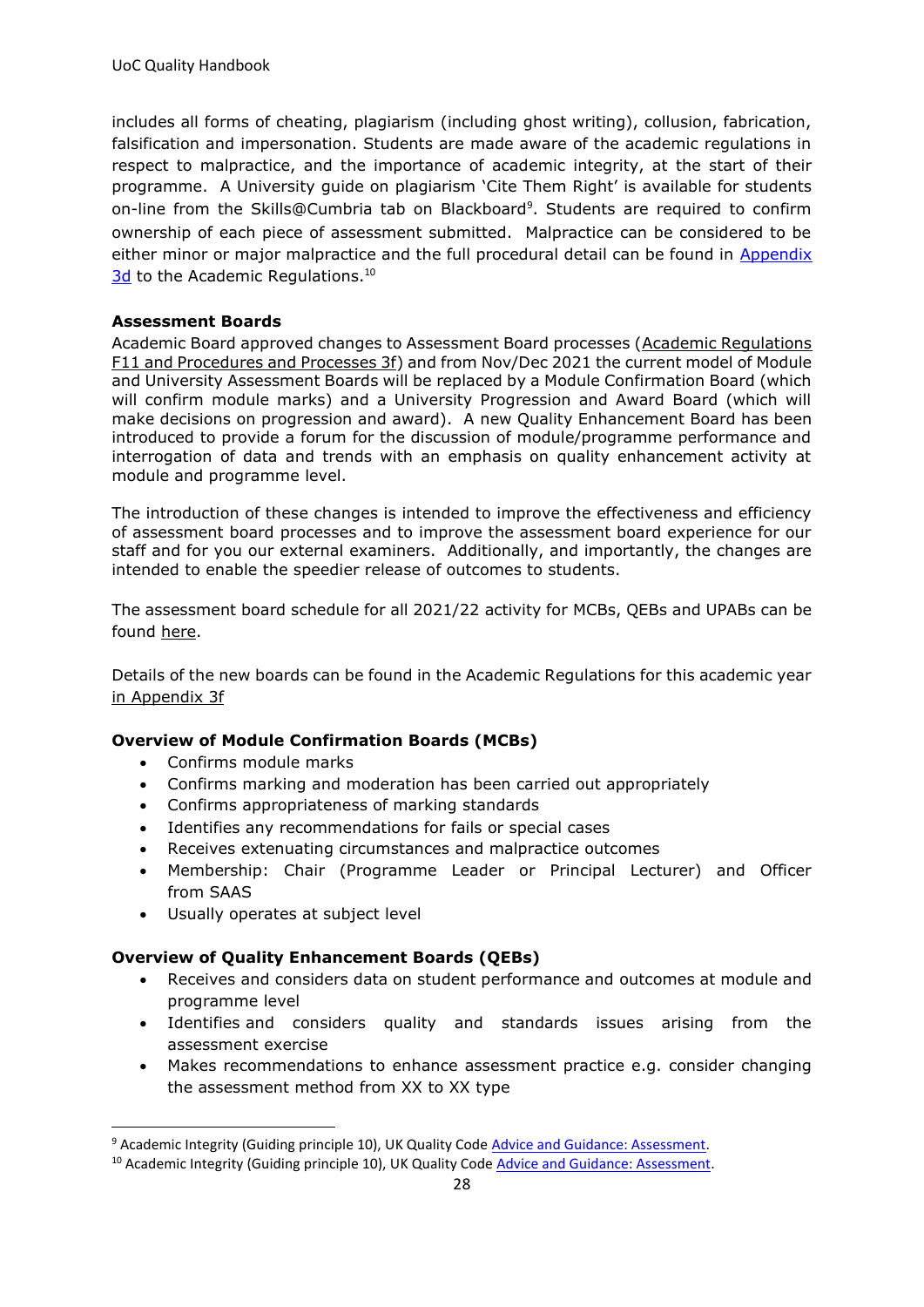includes all forms of cheating, plagiarism (including ghost writing), collusion, fabrication, falsification and impersonation. Students are made aware of the academic regulations in respect to malpractice, and the importance of academic integrity, at the start of their programme. A University guide on plagiarism ['Cite Them Right'](https://my.cumbria.ac.uk/Student-Life/Learning/Resources/Referencing-and-Avoiding-Plagiarism/) is available for students on-line from the Skills@Cumbria tab on Blackboard<sup>9</sup>. Students are required to confirm ownership of each piece of assessment submitted. Malpractice can be considered to be either minor or major malpractice and the full procedural detail can be found in Appendix [3d](https://unicumbriaac.sharepoint.com/sites/AQA/CorporateLibrary/Forms/AllItems.aspx?id=%2Fsites%2FAQA%2FCorporateLibrary%2FAcademic%20Regulations%20%2D%20Appendix%203d%2Epdf&parent=%2Fsites%2FAQA%2FCorporateLibrary) to the Academic Regulations.<sup>10</sup>

#### **Assessment Boards**

Academic Board approved changes to Assessment Board processes [\(Academic Regulations](https://unicumbriaac.sharepoint.com/sites/AQA/SitePages/Academic-Regulations.aspx)  [F11 and Procedures and Processes 3f\)](https://unicumbriaac.sharepoint.com/sites/AQA/SitePages/Academic-Regulations.aspx) and from Nov/Dec 2021 the current model of Module and University Assessment Boards will be replaced by a Module Confirmation Board (which will confirm module marks) and a University Progression and Award Board (which will make decisions on progression and award). A new Quality Enhancement Board has been introduced to provide a forum for the discussion of module/programme performance and interrogation of data and trends with an emphasis on quality enhancement activity at module and programme level.

The introduction of these changes is intended to improve the effectiveness and efficiency of assessment board processes and to improve the assessment board experience for our staff and for you our external examiners. Additionally, and importantly, the changes are intended to enable the speedier release of outcomes to students.

The assessment board schedule for all 2021/22 activity for MCBs, QEBs and UPABs can be found [here.](https://unicumbriaac.sharepoint.com/:x:/r/sites/SAA/_layouts/15/Doc.aspx?sourcedoc=%7b35C2B8CD-C103-420F-95E9-BA8BD5C4F635%7d&file=MCB%2c%20QEB%20and%20UPAB%20schedule%2020_21.xlsx&action=default&mobileredirect=true)

Details of the new boards can be found in the Academic Regulations for this academic year [in Appendix 3f](https://unicumbriaac.sharepoint.com/sites/AQA/CorporateLibrary/Academic%20Regulations%20-%20Appendix%203f.pdf?web=1)

#### **Overview of Module Confirmation Boards (MCBs)**

- Confirms module marks
- Confirms marking and moderation has been carried out appropriately
- Confirms appropriateness of marking standards
- Identifies any recommendations for fails or special cases
- Receives extenuating circumstances and malpractice outcomes
- Membership: Chair (Programme Leader or Principal Lecturer) and Officer from SAAS
- Usually operates at subject level

#### **Overview of Quality Enhancement Boards (QEBs)**

- Receives and considers data on student performance and outcomes at module and programme level
- Identifies and considers quality and standards issues arising from the assessment exercise
- Makes recommendations to enhance assessment practice e.g. consider changing the assessment method from XX to XX type

<sup>9</sup> Academic Integrity (Guiding principle 10), UK Quality Cod[e Advice and Guidance: Assessment.](https://www.qaa.ac.uk/en/quality-code/advice-and-guidance/assessment)

<sup>&</sup>lt;sup>10</sup> Academic Integrity (Guiding principle 10), UK Quality Code [Advice and Guidance: Assessment.](https://www.qaa.ac.uk/en/quality-code/advice-and-guidance/assessment)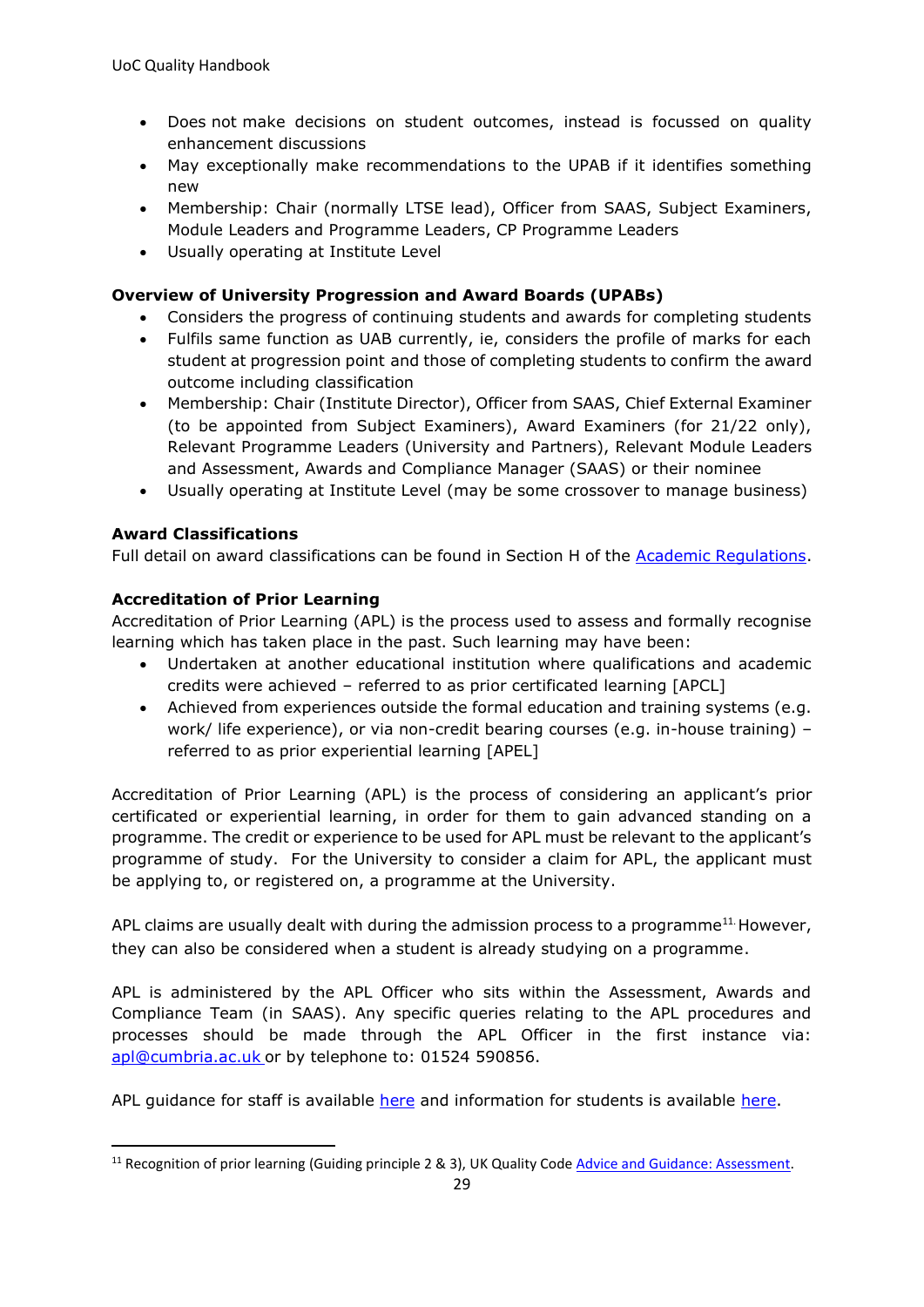- Does not make decisions on student outcomes, instead is focussed on quality enhancement discussions
- May exceptionally make recommendations to the UPAB if it identifies something new
- Membership: Chair (normally LTSE lead), Officer from SAAS, Subject Examiners, Module Leaders and Programme Leaders, CP Programme Leaders
- Usually operating at Institute Level

#### **Overview of University Progression and Award Boards (UPABs)**

- Considers the progress of continuing students and awards for completing students
- Fulfils same function as UAB currently, ie, considers the profile of marks for each student at progression point and those of completing students to confirm the award outcome including classification
- Membership: Chair (Institute Director), Officer from SAAS, Chief External Examiner (to be appointed from Subject Examiners), Award Examiners (for 21/22 only), Relevant Programme Leaders (University and Partners), Relevant Module Leaders and Assessment, Awards and Compliance Manager (SAAS) or their nominee
- Usually operating at Institute Level (may be some crossover to manage business)

#### **Award Classifications**

Full detail on award classifications can be found in Section H of the [Academic Regulations.](https://unicumbriaac.sharepoint.com/sites/AQA/SitePages/Academic-Regulations.aspx)

#### **Accreditation of Prior Learning**

Accreditation of Prior Learning (APL) is the process used to assess and formally recognise learning which has taken place in the past. Such learning may have been:

- Undertaken at another educational institution where qualifications and academic credits were achieved – referred to as prior certificated learning [APCL]
- Achieved from experiences outside the formal education and training systems (e.g. work/ life experience), or via non-credit bearing courses (e.g. in-house training) – referred to as prior experiential learning [APEL]

Accreditation of Prior Learning (APL) is the process of considering an applicant's prior certificated or experiential learning, in order for them to gain advanced standing on a programme. The credit or experience to be used for APL must be relevant to the applicant's programme of study. For the University to consider a claim for APL, the applicant must be applying to, or registered on, a programme at the University.

APL claims are usually dealt with during the admission process to a programme<sup>11.</sup> However, they can also be considered when a student is already studying on a programme.

APL is administered by the APL Officer who sits within the Assessment, Awards and Compliance Team (in SAAS). Any specific queries relating to the APL procedures and processes should be made through the APL Officer in the first instance via: [apl@cumbria.ac.uk](file://///uoc.local/departments/AQD/QUALITY/QA%20Team/AppData/Local/Microsoft/Windows/Temporary%20Internet%20Files/Content.Outlook/AppData/Local/Microsoft/Windows/INetCache/Content.Outlook/IPSVVFYV/apl@cumbria.ac.uk) or by telephone to: 01524 590856.

APL guidance for staff is available [here](https://unicumbriaac.sharepoint.com/sites/AQA/CorporateLibrary/Forms/AllItems.aspx?id=%2Fsites%2FAQA%2FCorporateLibrary%2FAcademic%20Regulations%20%2D%20Appendix%206%2Epdf&parent=%2Fsites%2FAQA%2FCorporateLibrary) and information for students is available [here.](https://www.cumbria.ac.uk/study/how-to-apply/accreditation-of-prior-learning-apl/)

<sup>&</sup>lt;sup>11</sup> Recognition of prior learning (Guiding principle 2 & 3), UK Quality Cod[e Advice and Guidance: Assessment.](https://www.qaa.ac.uk/en/quality-code/advice-and-guidance/assessment)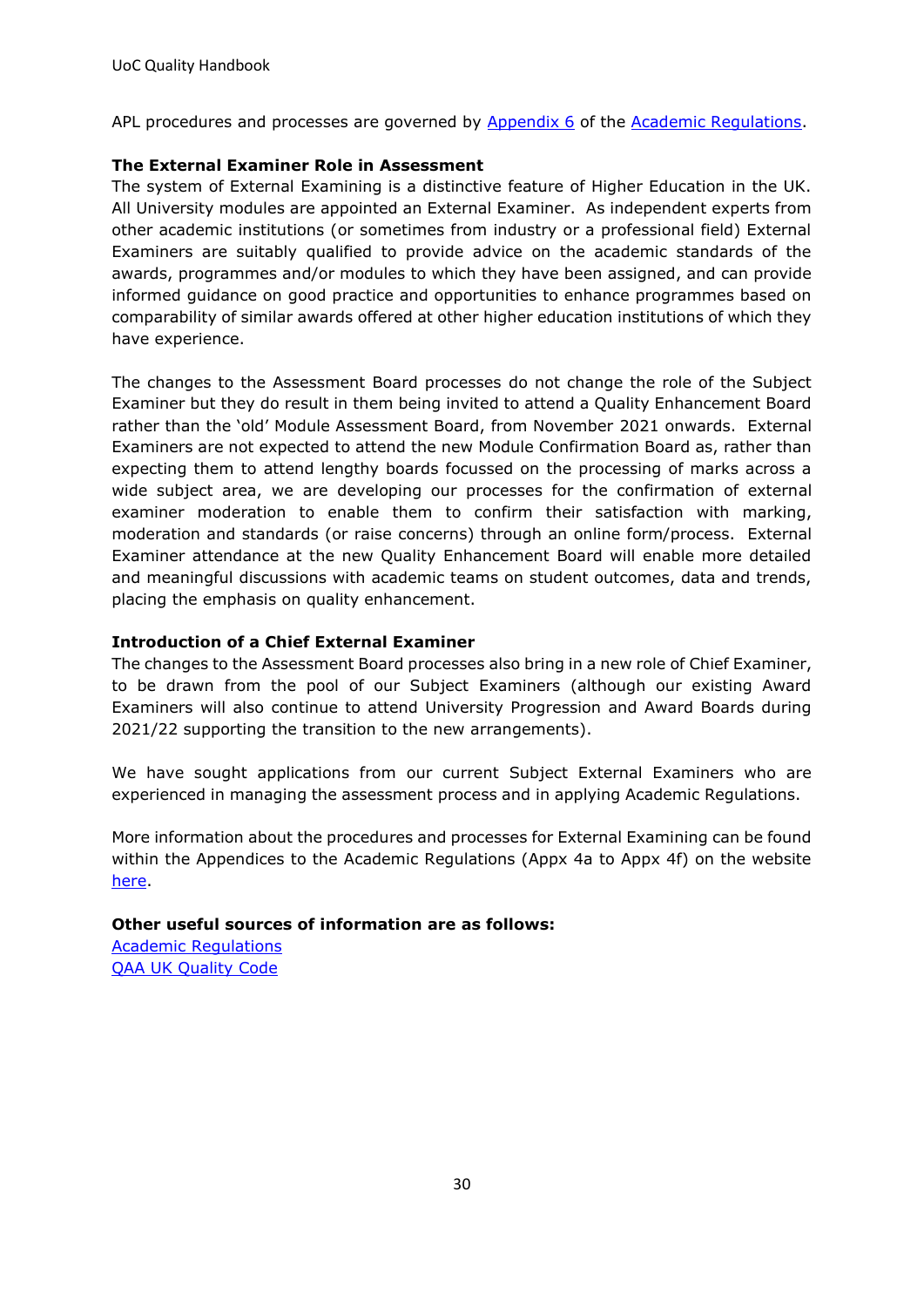APL procedures and processes are governed by [Appendix 6](https://unicumbriaac.sharepoint.com/sites/AQA/CorporateLibrary/Forms/AllItems.aspx?id=%2Fsites%2FAQA%2FCorporateLibrary%2FAcademic%20Regulations%20%2D%20Appendix%206%2Epdf&parent=%2Fsites%2FAQA%2FCorporateLibrary) of the [Academic Regulations.](https://unicumbriaac.sharepoint.com/sites/AQA/SitePages/Academic-Regulations.aspx)

#### **The External Examiner Role in Assessment**

The system of External Examining is a distinctive feature of Higher Education in the UK. All University modules are appointed an External Examiner. As independent experts from other academic institutions (or sometimes from industry or a professional field) External Examiners are suitably qualified to provide advice on the academic standards of the awards, programmes and/or modules to which they have been assigned, and can provide informed guidance on good practice and opportunities to enhance programmes based on comparability of similar awards offered at other higher education institutions of which they have experience.

The changes to the Assessment Board processes do not change the role of the Subject Examiner but they do result in them being invited to attend a Quality Enhancement Board rather than the 'old' Module Assessment Board, from November 2021 onwards. External Examiners are not expected to attend the new Module Confirmation Board as, rather than expecting them to attend lengthy boards focussed on the processing of marks across a wide subject area, we are developing our processes for the confirmation of external examiner moderation to enable them to confirm their satisfaction with marking, moderation and standards (or raise concerns) through an online form/process. External Examiner attendance at the new Quality Enhancement Board will enable more detailed and meaningful discussions with academic teams on student outcomes, data and trends, placing the emphasis on quality enhancement.

#### **Introduction of a Chief External Examiner**

The changes to the Assessment Board processes also bring in a new role of Chief Examiner, to be drawn from the pool of our Subject Examiners (although our existing Award Examiners will also continue to attend University Progression and Award Boards during 2021/22 supporting the transition to the new arrangements).

We have sought applications from our current Subject External Examiners who are experienced in managing the assessment process and in applying Academic Regulations.

More information about the procedures and processes for External Examining can be found within the Appendices to the Academic Regulations (Appx 4a to Appx 4f) on the website [here.](https://www.cumbria.ac.uk/about/organisation/professional-services/academic-quality-and-development/academic-regulations/)

#### **Other useful sources of information are as follows:**

[Academic Regulations](https://unicumbriaac.sharepoint.com/sites/AQA/SitePages/Academic-Regulations.aspx)  [QAA UK Quality Code](https://www.qaa.ac.uk/quality-code)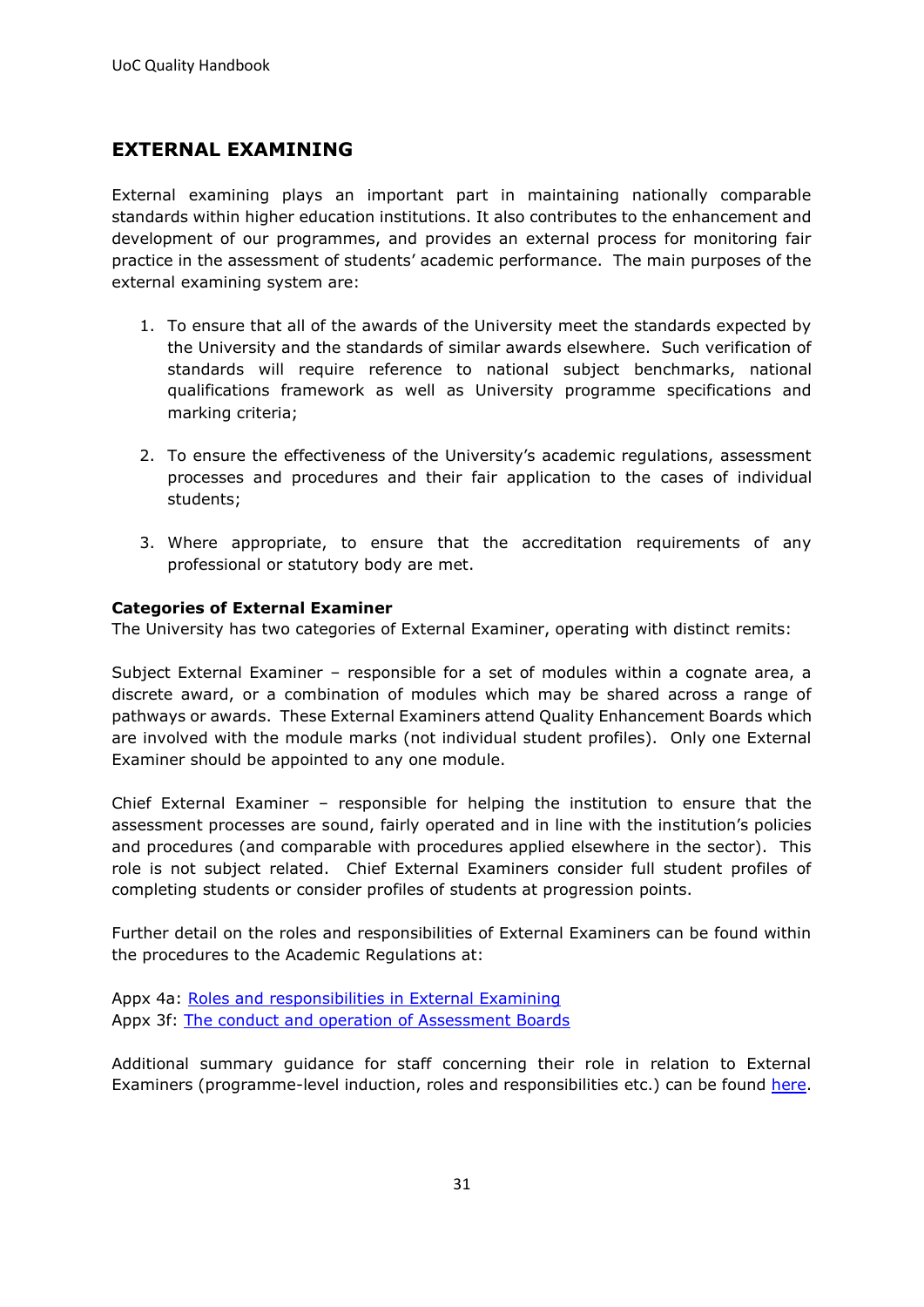## <span id="page-30-0"></span>**EXTERNAL EXAMINING**

External examining plays an important part in maintaining nationally comparable standards within higher education institutions. It also contributes to the enhancement and development of our programmes, and provides an external process for monitoring fair practice in the assessment of students' academic performance. The main purposes of the external examining system are:

- 1. To ensure that all of the awards of the University meet the standards expected by the University and the standards of similar awards elsewhere. Such verification of standards will require reference to national subject benchmarks, national qualifications framework as well as University programme specifications and marking criteria;
- 2. To ensure the effectiveness of the University's academic regulations, assessment processes and procedures and their fair application to the cases of individual students;
- 3. Where appropriate, to ensure that the accreditation requirements of any professional or statutory body are met.

#### **Categories of External Examiner**

The University has two categories of External Examiner, operating with distinct remits:

Subject External Examiner – responsible for a set of modules within a cognate area, a discrete award, or a combination of modules which may be shared across a range of pathways or awards. These External Examiners attend Quality Enhancement Boards which are involved with the module marks (not individual student profiles). Only one External Examiner should be appointed to any one module.

Chief External Examiner – responsible for helping the institution to ensure that the assessment processes are sound, fairly operated and in line with the institution's policies and procedures (and comparable with procedures applied elsewhere in the sector). This role is not subject related. Chief External Examiners consider full student profiles of completing students or consider profiles of students at progression points.

Further detail on the roles and responsibilities of External Examiners can be found within the procedures to the Academic Regulations at:

Appx 4a: [Roles and responsibilities in External Examining](https://www.cumbria.ac.uk/media/university-of-cumbria-website/content-assets/public/aqs/documents/academicregulations/Appendix-4a.pdf) Appx 3f: [The conduct and operation of Assessment Boards](https://www.cumbria.ac.uk/media/university-of-cumbria-website/content-assets/public/aqs/documents/academicregulations/Appendix-3f.pdf) 

Additional summary guidance for staff concerning their role in relation to External Examiners (programme-level induction, roles and responsibilities etc.) can be found [here.](https://unicumbriaac.sharepoint.com/:b:/r/sites/AQA/Quality/External%20Examiners/Processes%20%26%20Guidance/Guidance%20Docs/Summary%20guide%20EEs%20for%20staff.pdf?csf=1&web=1&e=fhl5Xa)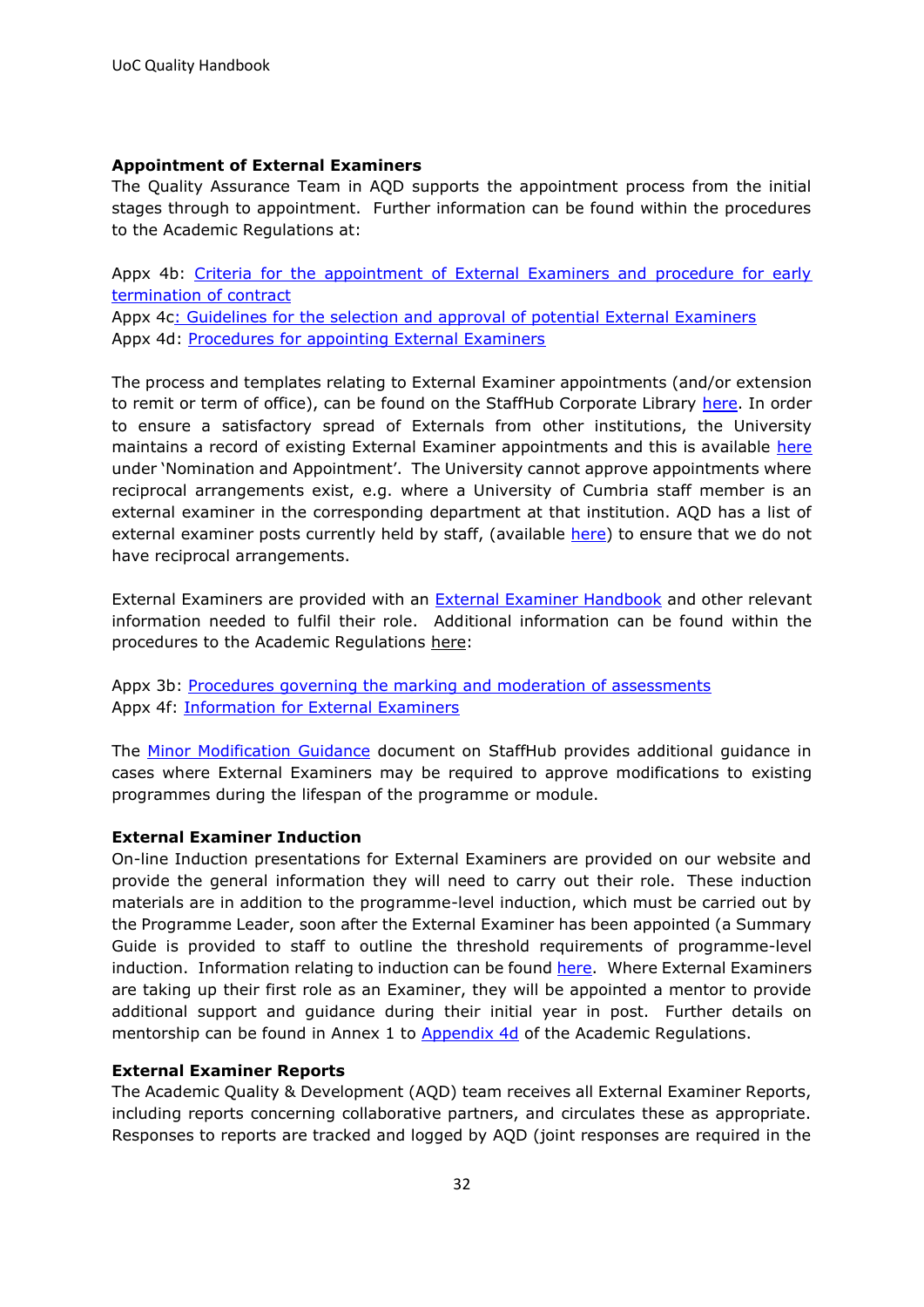#### **Appointment of External Examiners**

The Quality Assurance Team in AQD supports the appointment process from the initial stages through to appointment. Further information can be found within the procedures to the Academic Regulations at:

Appx 4b: [Criteria for the appointment of External Examiners and procedure for early](https://www.cumbria.ac.uk/media/university-of-cumbria-website/content-assets/public/aqs/documents/academicregulations/Appendix-4b.pdf)  [termination of contract](https://www.cumbria.ac.uk/media/university-of-cumbria-website/content-assets/public/aqs/documents/academicregulations/Appendix-4b.pdf)

Appx 4[c: Guidelines for the selection and approval of potential External Examiners](https://www.cumbria.ac.uk/media/university-of-cumbria-website/content-assets/public/aqs/documents/academicregulations/Appendix-4c.pdf) Appx 4d: [Procedures for appointing External Examiners](https://www.cumbria.ac.uk/media/university-of-cumbria-website/content-assets/public/aqs/documents/academicregulations/Appendix-4d.pdf)

The process and templates relating to External Examiner appointments (and/or extension to remit or term of office), can be found on the StaffHub Corporate Library [here.](https://unicumbriaac.sharepoint.com/sites/AQA/SitePages/External-Examining.aspx) In order to ensure a satisfactory spread of Externals from other institutions, the University maintains a record of existing External Examiner appointments and this is available [here](https://unicumbriaac.sharepoint.com/:x:/r/sites/AQA/_layouts/15/Doc.aspx?sourcedoc=%7BBFA0D25E-DD45-487F-8029-06AE207D4232%7D&file=External%20Examiners%20and%20Institutions%20-%20Current%20List.xlsx&action=default&mobileredirect=true) under 'Nomination and Appointment'. The University cannot approve appointments where reciprocal arrangements exist, e.g. where a University of Cumbria staff member is an external examiner in the corresponding department at that institution. AQD has a list of external examiner posts currently held by staff, (available [here\)](https://unicumbriaac.sharepoint.com/:f:/r/sites/AQA/SharedDocuments/UoC%20Staff%20as%20External%20Examiners%20elsewhere?csf=1&web=1&e=tThhFA) to ensure that we do not have reciprocal arrangements.

External Examiners are provided with an **External Examiner Handbook** and other relevant information needed to fulfil their role. Additional information can be found within the procedures to the Academic Regulations here:

Appx 3b: [Procedures governing the marking and moderation of assessments](https://www.cumbria.ac.uk/media/university-of-cumbria-website/content-assets/public/aqs/documents/academicregulations/Appendix-3b.pdf) Appx 4f: [Information for External Examiners](https://www.cumbria.ac.uk/media/university-of-cumbria-website/content-assets/public/aqs/documents/academicregulations/Appendix-4f.pdf) 

The [Minor Modification Guidance](https://unicumbriaac.sharepoint.com/sites/AQA/SitePages/Minor-Modification(1).aspx) document on StaffHub provides additional guidance in cases where External Examiners may be required to approve modifications to existing programmes during the lifespan of the programme or module.

#### **External Examiner Induction**

On-line Induction presentations for External Examiners are provided on our website and provide the general information they will need to carry out their role. These induction materials are in addition to the programme-level induction, which must be carried out by the Programme Leader, soon after the External Examiner has been appointed (a Summary Guide is provided to staff to outline the threshold requirements of programme-level induction. Information relating to induction can be found [here.](https://www.cumbria.ac.uk/about/organisation/professional-services/academic-quality-and-development/external-examiners/) Where External Examiners are taking up their first role as an Examiner, they will be appointed a mentor to provide additional support and guidance during their initial year in post. Further details on mentorship can be found in Annex 1 to [Appendix 4d](https://www.cumbria.ac.uk/media/university-of-cumbria-website/content-assets/public/aqs/documents/academicregulations/Appendix-4d.pdf) of the Academic Regulations.

#### **External Examiner Reports**

The Academic Quality & Development (AQD) team receives all External Examiner Reports, including reports concerning collaborative partners, and circulates these as appropriate. Responses to reports are tracked and logged by AQD (joint responses are required in the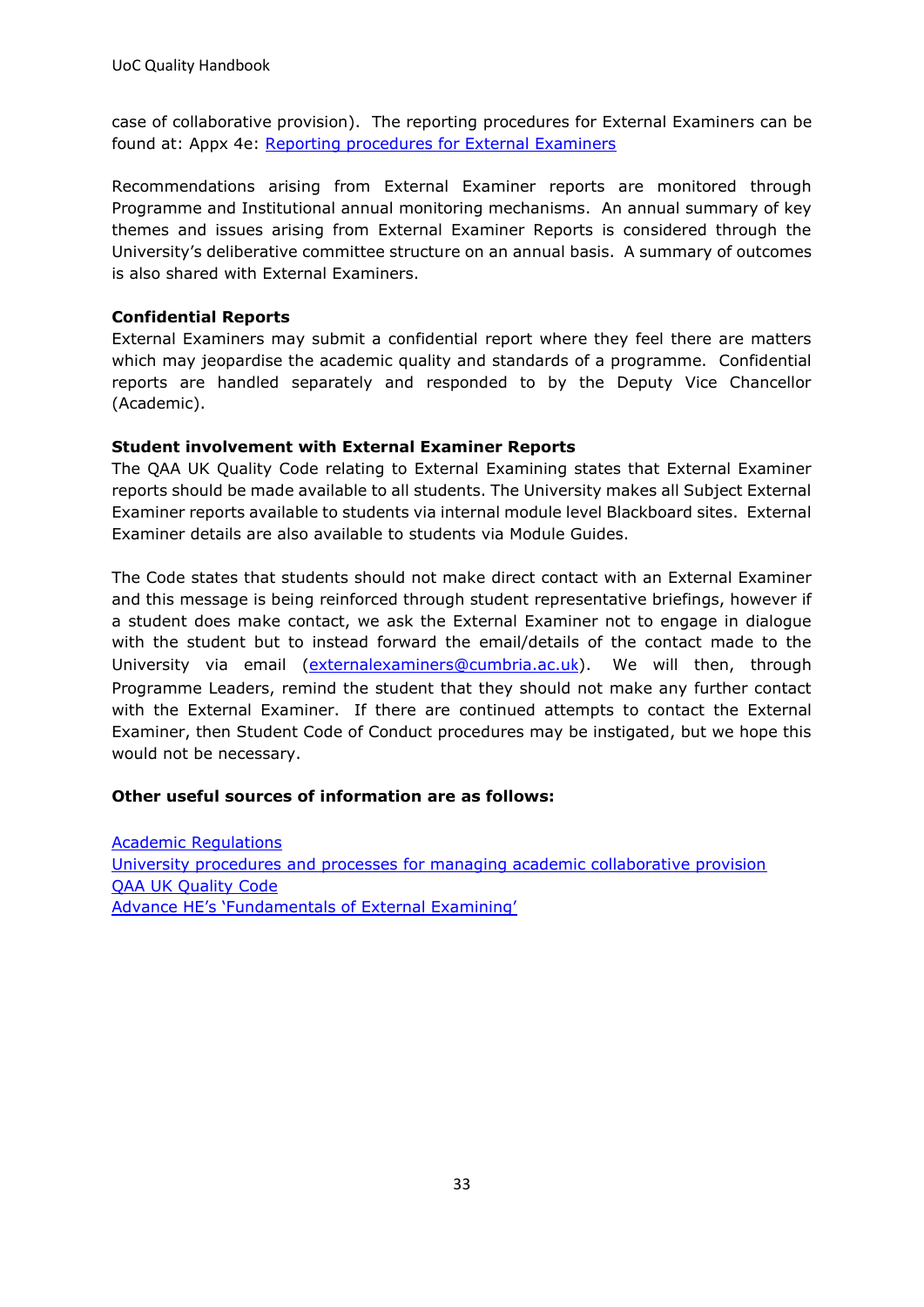case of collaborative provision). The reporting procedures for External Examiners can be found at: Appx 4e: [Reporting procedures for External Examiners](https://www.cumbria.ac.uk/media/university-of-cumbria-website/content-assets/public/aqs/documents/academicregulations/Appendix-4e.pdf)

Recommendations arising from External Examiner reports are monitored through Programme and Institutional annual monitoring mechanisms. An annual summary of key themes and issues arising from External Examiner Reports is considered through the University's deliberative committee structure on an annual basis. A summary of outcomes is also shared with External Examiners.

#### **Confidential Reports**

External Examiners may submit a confidential report where they feel there are matters which may jeopardise the academic quality and standards of a programme. Confidential reports are handled separately and responded to by the Deputy Vice Chancellor (Academic).

#### **Student involvement with External Examiner Reports**

The QAA UK Quality Code relating to External Examining states that External Examiner reports should be made available to all students. The University makes all Subject External Examiner reports available to students via internal module level Blackboard sites. External Examiner details are also available to students via Module Guides.

The Code states that students should not make direct contact with an External Examiner and this message is being reinforced through student representative briefings, however if a student does make contact, we ask the External Examiner not to engage in dialogue with the student but to instead forward the email/details of the contact made to the University via email [\(externalexaminers@cumbria.ac.u](mailto:externalexaminers@cumbria.ac.uk)[k](mailto:externalexaminers@cumbria.ac.uk)). We will then, through Programme Leaders, remind the student that they should not make any further contact with the External Examiner. If there are continued attempts to contact the External Examiner, then Student Code of Conduct procedures may be instigated, but we hope this would not be necessary.

#### **Other useful sources of information are as follows:**

[Academic Regulations](https://www.cumbria.ac.uk/about/organisation/professional-services/academic-quality-and-development/academic-regulations/) [University procedures and processes for managing academic collaborative provision](https://www.cumbria.ac.uk/about/organisation/professional-services/academic-quality-and-development/collaborative-provision/) [QAA UK Quality Code](https://www.qaa.ac.uk/quality-code) [Advance HE's 'Fundamentals of External Examining'](https://www.heacademy.ac.uk/system/files/downloads/Fundamentals%20of%20External%20Examining%20AHE%20March%202019.pdf)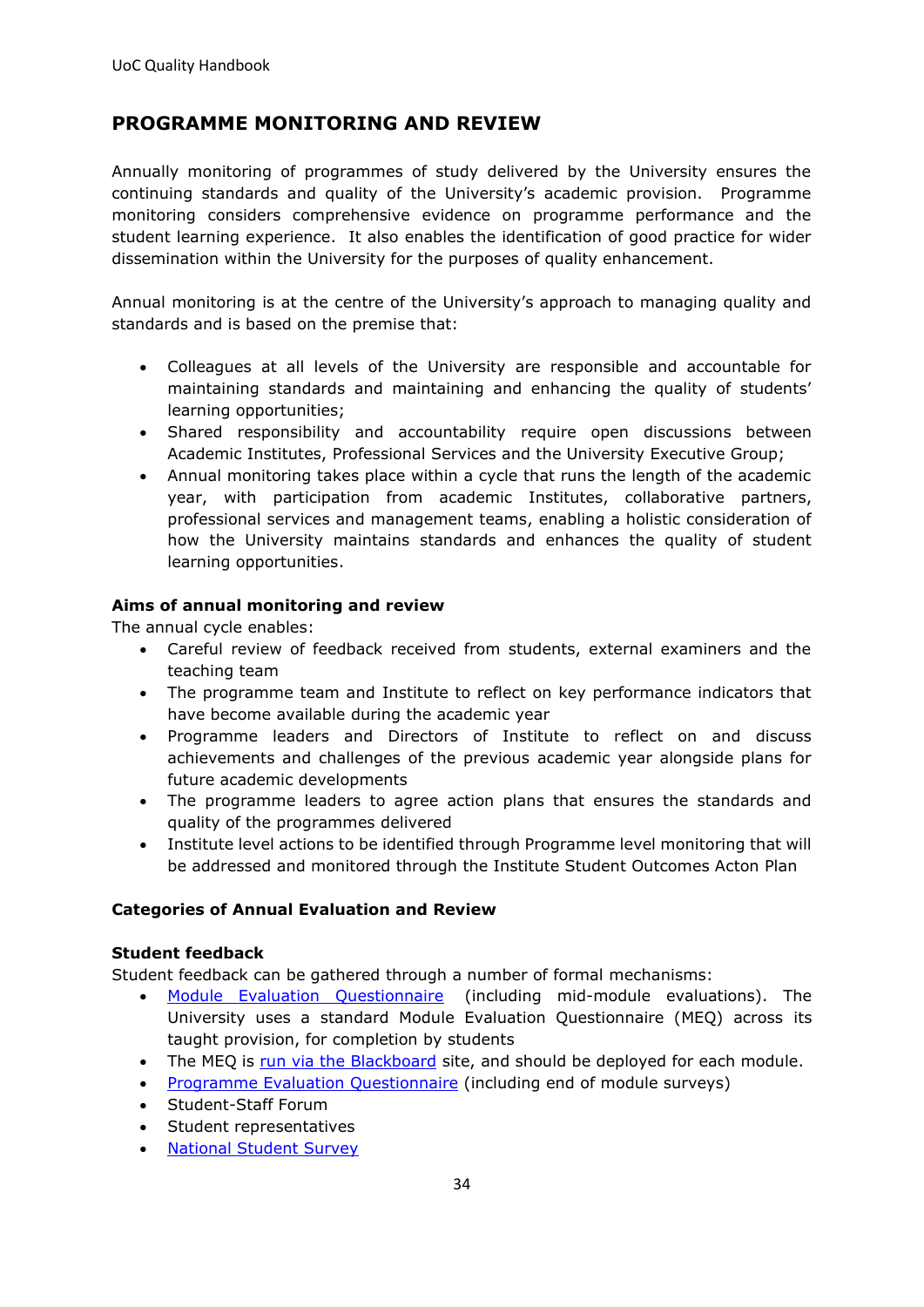## <span id="page-33-0"></span>**PROGRAMME MONITORING AND REVIEW**

Annually monitoring of programmes of study delivered by the University ensures the continuing standards and quality of the University's academic provision. Programme monitoring considers comprehensive evidence on programme performance and the student learning experience. It also enables the identification of good practice for wider dissemination within the University for the purposes of quality enhancement.

Annual monitoring is at the centre of the University's approach to managing quality and standards and is based on the premise that:

- Colleagues at all levels of the University are responsible and accountable for maintaining standards and maintaining and enhancing the quality of students' learning opportunities;
- Shared responsibility and accountability require open discussions between Academic Institutes, Professional Services and the University Executive Group;
- Annual monitoring takes place within a cycle that runs the length of the academic year, with participation from academic Institutes, collaborative partners, professional services and management teams, enabling a holistic consideration of how the University maintains standards and enhances the quality of student learning opportunities.

#### **Aims of annual monitoring and review**

The annual cycle enables:

- Careful review of feedback received from students, external examiners and the teaching team
- The programme team and Institute to reflect on key performance indicators that have become available during the academic year
- Programme leaders and Directors of Institute to reflect on and discuss achievements and challenges of the previous academic year alongside plans for future academic developments
- The programme leaders to agree action plans that ensures the standards and quality of the programmes delivered
- Institute level actions to be identified through Programme level monitoring that will be addressed and monitored through the Institute Student Outcomes Acton Plan

#### **Categories of Annual Evaluation and Review**

#### **Student feedback**

Student feedback can be gathered through a number of formal mechanisms:

- [Module Evaluation Questionnaire](https://eur03.safelinks.protection.outlook.com/ap/w-59584e83/?url=https%3A%2F%2Funicumbriaac.sharepoint.com%2F%3Aw%3A%2Fr%2Fsites%2FAQA%2FCorporateLibrary%2FStudent%2520Module%2520Evaluation%2520Questionnaire.doc%3Fd%3Dwcc498ca69faf4fc5a518abee8cf52084%26csf%3D1%26web%3D1%26e%3D5Djcfk&data=04%7C01%7Calice.helm-alabaster%40cumbria.ac.uk%7Cb9c0c362e034462db69208d9b3e1fc14%7Cb627db1d99584fd18ea48ac3b27cf00f%7C1%7C0%7C637738605435356768%7CUnknown%7CTWFpbGZsb3d8eyJWIjoiMC4wLjAwMDAiLCJQIjoiV2luMzIiLCJBTiI6Ik1haWwiLCJXVCI6Mn0%3D%7C3000&sdata=FweE9LxPcJG1n4aKkzTc58DCDhox6Qj6t8sV63PXkzI%3D&reserved=0) (including mid-module evaluations). The University uses a standard Module Evaluation Questionnaire (MEQ) across its taught provision, for completion by students
- The MEQ is [run via the Blackboard](https://eur03.safelinks.protection.outlook.com/?url=https%3A%2F%2Faqdkb.wordpress.com%2F2019%2F11%2F18%2Fadding-a-module-evaluation-survey-to-your-blackboard-site%2F&data=01%7C01%7Cjanine.whitfield%40cumbria.ac.uk%7C5936d5f10ac0441889b308d7e538ae86%7Cb627db1d99584fd18ea48ac3b27cf00f%7C0&sdata=FNcf%2BB1yRhmZLcQa%2BMA6w%2BGv%2Fcl6ildjhvdbbuumb7I%3D&reserved=0) site, and should be deployed for each module.
- [Programme Evaluation Questionnaire](https://eur03.safelinks.protection.outlook.com/ap/w-59584e83/?url=https%3A%2F%2Funicumbriaac.sharepoint.com%2F%3Aw%3A%2Fr%2Fsites%2FAQA%2FCorporateLibrary%2FStudent%2520Programme%2520Evaluation%2520Questionnaire.doc%3Fd%3Dw3c02c682bb3849698c225a82774281d7%26csf%3D1%26web%3D1%26e%3DgOICEf&data=04%7C01%7Calice.helm-alabaster%40cumbria.ac.uk%7Cb9c0c362e034462db69208d9b3e1fc14%7Cb627db1d99584fd18ea48ac3b27cf00f%7C1%7C0%7C637738605435366725%7CUnknown%7CTWFpbGZsb3d8eyJWIjoiMC4wLjAwMDAiLCJQIjoiV2luMzIiLCJBTiI6Ik1haWwiLCJXVCI6Mn0%3D%7C3000&sdata=4Rw9gqjMTzbzmzm1umKZpxDyTHKP%2FEDu%2Fa1TwVAGdgY%3D&reserved=0) (including end of module surveys)
- Student-Staff Forum
- Student representatives
- [National Student Survey](https://eur03.safelinks.protection.outlook.com/?url=http%3A%2F%2Fwww.thestudentsurvey.com%2F&data=04%7C01%7Calice.helm-alabaster%40cumbria.ac.uk%7Cb9c0c362e034462db69208d9b3e1fc14%7Cb627db1d99584fd18ea48ac3b27cf00f%7C1%7C0%7C637738605435376682%7CUnknown%7CTWFpbGZsb3d8eyJWIjoiMC4wLjAwMDAiLCJQIjoiV2luMzIiLCJBTiI6Ik1haWwiLCJXVCI6Mn0%3D%7C3000&sdata=AO5nHxCGUQ6qxHnNgbz%2Fj1yRNibkI3%2FV2W%2F8XtF%2FpvM%3D&reserved=0)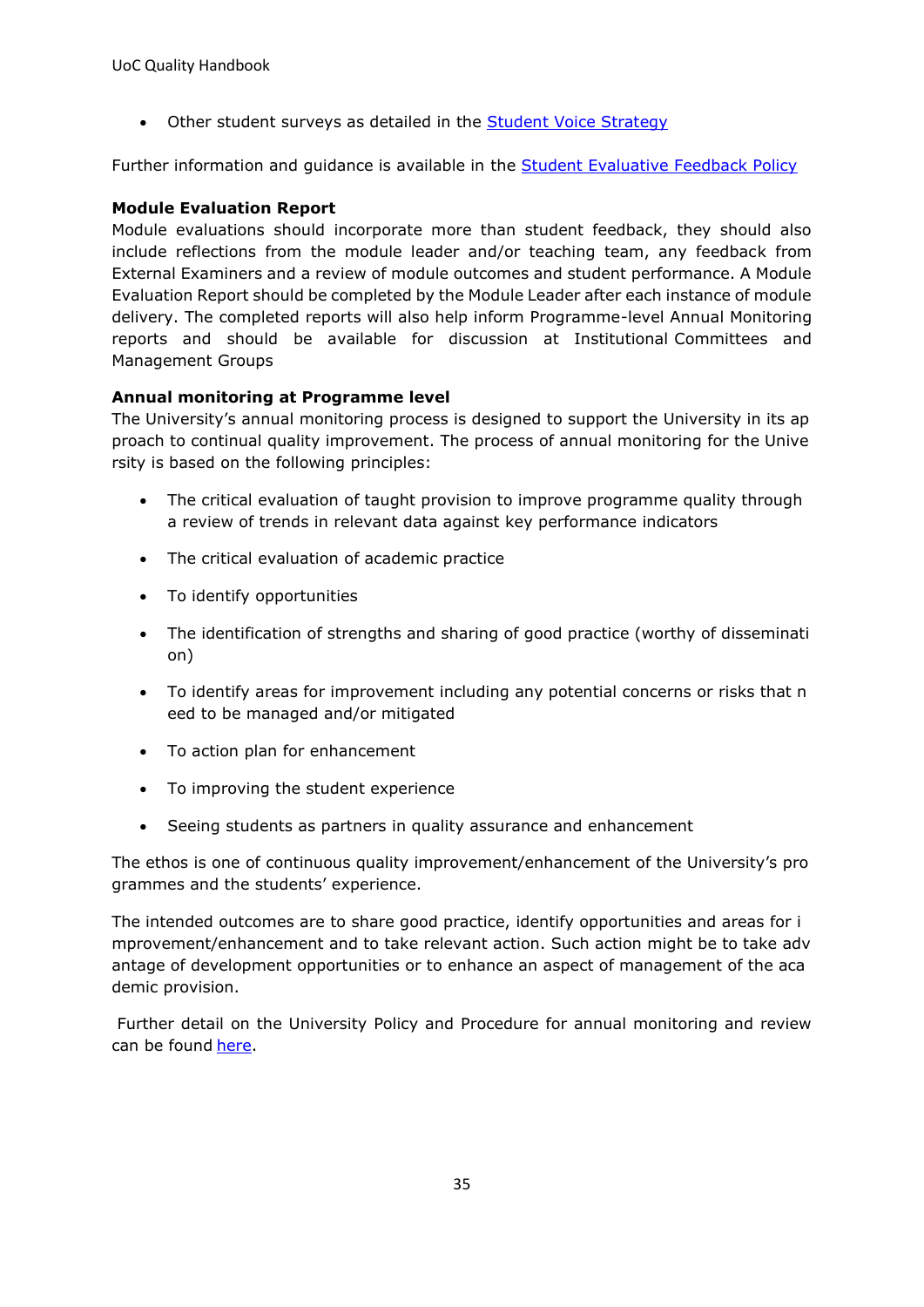• Other student surveys as detailed in the [Student Voice Strategy](https://eur03.safelinks.protection.outlook.com/ap/b-59584e83/?url=https%3A%2F%2Funicumbriaac.sharepoint.com%2F%3Ab%3A%2Fr%2Fsites%2FAQA%2FCorporateLibrary%2FStudent%2520Voice%2520Strategy.pdf%3Fcsf%3D1%26web%3D1%26e%3Df1NWV1&data=04%7C01%7Calice.helm-alabaster%40cumbria.ac.uk%7Cb9c0c362e034462db69208d9b3e1fc14%7Cb627db1d99584fd18ea48ac3b27cf00f%7C1%7C0%7C637738605435376682%7CUnknown%7CTWFpbGZsb3d8eyJWIjoiMC4wLjAwMDAiLCJQIjoiV2luMzIiLCJBTiI6Ik1haWwiLCJXVCI6Mn0%3D%7C3000&sdata=5NT7WA7ov2yE7SZpJbHuBhC5SME2dJWD7P5JwgTXqCk%3D&reserved=0)

Further information and guidance is available in the [Student Evaluative Feedback Policy](https://eur03.safelinks.protection.outlook.com/ap/b-59584e83/?url=https%3A%2F%2Funicumbriaac.sharepoint.com%2F%3Ab%3A%2Fr%2Fsites%2FAQA%2FCorporateLibrary%2FStudent%2520Evaluative%2520Feedback%2520Policy%2520(Taught%2520Degree%2520Programmes).pdf%3Fcsf%3D1%26web%3D1%26e%3D3i2T2M&data=04%7C01%7Calice.helm-alabaster%40cumbria.ac.uk%7Cb9c0c362e034462db69208d9b3e1fc14%7Cb627db1d99584fd18ea48ac3b27cf00f%7C1%7C0%7C637738605435386640%7CUnknown%7CTWFpbGZsb3d8eyJWIjoiMC4wLjAwMDAiLCJQIjoiV2luMzIiLCJBTiI6Ik1haWwiLCJXVCI6Mn0%3D%7C3000&sdata=etw%2BuRM32Z%2BLy8ruqTO8MQOgKhrisMqF%2BOgtxBzJVhA%3D&reserved=0)

#### **Module Evaluation Report**

Module evaluations should incorporate more than student feedback, they should also include reflections from the module leader and/or teaching team, any feedback from External Examiners and a review of module outcomes and student performance. A Module Evaluation Report should be completed by the Module Leader after each instance of module delivery. The completed reports will also help inform Programme-level Annual Monitoring reports and should be available for discussion at Institutional Committees and Management Groups

#### **Annual monitoring at Programme level**

The University's annual monitoring process is designed to support the University in its ap proach to continual quality improvement. The process of annual monitoring for the Unive rsity is based on the following principles:

- The critical evaluation of taught provision to improve programme quality through a review of trends in relevant data against key performance indicators
- The critical evaluation of academic practice
- To identify opportunities
- The identification of strengths and sharing of good practice (worthy of disseminati on)
- To identify areas for improvement including any potential concerns or risks that n eed to be managed and/or mitigated
- To action plan for enhancement
- To improving the student experience
- Seeing students as partners in quality assurance and enhancement

The ethos is one of continuous quality improvement/enhancement of the University's pro grammes and the students' experience.

The intended outcomes are to share good practice, identify opportunities and areas for i mprovement/enhancement and to take relevant action. Such action might be to take adv antage of development opportunities or to enhance an aspect of management of the aca demic provision.

Further detail on the University Policy and Procedure for annual monitoring and review can be found [here.](https://unicumbriaac.sharepoint.com/sites/AQA/SitePages/Programme-Monitoring-%26-Review.aspx)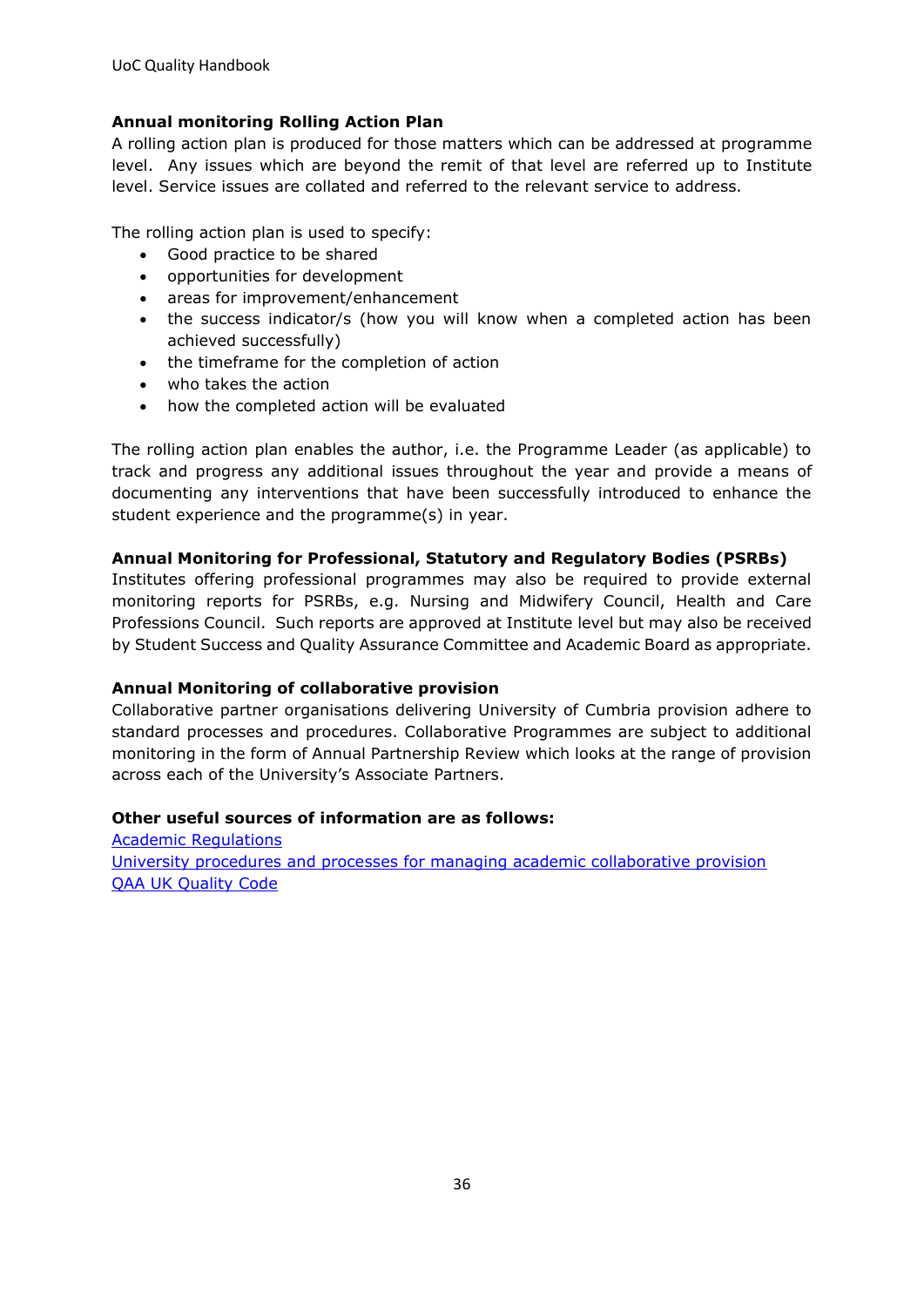#### **Annual monitoring Rolling Action Plan**

A rolling action plan is produced for those matters which can be addressed at programme level. Any issues which are beyond the remit of that level are referred up to Institute level. Service issues are collated and referred to the relevant service to address.

The rolling action plan is used to specify:

- Good practice to be shared
- opportunities for development
- areas for improvement/enhancement
- the success indicator/s (how you will know when a completed action has been achieved successfully)
- the timeframe for the completion of action
- who takes the action
- how the completed action will be evaluated

The rolling action plan enables the author, i.e. the Programme Leader (as applicable) to track and progress any additional issues throughout the year and provide a means of documenting any interventions that have been successfully introduced to enhance the student experience and the programme(s) in year.

#### **Annual Monitoring for Professional, Statutory and Regulatory Bodies (PSRBs)**

Institutes offering professional programmes may also be required to provide external monitoring reports for PSRBs, e.g. Nursing and Midwifery Council, Health and Care Professions Council. Such reports are approved at Institute level but may also be received by Student Success and Quality Assurance Committee and Academic Board as appropriate.

#### **Annual Monitoring of collaborative provision**

Collaborative partner organisations delivering University of Cumbria provision adhere to standard processes and procedures. Collaborative Programmes are subject to additional monitoring in the form of Annual Partnership Review which looks at the range of provision across each of the University's Associate Partners.

#### **Other useful sources of information are as follows:**

[Academic Regulations](https://unicumbriaac.sharepoint.com/sites/AQA/SitePages/Academic-Regulations.aspx) [University procedures and processes for managing academic collaborative provision](https://unicumbriaac.sharepoint.com/sites/AQA/SitePages/Academic-Collaborative-Provision.aspx) [QAA UK Quality Code](https://www.qaa.ac.uk/quality-code)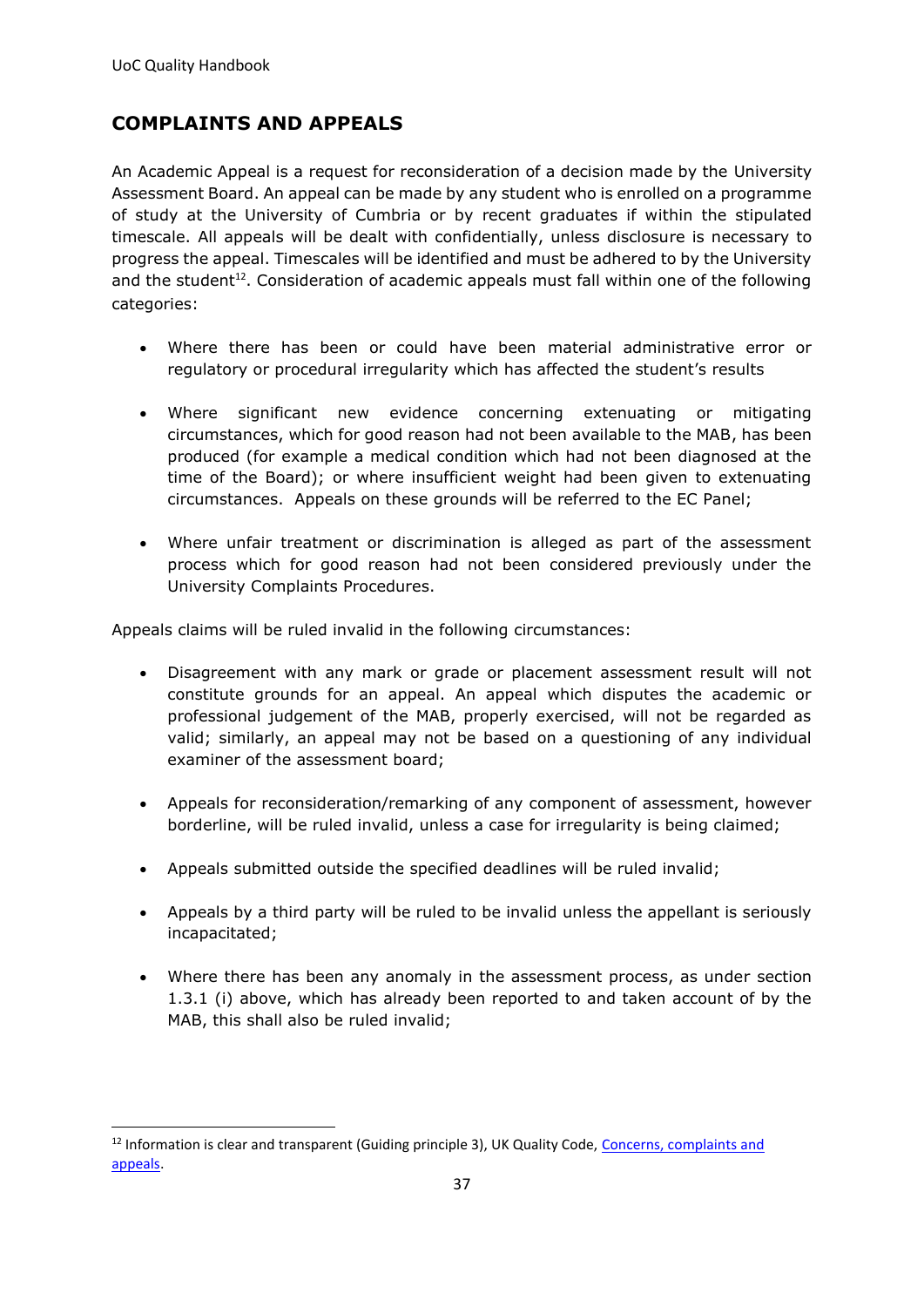## <span id="page-36-0"></span>**COMPLAINTS AND APPEALS**

An Academic Appeal is a request for reconsideration of a decision made by the University Assessment Board. An appeal can be made by any student who is enrolled on a programme of study at the University of Cumbria or by recent graduates if within the stipulated timescale. All appeals will be dealt with confidentially, unless disclosure is necessary to progress the appeal. Timescales will be identified and must be adhered to by the University and the student<sup>12</sup>. Consideration of academic appeals must fall within one of the following categories:

- Where there has been or could have been material administrative error or regulatory or procedural irregularity which has affected the student's results
- Where significant new evidence concerning extenuating or mitigating circumstances, which for good reason had not been available to the MAB, has been produced (for example a medical condition which had not been diagnosed at the time of the Board); or where insufficient weight had been given to extenuating circumstances. Appeals on these grounds will be referred to the EC Panel;
- Where unfair treatment or discrimination is alleged as part of the assessment process which for good reason had not been considered previously under the University Complaints Procedures.

Appeals claims will be ruled invalid in the following circumstances:

- Disagreement with any mark or grade or placement assessment result will not constitute grounds for an appeal. An appeal which disputes the academic or professional judgement of the MAB, properly exercised, will not be regarded as valid; similarly, an appeal may not be based on a questioning of any individual examiner of the assessment board;
- Appeals for reconsideration/remarking of any component of assessment, however borderline, will be ruled invalid, unless a case for irregularity is being claimed;
- Appeals submitted outside the specified deadlines will be ruled invalid;
- Appeals by a third party will be ruled to be invalid unless the appellant is seriously incapacitated;
- Where there has been any anomaly in the assessment process, as under section 1.3.1 (i) above, which has already been reported to and taken account of by the MAB, this shall also be ruled invalid;

<sup>&</sup>lt;sup>12</sup> Information is clear and transparent (Guiding principle 3), UK Quality Code, Concerns, complaints and [appeals.](https://www.qaa.ac.uk/en/quality-code/advice-and-guidance/concerns-complaints-and-appeals)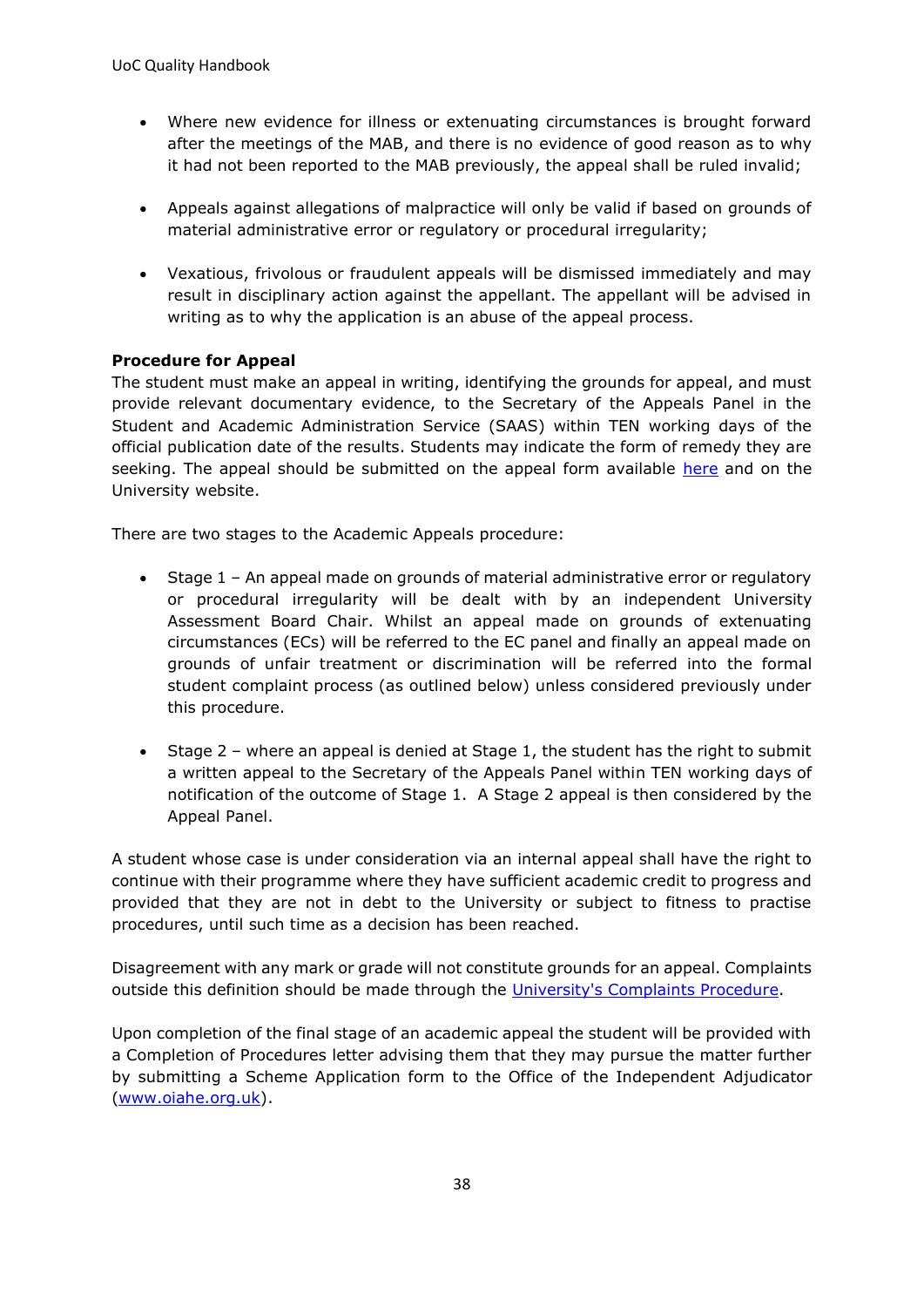- Where new evidence for illness or extenuating circumstances is brought forward after the meetings of the MAB, and there is no evidence of good reason as to why it had not been reported to the MAB previously, the appeal shall be ruled invalid;
- Appeals against allegations of malpractice will only be valid if based on grounds of material administrative error or regulatory or procedural irregularity;
- Vexatious, frivolous or fraudulent appeals will be dismissed immediately and may result in disciplinary action against the appellant. The appellant will be advised in writing as to why the application is an abuse of the appeal process.

#### **Procedure for Appeal**

The student must make an appeal in writing, identifying the grounds for appeal, and must provide relevant documentary evidence, to the Secretary of the Appeals Panel in the Student and Academic Administration Service (SAAS) within TEN working days of the official publication date of the results. Students may indicate the form of remedy they are seeking. The appeal should be submitted on the appeal form available [here](https://my.cumbria.ac.uk/Student-Life/Support/Your-Studies/Assessment-and-Exams/Appeals/) and on the University website.

There are two stages to the Academic Appeals procedure:

- Stage 1 An appeal made on grounds of material administrative error or regulatory or procedural irregularity will be dealt with by an independent University Assessment Board Chair. Whilst an appeal made on grounds of extenuating circumstances (ECs) will be referred to the EC panel and finally an appeal made on grounds of unfair treatment or discrimination will be referred into the formal student complaint process (as outlined below) unless considered previously under this procedure.
- Stage 2 where an appeal is denied at Stage 1, the student has the right to submit a written appeal to the Secretary of the Appeals Panel within TEN working days of notification of the outcome of Stage 1. A Stage 2 appeal is then considered by the Appeal Panel.

A student whose case is under consideration via an internal appeal shall have the right to continue with their programme where they have sufficient academic credit to progress and provided that they are not in debt to the University or subject to fitness to practise procedures, until such time as a decision has been reached.

Disagreement with any mark or grade will not constitute grounds for an appeal. Complaints outside this definition should be made through the [University's Complaints Procedure.](https://my.cumbria.ac.uk/Student-Life/Support/Responding-to-your-concerns/Student-Complaints-Procedure/)

Upon completion of the final stage of an academic appeal the student will be provided with a Completion of Procedures letter advising them that they may pursue the matter further by submitting a Scheme Application form to the Office of the Independent Adjudicator [\(www.oiahe.org.uk\)](http://www.oiahe.org.uk/).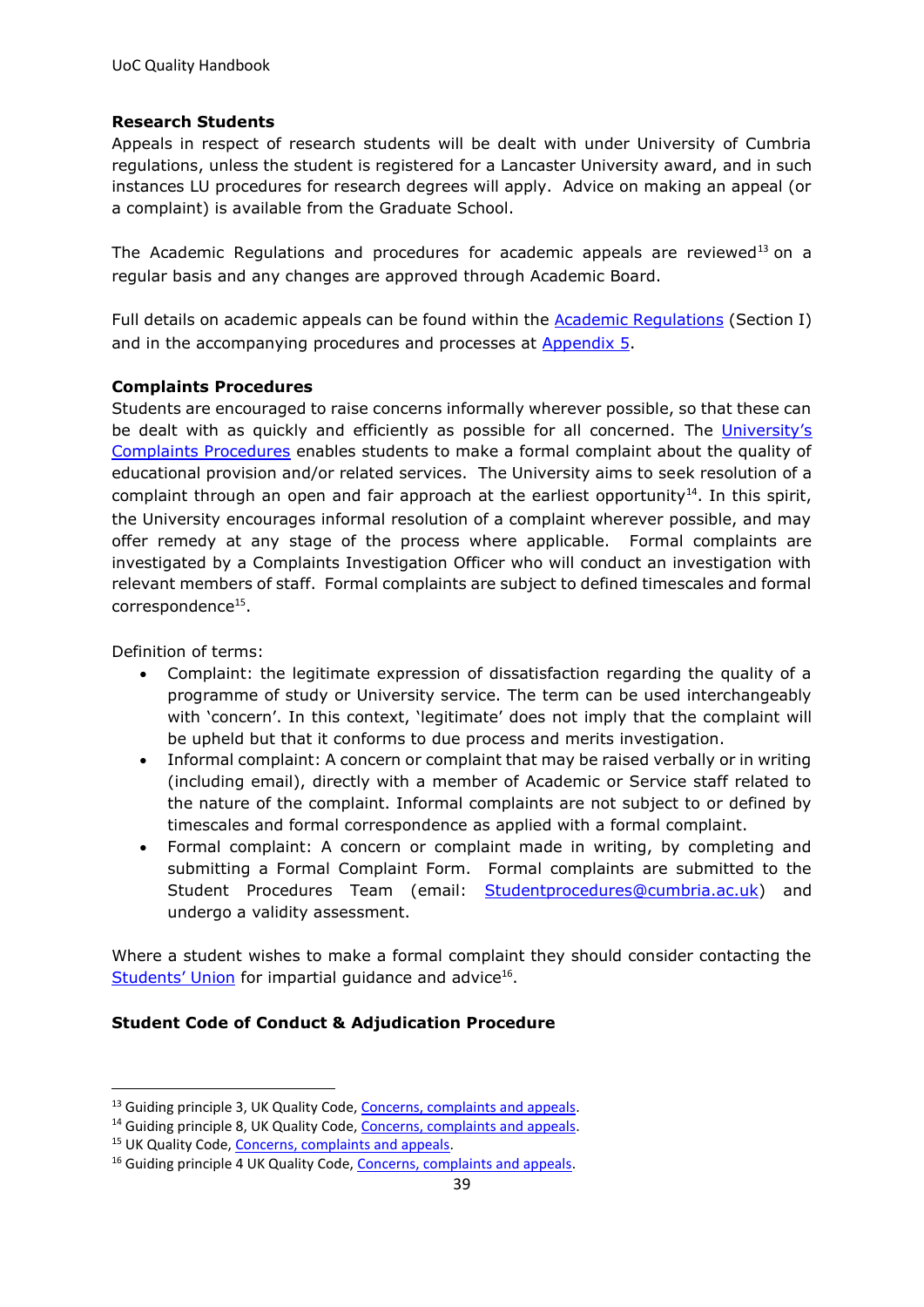#### **Research Students**

Appeals in respect of research students will be dealt with under University of Cumbria regulations, unless the student is registered for a Lancaster University award, and in such instances LU procedures for research degrees will apply. Advice on making an appeal (or a complaint) is available from the Graduate School.

The Academic Regulations and procedures for academic appeals are reviewed<sup>13</sup> on a regular basis and any changes are approved through Academic Board.

Full details on academic appeals can be found within the **[A](https://unicumbriaac.sharepoint.com/sites/AQA/SitePages/Academic-Regulations.aspx)[cademic Regulations](https://unicumbriaac.sharepoint.com/sites/AQA/SitePages/Academic-Regulations.aspx)** (Section I) and in the accompanying procedures and processes at [Appendix 5.](https://unicumbriaac.sharepoint.com/sites/AQA/CorporateLibrary/Forms/AllItems.aspx?id=%2Fsites%2FAQA%2FCorporateLibrary%2FAcademic%20Regulations%20%2D%20Appendix%205%2Epdf&parent=%2Fsites%2FAQA%2FCorporateLibrary)

#### **Complaints Procedures**

Students are encouraged to raise concerns informally wherever possible, so that these can be dealt with as quickly and efficiently as possible for all concerned. The [University's](https://my.cumbria.ac.uk/Student-Life/Support/Responding-to-your-concerns/Student-Complaints-Procedure/)  [Complaints Procedures](https://my.cumbria.ac.uk/Student-Life/Support/Responding-to-your-concerns/Student-Complaints-Procedure/) enables students to make a formal complaint about the quality of educational provision and/or related services. The University aims to seek resolution of a complaint through an open and fair approach at the earliest opportunity<sup>14</sup>. In this spirit, the University encourages informal resolution of a complaint wherever possible, and may offer remedy at any stage of the process where applicable. Formal complaints are investigated by a Complaints Investigation Officer who will conduct an investigation with relevant members of staff. Formal complaints are subject to defined timescales and formal correspondence<sup>15</sup>.

Definition of terms:

- Complaint: the legitimate expression of dissatisfaction regarding the quality of a programme of study or University service. The term can be used interchangeably with 'concern'. In this context, 'legitimate' does not imply that the complaint will be upheld but that it conforms to due process and merits investigation.
- Informal complaint: A concern or complaint that may be raised verbally or in writing (including email), directly with a member of Academic or Service staff related to the nature of the complaint. Informal complaints are not subject to or defined by timescales and formal correspondence as applied with a formal complaint.
- Formal complaint: A concern or complaint made in writing, by completing and submitting a Formal Complaint Form. Formal complaints are submitted to the Student Procedures Team (email: Studentprocedures@cumbria.ac.uk) and undergo a validity assessment.

Where a student wishes to make a formal complaint they should consider contacting the [Students' Union](http://www.ucsu.me/) for impartial guidance and advice<sup>16</sup>.

#### **Student Code of Conduct & Adjudication Procedure**

<sup>&</sup>lt;sup>13</sup> Guiding principle 3, UK Quality Code, [Concerns, complaints and appeals.](https://www.qaa.ac.uk/en/quality-code/advice-and-guidance/concerns-complaints-and-appeals)

<sup>&</sup>lt;sup>14</sup> Guiding principle 8, UK Quality Code, [Concerns, complaints and appeals.](https://www.qaa.ac.uk/en/quality-code/advice-and-guidance/concerns-complaints-and-appeals)

<sup>&</sup>lt;sup>15</sup> UK Quality Code, [Concerns, complaints and appeals.](https://www.qaa.ac.uk/en/quality-code/advice-and-guidance/concerns-complaints-and-appeals)

<sup>&</sup>lt;sup>16</sup> Guiding principle 4 UK Quality Code, [Concerns, complaints and appeals.](https://www.qaa.ac.uk/en/quality-code/advice-and-guidance/concerns-complaints-and-appeals)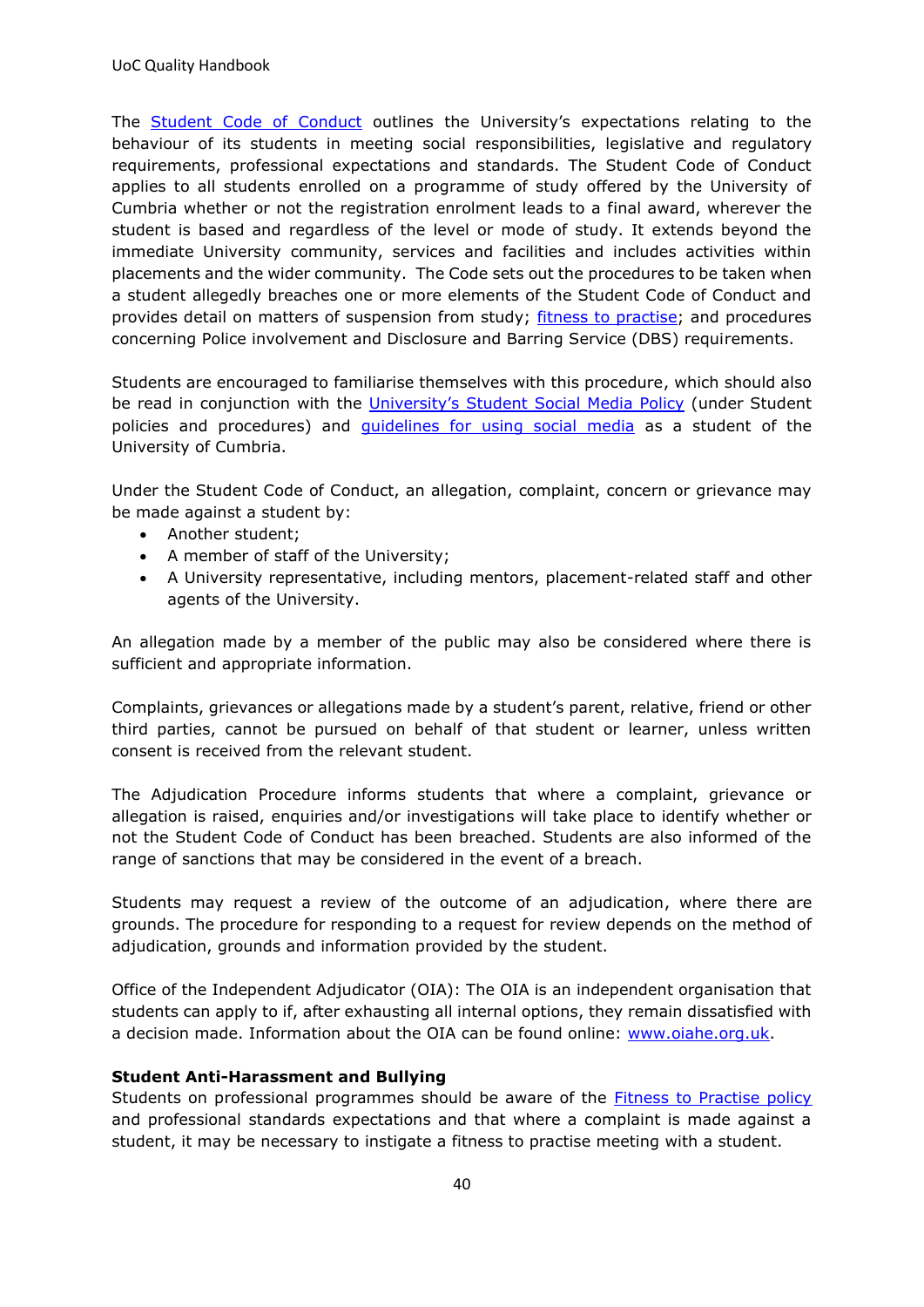The [Student Code of Conduct](https://my.cumbria.ac.uk/Student-Life/Support/Responding-to-your-concerns/Student-Code-of-Conduct/) outlines the University's expectations relating to the behaviour of its students in meeting social responsibilities, legislative and regulatory requirements, professional expectations and standards. The Student Code of Conduct applies to all students enrolled on a programme of study offered by the University of Cumbria whether or not the registration enrolment leads to a final award, wherever the student is based and regardless of the level or mode of study. It extends beyond the immediate University community, services and facilities and includes activities within placements and the wider community. The Code sets out the procedures to be taken when a student allegedly breaches one or more elements of the Student Code of Conduct and provides detail on matters of suspension from study; [fitness to practise;](https://unicumbriaac.sharepoint.com/sites/AQA/CorporateLibrary/Forms/AllItems.aspx?id=%2Fsites%2FAQA%2FCorporateLibrary%2FFitness%20To%20Study%20Policy%20and%20Procedures%2Epdf&parent=%2Fsites%2FAQA%2FCorporateLibrary) and procedures concerning Police involvement and Disclosure and Barring Service (DBS) requirements.

Students are encouraged to familiarise themselves with this procedure, which should also be read in conjunction with the University's [Student Social Media Policy](https://my.cumbria.ac.uk/media/MyCumbria/Documents/Student-Social-Media-Policy.pdf) (under Student policies and procedures) and [guidelines for using social media](https://my.cumbria.ac.uk/media/MyCumbria/Documents/Student-Social-Media-Policy.pdf) as a student of the University of Cumbria.

Under the Student Code of Conduct, an allegation, complaint, concern or grievance may be made against a student by:

- Another student;
- A member of staff of the University;
- A University representative, including mentors, placement-related staff and other agents of the University.

An allegation made by a member of the public may also be considered where there is sufficient and appropriate information.

Complaints, grievances or allegations made by a student's parent, relative, friend or other third parties, cannot be pursued on behalf of that student or learner, unless written consent is received from the relevant student.

The Adjudication Procedure informs students that where a complaint, grievance or allegation is raised, enquiries and/or investigations will take place to identify whether or not the Student Code of Conduct has been breached. Students are also informed of the range of sanctions that may be considered in the event of a breach.

Students may request a review of the outcome of an adjudication, where there are grounds. The procedure for responding to a request for review depends on the method of adjudication, grounds and information provided by the student.

Office of the Independent Adjudicator (OIA): The OIA is an independent organisation that students can apply to if, after exhausting all internal options, they remain dissatisfied with a decision made. Information about the OIA can be found online: [www.oiahe.org.uk.](http://www.oiahe.org.uk/)

#### **Student Anti-Harassment and Bullying**

Students on professional programmes should be aware of the [Fitness to Practise policy](https://unicumbriaac.sharepoint.com/sites/AQA/CorporateLibrary/Forms/AllItems.aspx?id=%2Fsites%2FAQA%2FCorporateLibrary%2FFitness%20To%20Study%20Policy%20and%20Procedures%2Epdf&parent=%2Fsites%2FAQA%2FCorporateLibrary) and professional standards expectations and that where a complaint is made against a student, it may be necessary to instigate a fitness to practise meeting with a student.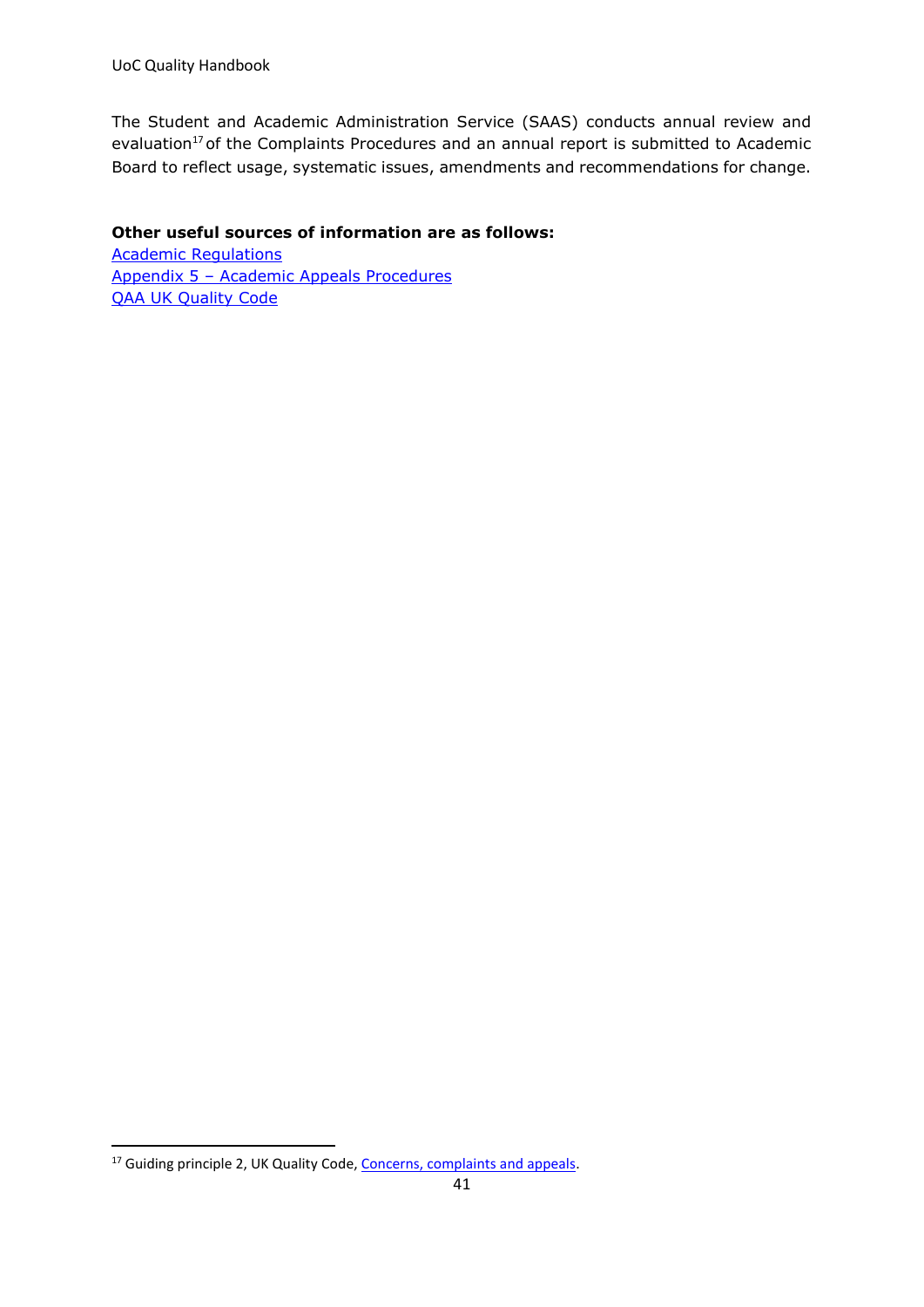The Student and Academic Administration Service (SAAS) conducts annual review and evaluation<sup>17</sup> of the Complaints Procedures and an annual report is submitted to Academic Board to reflect usage, systematic issues, amendments and recommendations for change.

#### **Other useful sources of information are as follows:**

[Academic Regulations](https://unicumbriaac.sharepoint.com/sites/AQA/SitePages/Academic-Regulations.aspx) Appendix 5 – [Academic Appeals Procedures](https://unicumbriaac.sharepoint.com/sites/AQA/CorporateLibrary/Forms/AllItems.aspx?id=%2Fsites%2FAQA%2FCorporateLibrary%2FAcademic%20Regulations%20%2D%20Appendix%205%2Epdf&parent=%2Fsites%2FAQA%2FCorporateLibrary) **[QAA UK Quality Code](https://www.qaa.ac.uk/quality-code)** 

<sup>&</sup>lt;sup>17</sup> Guiding principle 2, UK Quality Code, [Concerns, complaints and appeals.](https://www.qaa.ac.uk/en/quality-code/advice-and-guidance/concerns-complaints-and-appeals)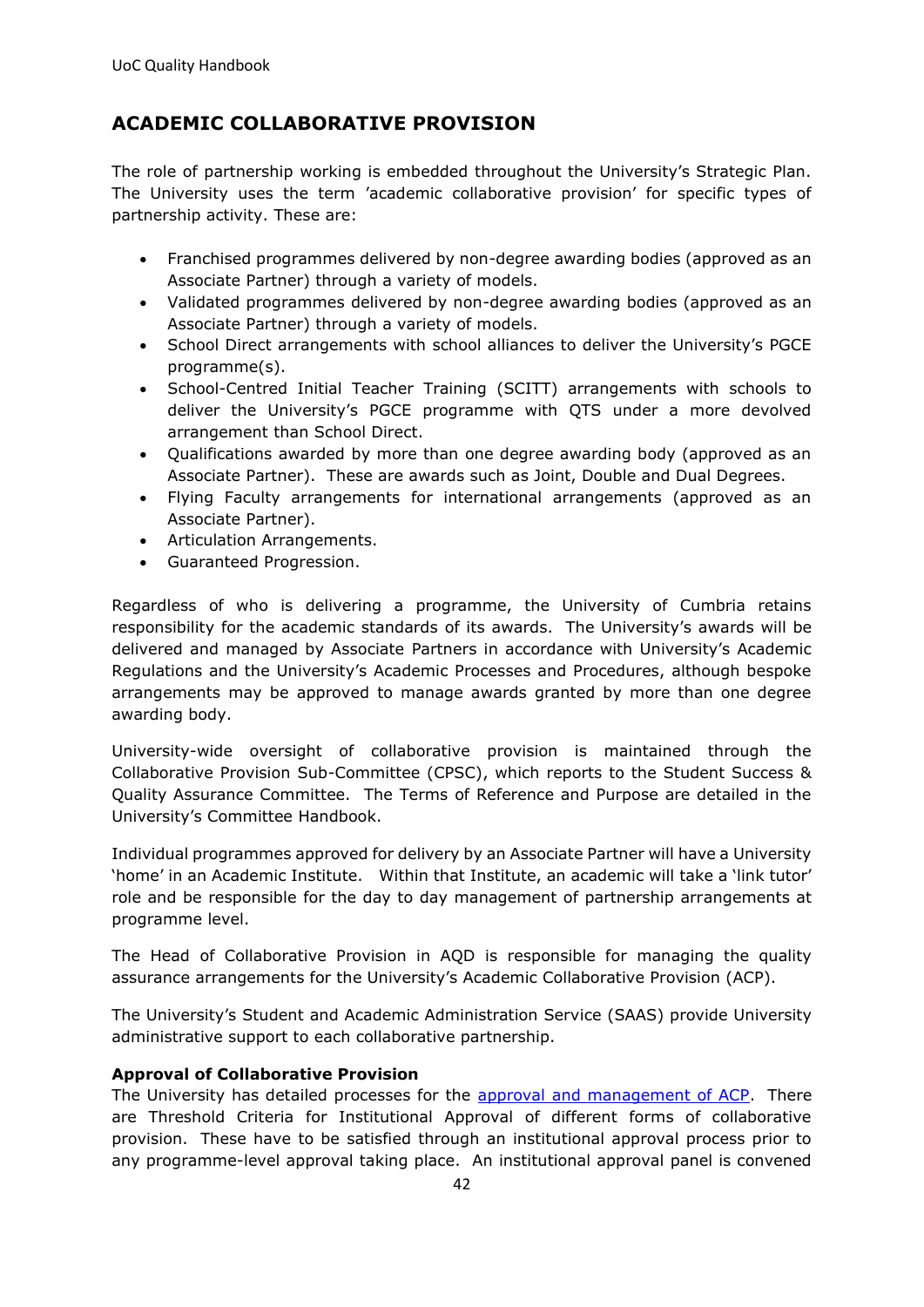## <span id="page-41-0"></span>**ACADEMIC COLLABORATIVE PROVISION**

The role of partnership working is embedded throughout the University's Strategic Plan. The University uses the term 'academic collaborative provision' for specific types of partnership activity. These are:

- Franchised programmes delivered by non-degree awarding bodies (approved as an Associate Partner) through a variety of models.
- Validated programmes delivered by non-degree awarding bodies (approved as an Associate Partner) through a variety of models.
- School Direct arrangements with school alliances to deliver the University's PGCE programme(s).
- School-Centred Initial Teacher Training (SCITT) arrangements with schools to deliver the University's PGCE programme with QTS under a more devolved arrangement than School Direct.
- Qualifications awarded by more than one degree awarding body (approved as an Associate Partner). These are awards such as Joint, Double and Dual Degrees.
- Flying Faculty arrangements for international arrangements (approved as an Associate Partner).
- Articulation Arrangements.
- Guaranteed Progression.

Regardless of who is delivering a programme, the University of Cumbria retains responsibility for the academic standards of its awards. The University's awards will be delivered and managed by Associate Partners in accordance with University's Academic Regulations and the University's Academic Processes and Procedures, although bespoke arrangements may be approved to manage awards granted by more than one degree awarding body.

University-wide oversight of collaborative provision is maintained through the Collaborative Provision Sub-Committee (CPSC), which reports to the Student Success & Quality Assurance Committee. The Terms of Reference and Purpose are detailed in the University's Committee Handbook.

Individual programmes approved for delivery by an Associate Partner will have a University 'home' in an Academic Institute. Within that Institute, an academic will take a 'link tutor' role and be responsible for the day to day management of partnership arrangements at programme level.

The Head of Collaborative Provision in AQD is responsible for managing the quality assurance arrangements for the University's Academic Collaborative Provision (ACP).

The University's Student and Academic Administration Service (SAAS) provide University administrative support to each collaborative partnership.

#### **Approval of Collaborative Provision**

The University has detailed processes for the [approval and management of ACP.](https://unicumbriaac.sharepoint.com/sites/AQA/SitePages/Academic-Collaborative-Provision.aspx) There are Threshold Criteria for Institutional Approval of different forms of collaborative provision. These have to be satisfied through an institutional approval process prior to any programme-level approval taking place. An institutional approval panel is convened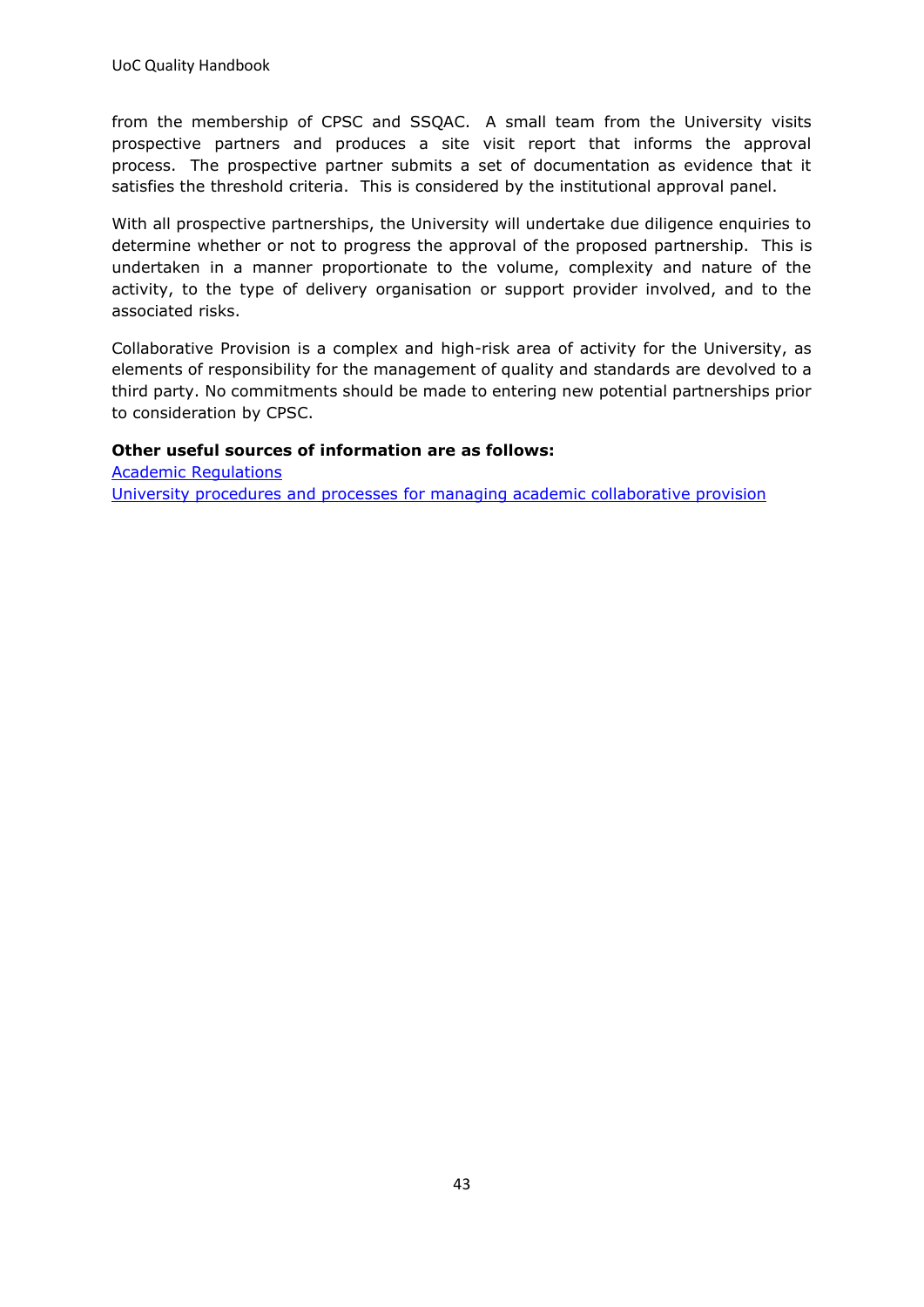from the membership of CPSC and SSQAC. A small team from the University visits prospective partners and produces a site visit report that informs the approval process. The prospective partner submits a set of documentation as evidence that it satisfies the threshold criteria. This is considered by the institutional approval panel.

With all prospective partnerships, the University will undertake due diligence enquiries to determine whether or not to progress the approval of the proposed partnership. This is undertaken in a manner proportionate to the volume, complexity and nature of the activity, to the type of delivery organisation or support provider involved, and to the associated risks.

Collaborative Provision is a complex and high-risk area of activity for the University, as elements of responsibility for the management of quality and standards are devolved to a third party. No commitments should be made to entering new potential partnerships prior to consideration by CPSC.

#### **Other useful sources of information are as follows:**

[Academic Regulations](https://unicumbriaac.sharepoint.com/sites/AQA/SitePages/Academic-Regulations.aspx)  [University procedures and processes for managing academic collaborative provision](https://unicumbriaac.sharepoint.com/sites/AQA/SitePages/Academic-Collaborative-Provision.aspx)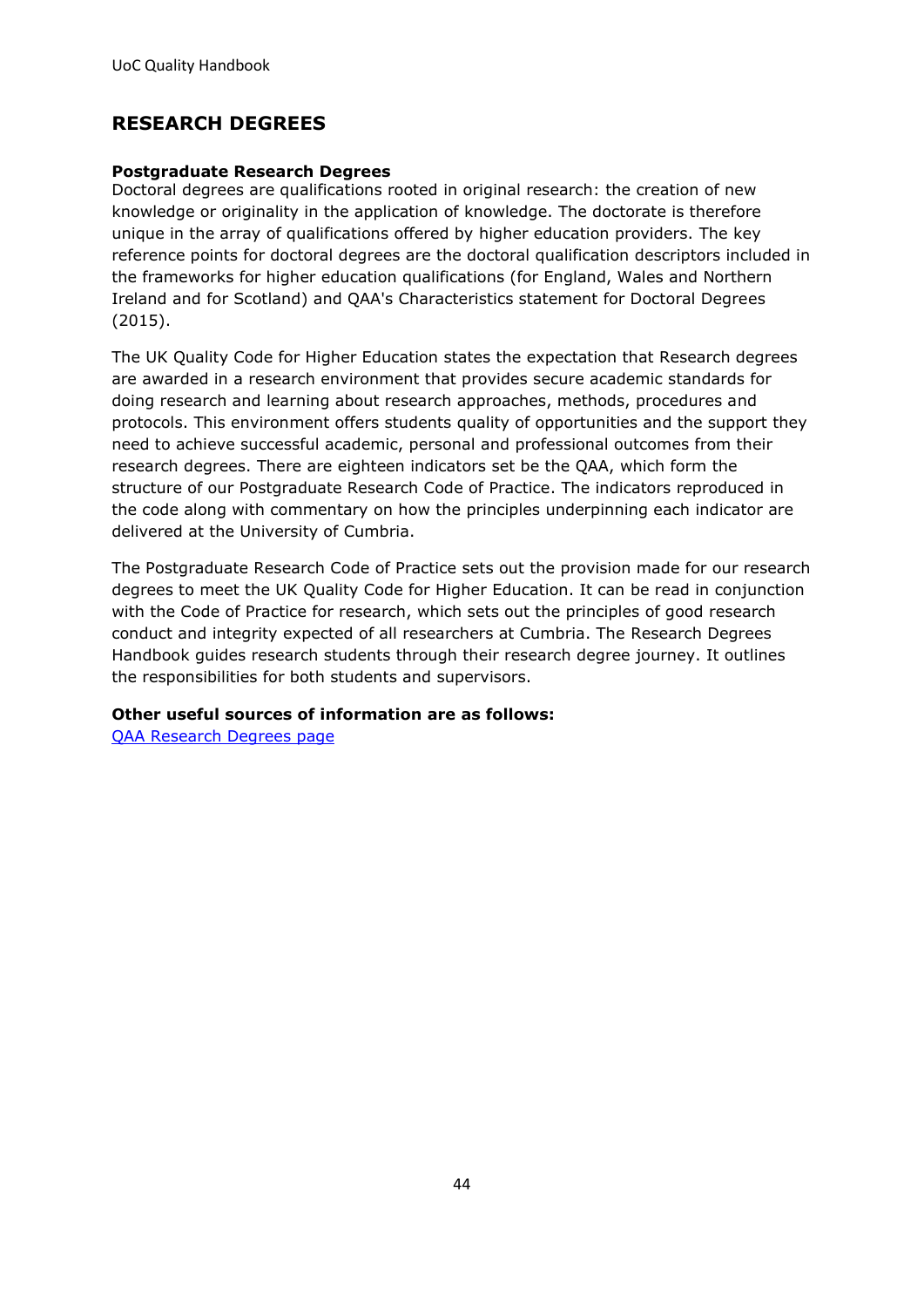## <span id="page-43-0"></span>**RESEARCH DEGREES**

#### **Postgraduate Research Degrees**

Doctoral degrees are qualifications rooted in original research: the creation of new knowledge or originality in the application of knowledge. The doctorate is therefore unique in the array of qualifications offered by higher education providers. The key reference points for doctoral degrees are the doctoral qualification descriptors included in the frameworks for higher education qualifications (for England, Wales and Northern Ireland and for Scotland) and QAA's Characteristics statement for Doctoral Degrees (2015).

The UK Quality Code for Higher Education states the expectation that Research degrees are awarded in a research environment that provides secure academic standards for doing research and learning about research approaches, methods, procedures and protocols. This environment offers students quality of opportunities and the support they need to achieve successful academic, personal and professional outcomes from their research degrees. There are eighteen indicators set be the QAA, which form the structure of our Postgraduate Research Code of Practice. The indicators reproduced in the code along with commentary on how the principles underpinning each indicator are delivered at the University of Cumbria.

The Postgraduate Research Code of Practice sets out the provision made for our research degrees to meet the UK Quality Code for Higher Education. It can be read in conjunction with the Code of Practice for research, which sets out the principles of good research conduct and integrity expected of all researchers at Cumbria. The Research Degrees Handbook guides research students through their research degree journey. It outlines the responsibilities for both students and supervisors.

#### **Other useful sources of information are as follows:**

[QAA Research Degrees page](https://www.qaa.ac.uk/quality-code/advice-and-guidance/research-degrees)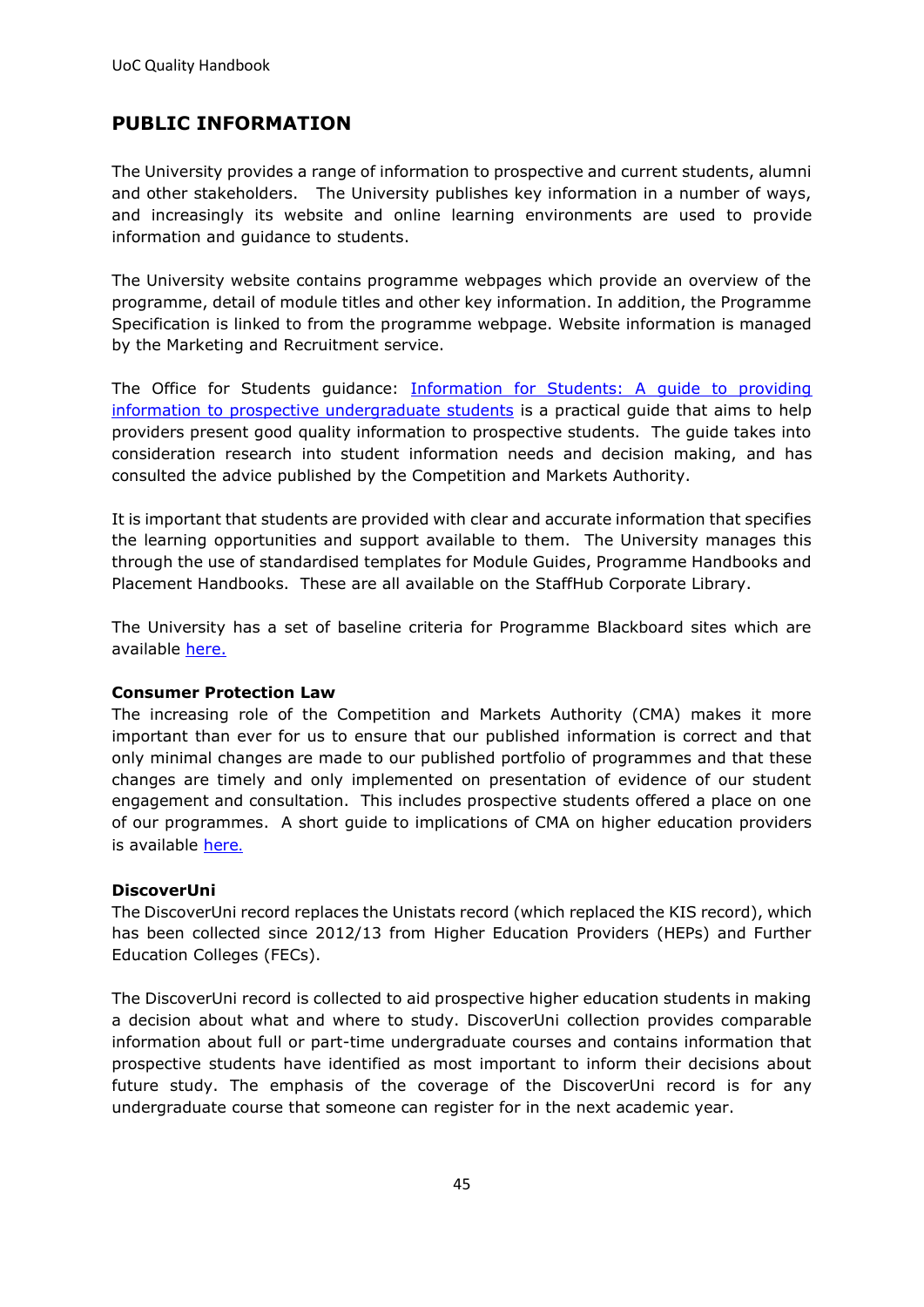## <span id="page-44-0"></span>**PUBLIC INFORMATION**

The University provides a range of information to prospective and current students, alumni and other stakeholders. The University publishes key information in a number of ways, and increasingly its website and online learning environments are used to provide information and guidance to students.

The University website contains programme webpages which provide an overview of the programme, detail of module titles and other key information. In addition, the Programme Specification is linked to from the programme webpage. Website information is managed by the Marketing and Recruitment service.

The Office for Students guidance: [Information for Students: A guide to providing](https://www.officeforstudents.org.uk/media/2db81e6b-e4c7-4867-bc5d-ff67539d13e8/guide_to_providing_info_to_students.pdf)  [information to prospective undergraduate students](https://www.officeforstudents.org.uk/media/2db81e6b-e4c7-4867-bc5d-ff67539d13e8/guide_to_providing_info_to_students.pdf) is a practical guide that aims to help providers present good quality information to prospective students. The guide takes into consideration research into student information needs and decision making, and has consulted the advice published by the Competition and Markets Authority.

It is important that students are provided with clear and accurate information that specifies the learning opportunities and support available to them. The University manages this through the use of standardised templates for Module Guides, Programme Handbooks and Placement Handbooks. These are all available on the [StaffHub Corporate Library.](https://unicumbriaac.sharepoint.com/sites/CL/CorporateLibrary/Templates%20for%20Programme%20and%20Module%20Leaders.aspx)

The University has a set of baseline criteria for Programme Blackboard sites which are available [here.](https://v3.pebblepad.co.uk/spa/#/public/94jgbwqbHcH64RqHwtZhR9gW5y?historyId=9gtPN6hXI5&pageId=94jgbwqbHcH64gkgfbb4bdgdnW)

#### **Consumer Protection Law**

The increasing role of the Competition and Markets Authority (CMA) makes it more important than ever for us to ensure that our published information is correct and that only minimal changes are made to our published portfolio of programmes and that these changes are timely and only implemented on presentation of evidence of our student engagement and consultation. This includes prospective students offered a place on one of our programmes. A short guide to implications of CMA on higher education providers is available [here](https://www.gov.uk/government/collections/higher-education-consumer-law-advice-for-providers-and-students).

#### **DiscoverUni**

The DiscoverUni record replaces the Unistats record (which replaced the KIS record), which has been collected since 2012/13 from Higher Education Providers (HEPs) and Further Education Colleges (FECs).

The DiscoverUni record is collected to aid prospective higher education students in making a decision about what and where to study. DiscoverUni collection provides comparable information about full or part-time undergraduate courses and contains information that prospective students have identified as most important to inform their decisions about future study. The emphasis of the coverage of the DiscoverUni record is for any undergraduate course that someone can register for in the next academic year.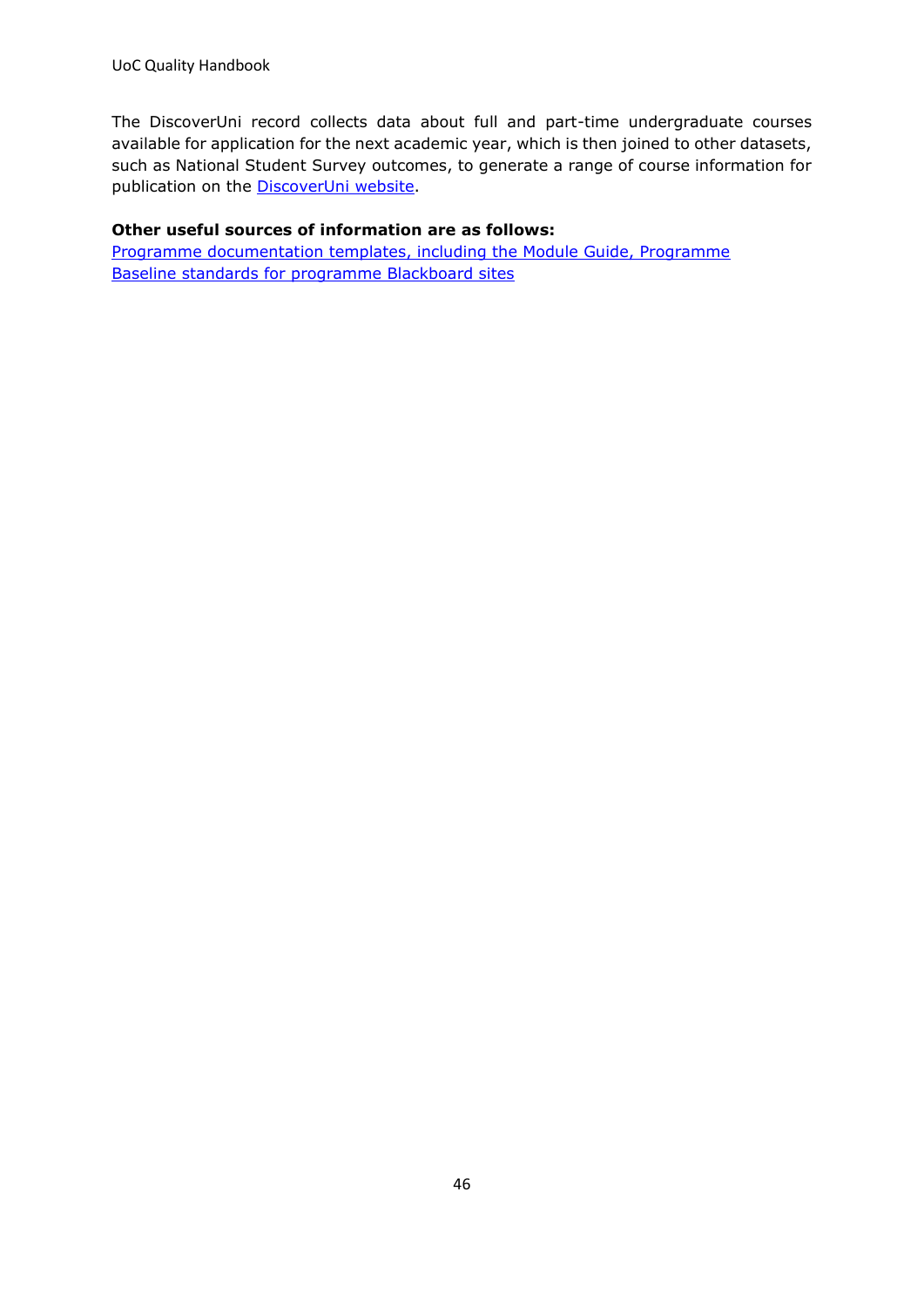The DiscoverUni record collects data about full and part-time undergraduate courses available for application for the next academic year, which is then joined to other datasets, such as National Student Survey outcomes, to generate a range of course information for publication on the **DiscoverUni website**.

#### **Other useful sources of information are as follows:**

[Programme documentation templates, including the Module Guide, Programme](https://unicumbriaac.sharepoint.com/sites/AQA/SitePages/Useful-Info-for-Programme-%26-Module-Leaders.aspx)  [Baseline standards for programme Blackboard sites](https://v3.pebblepad.co.uk/spa/#/public/94jgbwqbHcH64RqHwtZhR9gW5y?historyId=3CwTMPB3HL&pageId=94jgbwqbHcH64gkgfbb4bdgdnW)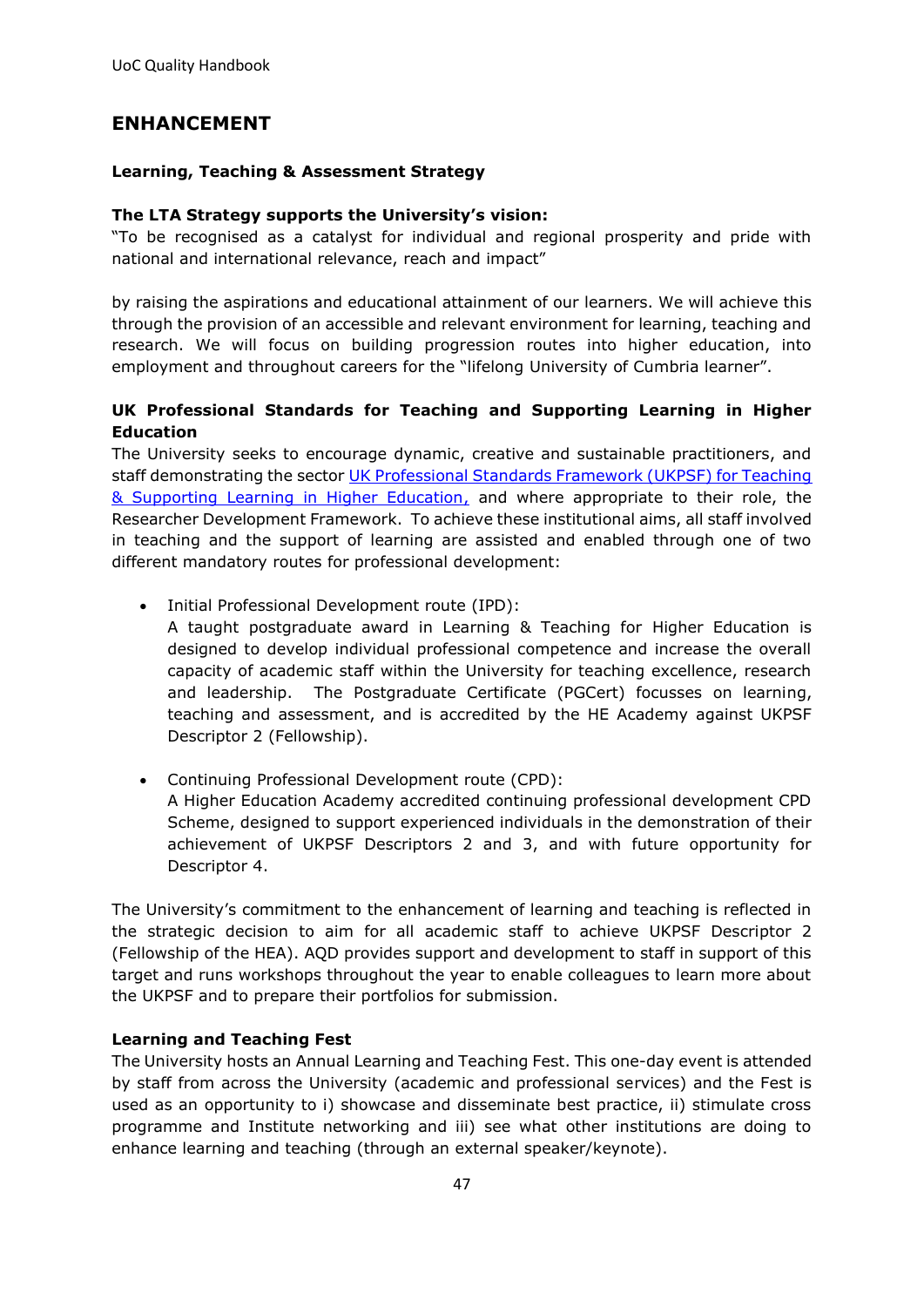## <span id="page-46-0"></span>**ENHANCEMENT**

#### **Learning, Teaching & Assessment Strategy**

#### **The LTA Strategy supports the University's vision:**

"To be recognised as a catalyst for individual and regional prosperity and pride with national and international relevance, reach and impact"

by raising the aspirations and educational attainment of our learners. We will achieve this through the provision of an accessible and relevant environment for learning, teaching and research. We will focus on building progression routes into higher education, into employment and throughout careers for the "lifelong University of Cumbria learner".

#### **UK Professional Standards for Teaching and Supporting Learning in Higher Education**

The University seeks to encourage dynamic, creative and sustainable practitioners, and staff demonstrating the sector UK Professional Standards Framework (UKPSF) for Teaching [& Supporting Learning in Higher Education,](http://www.heacademy.ac.uk/ukpsf) and where appropriate to their role, the Researcher Development Framework. To achieve these institutional aims, all staff involved in teaching and the support of learning are assisted and enabled through one of two different mandatory routes for professional development:

• Initial Professional Development route (IPD):

A taught postgraduate award in Learning & Teaching for Higher Education is designed to develop individual professional competence and increase the overall capacity of academic staff within the University for teaching excellence, research and leadership. The Postgraduate Certificate (PGCert) focusses on learning, teaching and assessment, and is accredited by the HE Academy against UKPSF Descriptor 2 (Fellowship).

• Continuing Professional Development route (CPD): A Higher Education Academy accredited continuing professional development CPD Scheme, designed to support experienced individuals in the demonstration of their achievement of UKPSF Descriptors 2 and 3, and with future opportunity for Descriptor 4.

The University's commitment to the enhancement of learning and teaching is reflected in the strategic decision to aim for all academic staff to achieve UKPSF Descriptor 2 (Fellowship of the HEA). AQD provides support and development to staff in support of this target and runs workshops throughout the year to enable colleagues to learn more about the UKPSF and to prepare their portfolios for submission.

#### **Learning and Teaching Fest**

The University hosts an Annual [Learning and Teaching Fest.](https://unicumbriaac.sharepoint.com/sites/CL/CorporateLibrary/Learning%20and%20Teaching%20Fest.aspx) This one-day event is attended by staff from across the University (academic and professional services) and the Fest is used as an opportunity to i) showcase and disseminate best practice, ii) stimulate cross programme and Institute networking and iii) see what other institutions are doing to enhance learning and teaching (through an external speaker/keynote).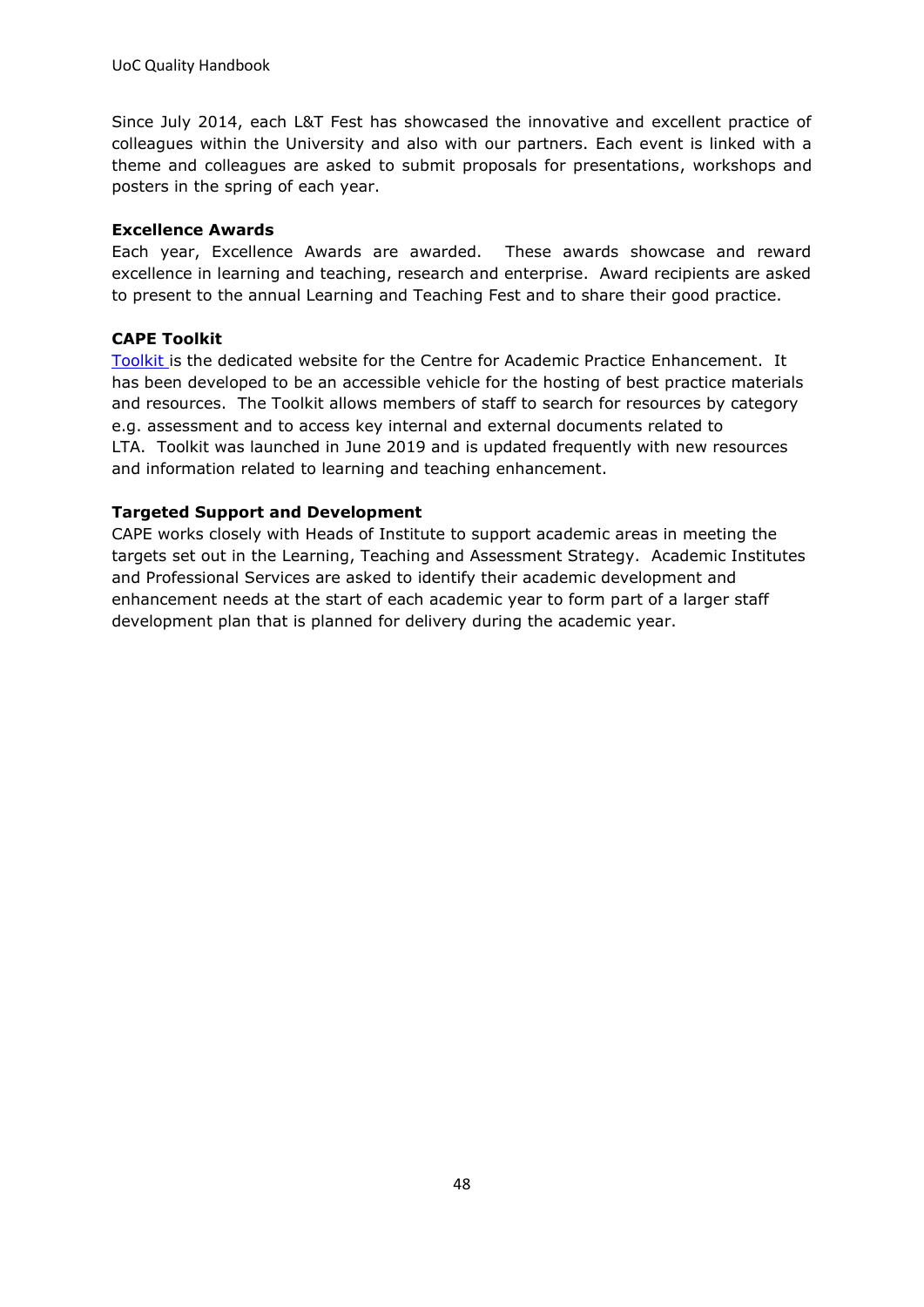Since July 2014, each L&T Fest has showcased the innovative and excellent practice of colleagues within the University and also with our partners. Each event is linked with a theme and colleagues are asked to submit proposals for presentations, workshops and posters in the spring of each year.

#### **Excellence Awards**

Each year, Excellence Awards are awarded. These awards showcase and reward excellence in learning and teaching, research and enterprise. Award recipients are asked to present to the annual Learning and Teaching Fest and to share their good practice.

#### **CAPE Toolkit**

[Toolkit](https://unicumbriaac.sharepoint.com/sites/CAPEAcademicToolkit) is the dedicated website for the Centre for Academic Practice Enhancement. It has been developed to be an accessible vehicle for the hosting of best practice materials and resources. The Toolkit allows members of staff to search for resources by category e.g. assessment and to access key internal and external documents related to LTA. Toolkit was launched in June 2019 and is updated frequently with new resources and information related to learning and teaching enhancement.

#### **Targeted Support and Development**

CAPE works closely with Heads of Institute to support academic areas in meeting the targets set out in the Learning, Teaching and Assessment Strategy. Academic Institutes and Professional Services are asked to identify their academic development and enhancement needs at the start of each academic year to form part of a larger staff development plan that is planned for delivery during the academic year.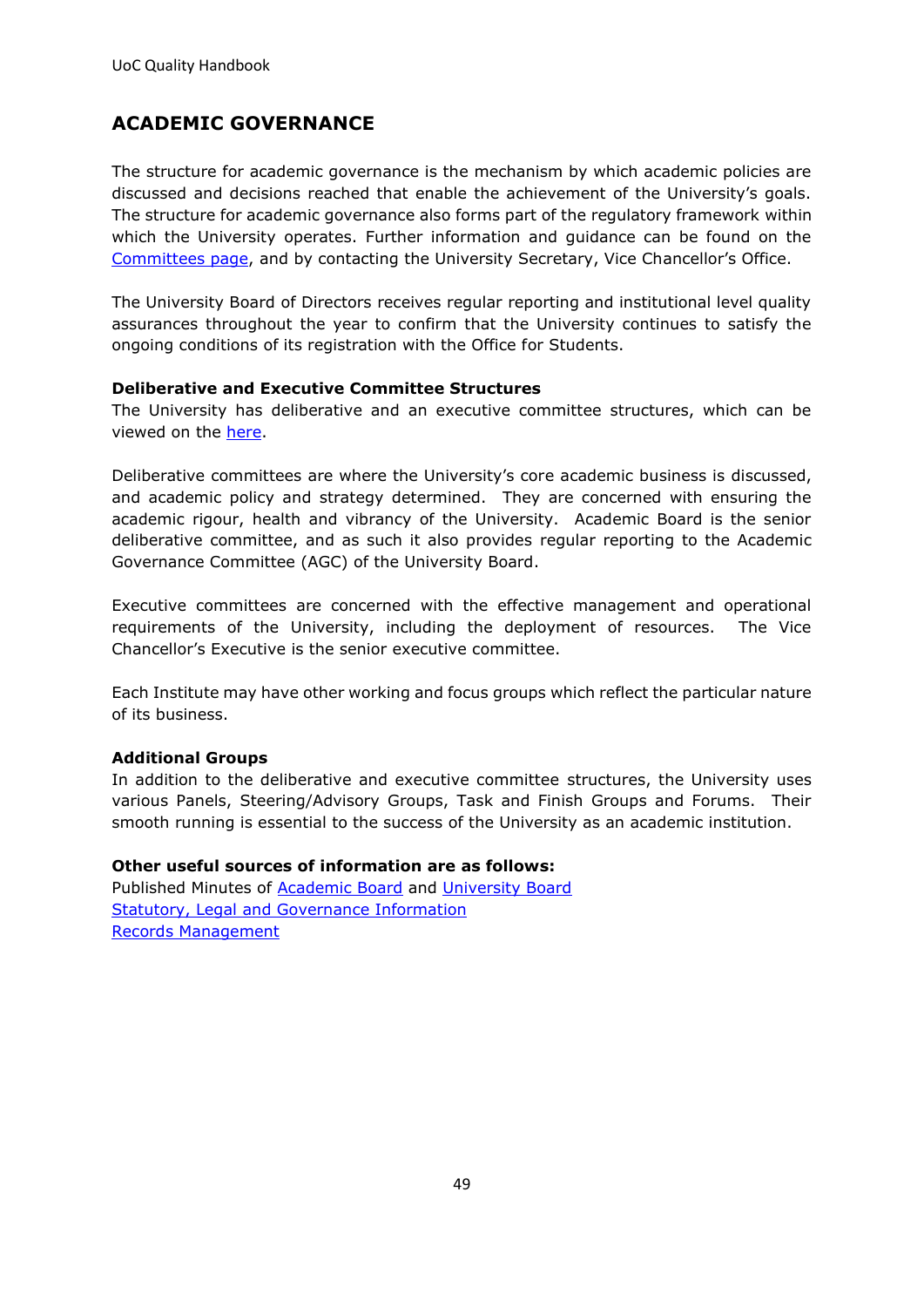## <span id="page-48-0"></span>**ACADEMIC GOVERNANCE**

The structure for academic governance is the mechanism by which academic policies are discussed and decisions reached that enable the achievement of the University's goals. The structure for academic governance also forms part of the regulatory framework within which the University operates. Further information and guidance can be found on the [Committees page,](https://unicumbriaac.sharepoint.com/sites/VCO/SitePages/Committee-Structure.aspx) and by contacting the University Secretary, Vice Chancellor's Office.

The University Board of Directors receives regular reporting and institutional level quality assurances throughout the year to confirm that the University continues to satisfy the ongoing conditions of its registration with the Office for Students.

#### **Deliberative and Executive Committee Structures**

The University has deliberative and an executive committee structures, which can be viewed on the [here.](https://unicumbriaac.sharepoint.com/sites/VCO/SitePages/Committee-Structure.aspx)

Deliberative committees are where the University's core academic business is discussed, and academic policy and strategy determined. They are concerned with ensuring the academic rigour, health and vibrancy of the University. Academic Board is the senior deliberative committee, and as such it also provides regular reporting to the Academic Governance Committee (AGC) of the University Board.

Executive committees are concerned with the effective management and operational requirements of the University, including the deployment of resources. The Vice Chancellor's Executive is the senior executive committee.

Each Institute may have other working and focus groups which reflect the particular nature of its business.

#### **Additional Groups**

In addition to the deliberative and executive committee structures, the University uses various Panels, Steering/Advisory Groups, Task and Finish Groups and Forums. Their smooth running is essential to the success of the University as an academic institution.

#### **Other useful sources of information are as follows:**

Published Minutes of [Academic Board](https://www.cumbria.ac.uk/about/organisation/professional-services/vice-chancellors-office/committees/academic-board-minutes/) and [University Board](https://www.cumbria.ac.uk/about/organisation/professional-services/vice-chancellors-office/committees/university-board-minutes/) [Statutory, Legal and Governance Information](https://www.cumbria.ac.uk/about/organisation/professional-services/vice-chancellors-office/legal-status/) [Records Management](https://www.cumbria.ac.uk/about/organisation/professional-services/vice-chancellors-office/records/)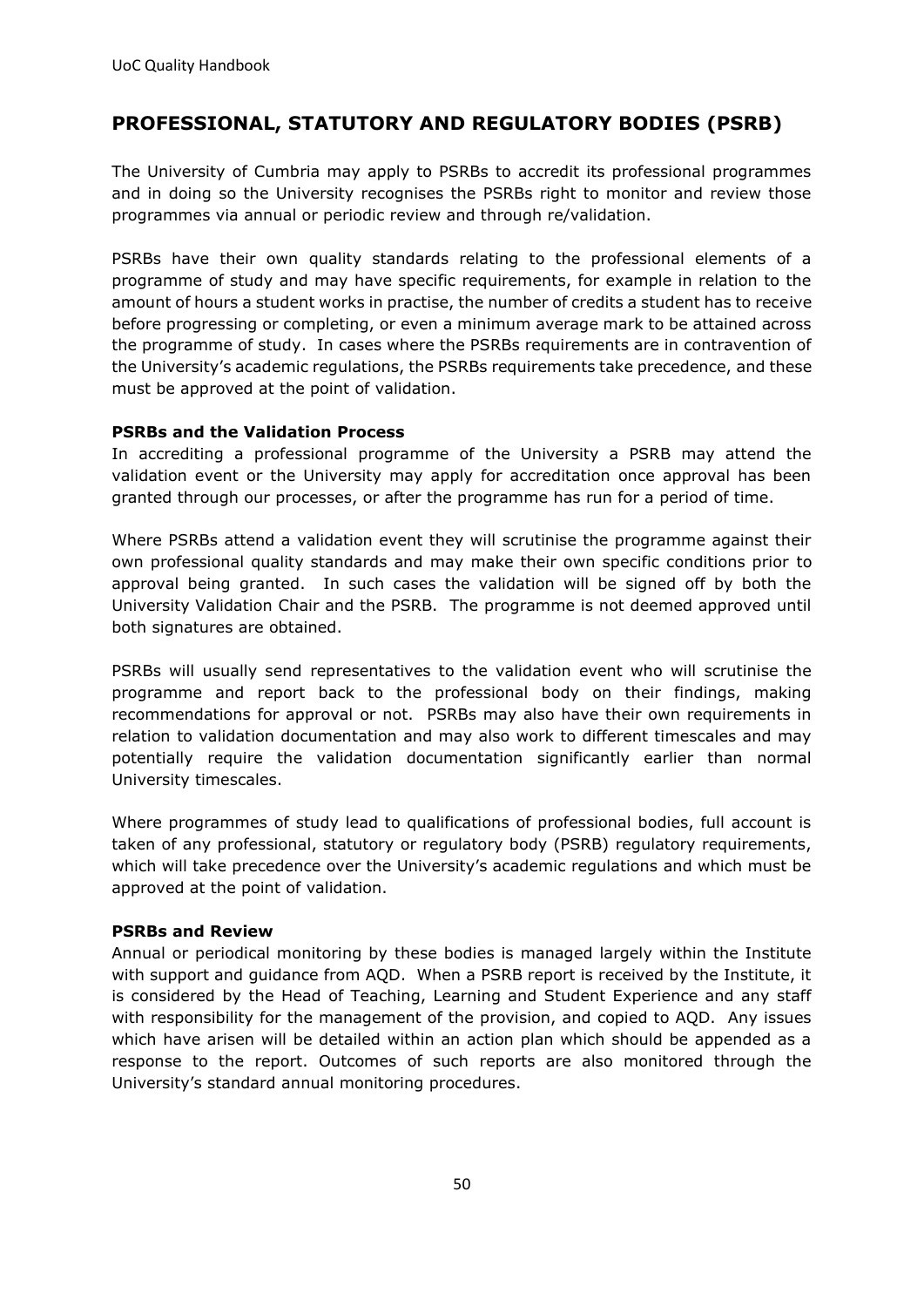## <span id="page-49-0"></span>**PROFESSIONAL, STATUTORY AND REGULATORY BODIES (PSRB)**

The University of Cumbria may apply to PSRBs to accredit its professional programmes and in doing so the University recognises the PSRBs right to monitor and review those programmes via annual or periodic review and through re/validation.

PSRBs have their own quality standards relating to the professional elements of a programme of study and may have specific requirements, for example in relation to the amount of hours a student works in practise, the number of credits a student has to receive before progressing or completing, or even a minimum average mark to be attained across the programme of study. In cases where the PSRBs requirements are in contravention of the University's academic regulations, the PSRBs requirements take precedence, and these must be approved at the point of validation.

#### **PSRBs and the Validation Process**

In accrediting a professional programme of the University a PSRB may attend the validation event or the University may apply for accreditation once approval has been granted through our processes, or after the programme has run for a period of time.

Where PSRBs attend a validation event they will scrutinise the programme against their own professional quality standards and may make their own specific conditions prior to approval being granted. In such cases the validation will be signed off by both the University Validation Chair and the PSRB. The programme is not deemed approved until both signatures are obtained.

PSRBs will usually send representatives to the validation event who will scrutinise the programme and report back to the professional body on their findings, making recommendations for approval or not. PSRBs may also have their own requirements in relation to validation documentation and may also work to different timescales and may potentially require the validation documentation significantly earlier than normal University timescales.

Where programmes of study lead to qualifications of professional bodies, full account is taken of any professional, statutory or regulatory body (PSRB) regulatory requirements, which will take precedence over the University's academic regulations and which must be approved at the point of validation.

#### **PSRBs and Review**

Annual or periodical monitoring by these bodies is managed largely within the Institute with support and guidance from AQD. When a PSRB report is received by the Institute, it is considered by the Head of Teaching, Learning and Student Experience and any staff with responsibility for the management of the provision, and copied to AQD. Any issues which have arisen will be detailed within an action plan which should be appended as a response to the report. Outcomes of such reports are also monitored through the University's standard annual monitoring procedures.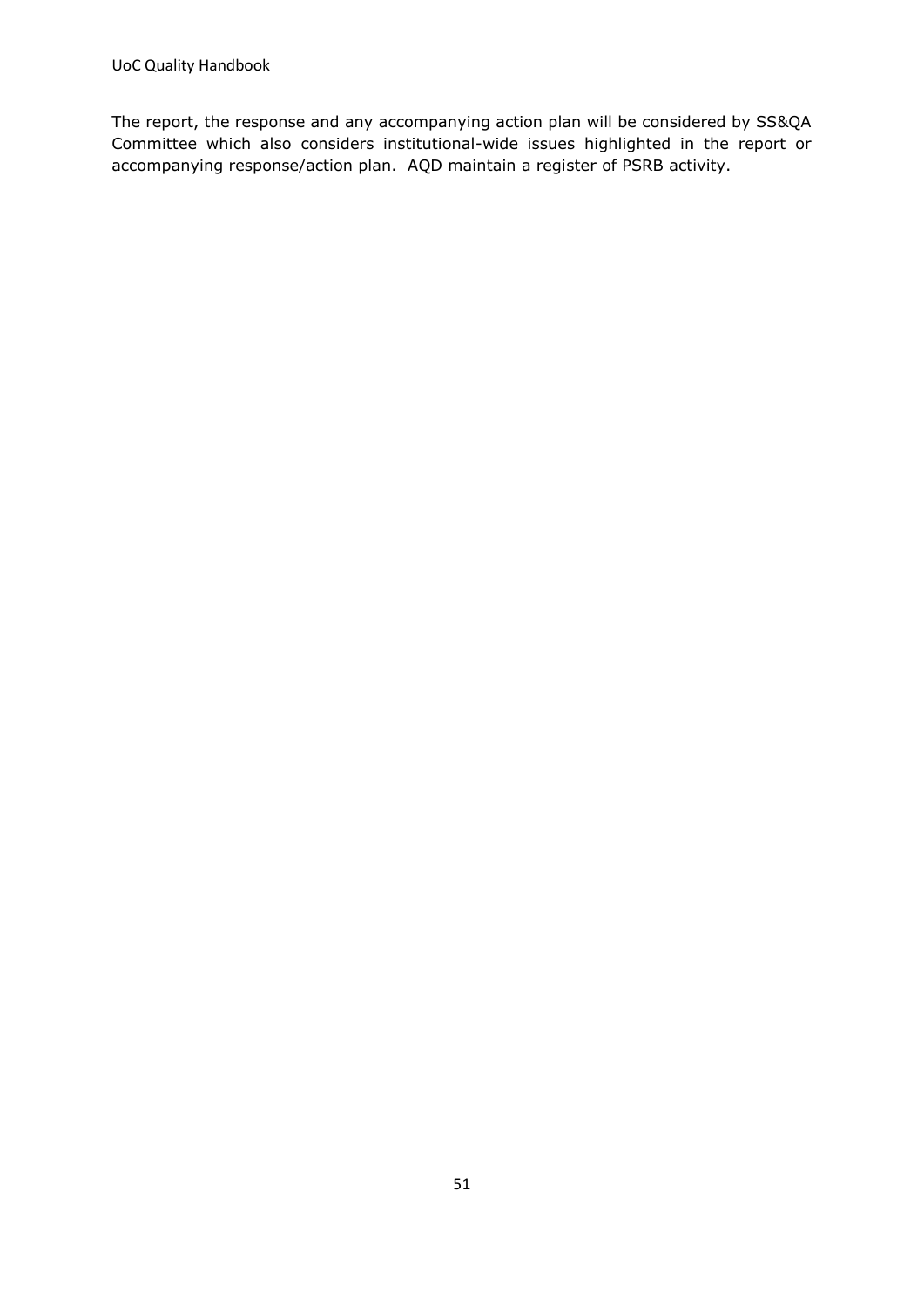The report, the response and any accompanying action plan will be considered by SS&QA Committee which also considers institutional-wide issues highlighted in the report or accompanying response/action plan. AQD maintain a register of PSRB activity.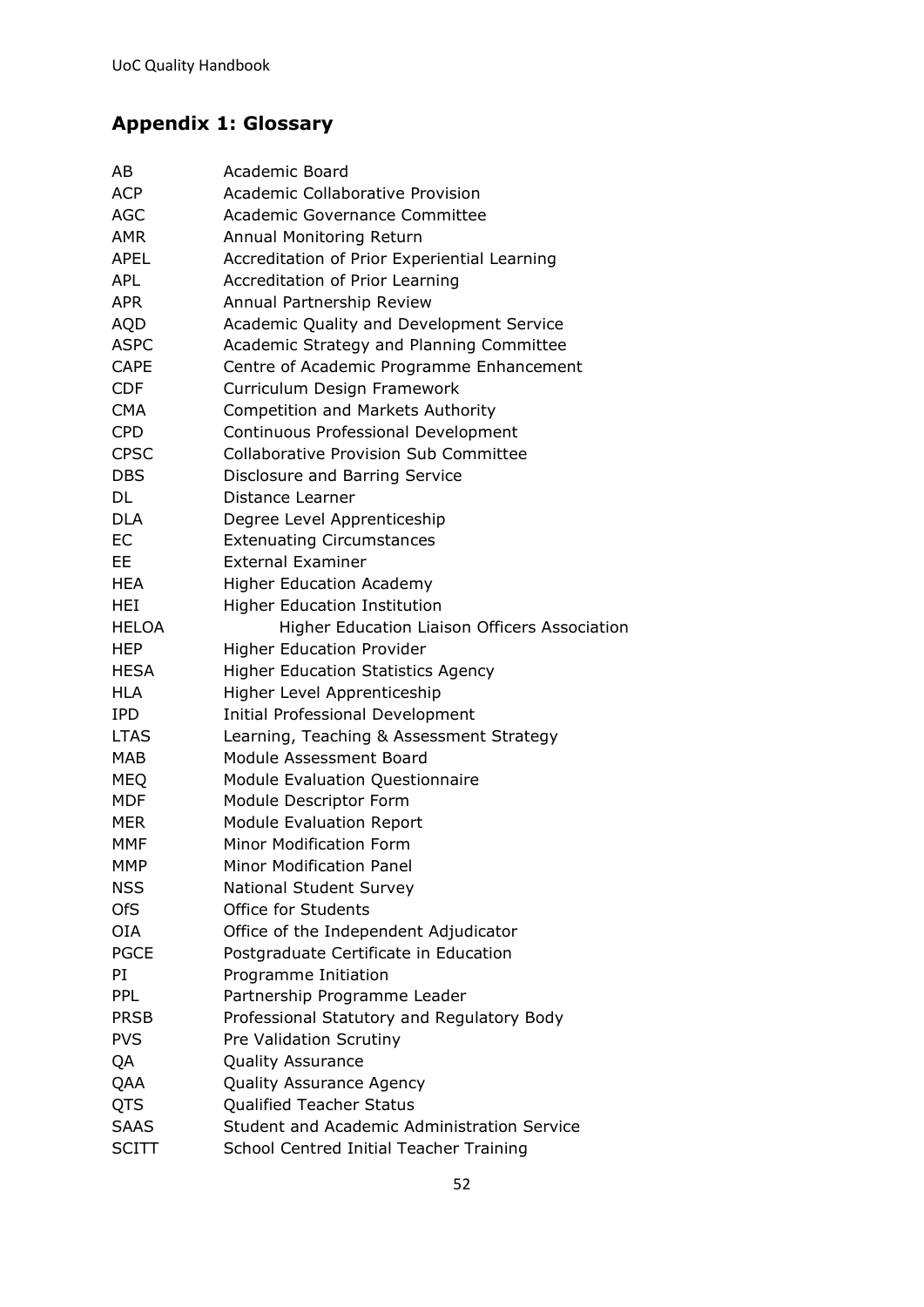# <span id="page-51-0"></span>**Appendix 1: Glossary**

| AB           | Academic Board                                     |
|--------------|----------------------------------------------------|
| <b>ACP</b>   | Academic Collaborative Provision                   |
| <b>AGC</b>   | Academic Governance Committee                      |
| <b>AMR</b>   | Annual Monitoring Return                           |
| <b>APEL</b>  | Accreditation of Prior Experiential Learning       |
| <b>APL</b>   | Accreditation of Prior Learning                    |
| APR.         | Annual Partnership Review                          |
| <b>AQD</b>   | Academic Quality and Development Service           |
| <b>ASPC</b>  | Academic Strategy and Planning Committee           |
| <b>CAPE</b>  | Centre of Academic Programme Enhancement           |
| <b>CDF</b>   | Curriculum Design Framework                        |
| <b>CMA</b>   | <b>Competition and Markets Authority</b>           |
| <b>CPD</b>   | Continuous Professional Development                |
| <b>CPSC</b>  | <b>Collaborative Provision Sub Committee</b>       |
| <b>DBS</b>   | Disclosure and Barring Service                     |
| DL           | Distance Learner                                   |
| <b>DLA</b>   | Degree Level Apprenticeship                        |
| EC           | <b>Extenuating Circumstances</b>                   |
| EE           | <b>External Examiner</b>                           |
| HEA          | <b>Higher Education Academy</b>                    |
| <b>HEI</b>   | <b>Higher Education Institution</b>                |
| <b>HELOA</b> | Higher Education Liaison Officers Association      |
| <b>HEP</b>   | <b>Higher Education Provider</b>                   |
| <b>HESA</b>  | <b>Higher Education Statistics Agency</b>          |
| <b>HLA</b>   | Higher Level Apprenticeship                        |
| <b>IPD</b>   | <b>Initial Professional Development</b>            |
| <b>LTAS</b>  | Learning, Teaching & Assessment Strategy           |
| MAB          | Module Assessment Board                            |
| <b>MEQ</b>   | <b>Module Evaluation Questionnaire</b>             |
| <b>MDF</b>   | Module Descriptor Form                             |
| MER          | <b>Module Evaluation Report</b>                    |
| <b>MMF</b>   | <b>Minor Modification Form</b>                     |
| <b>MMP</b>   | <b>Minor Modification Panel</b>                    |
| <b>NSS</b>   | National Student Survey                            |
| <b>OfS</b>   | <b>Office for Students</b>                         |
| <b>OIA</b>   | Office of the Independent Adjudicator              |
| <b>PGCE</b>  | Postgraduate Certificate in Education              |
| PI           | Programme Initiation                               |
| <b>PPL</b>   | Partnership Programme Leader                       |
| <b>PRSB</b>  | Professional Statutory and Regulatory Body         |
| <b>PVS</b>   | Pre Validation Scrutiny                            |
| QA           | <b>Quality Assurance</b>                           |
| QAA          | <b>Quality Assurance Agency</b>                    |
| QTS          | <b>Qualified Teacher Status</b>                    |
| <b>SAAS</b>  | <b>Student and Academic Administration Service</b> |
| SCITT        | School Centred Initial Teacher Training            |
|              |                                                    |